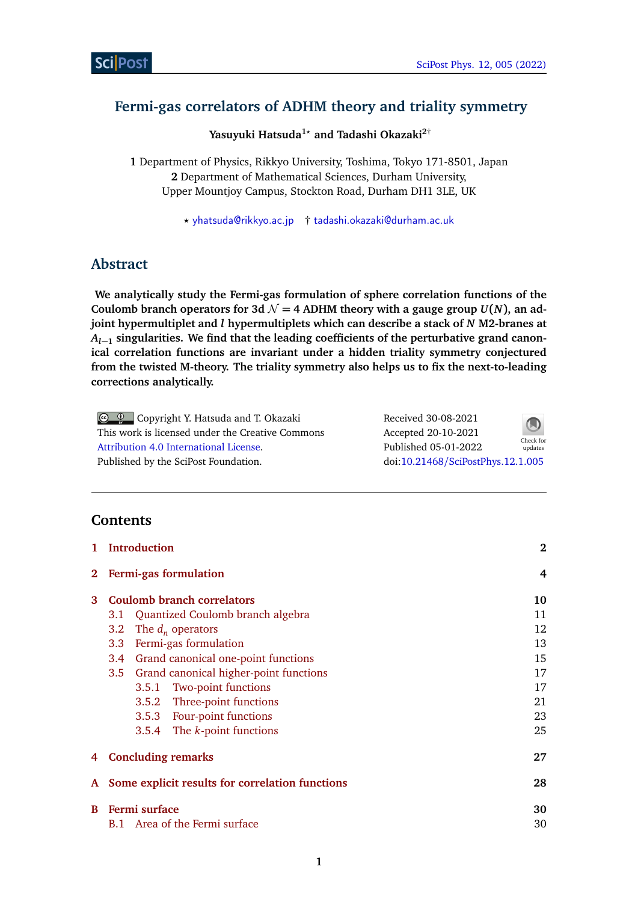# **Fermi-gas correlators of ADHM theory and triality symmetry**

**Yasuyuki Hatsuda1***?* **and Tadashi Okazaki2**†

**1** Department of Physics, Rikkyo University, Toshima, Tokyo 171-8501, Japan **2** Department of Mathematical Sciences, Durham University, Upper Mountjoy Campus, Stockton Road, Durham DH1 3LE, UK

*?* [yhatsuda@rikkyo.ac.jp](mailto:yhatsuda@rikkyo.ac.jp) † [tadashi.okazaki@durham.ac.uk](mailto:tadashi.okazaki@durham.ac.uk)

# **Abstract**

**We analytically study the Fermi-gas formulation of sphere correlation functions of the** Coulomb branch operators for 3d  $\mathcal{N} = 4$  ADHM theory with a gauge group  $U(N)$ , an ad**joint hypermultiplet and** *l* **hypermultiplets which can describe a stack of** *N* **M2-branes at** *Al***−<sup>1</sup> singularities. We find that the leading coefficients of the perturbative grand canonical correlation functions are invariant under a hidden triality symmetry conjectured from the twisted M-theory. The triality symmetry also helps us to fix the next-to-leading corrections analytically.**

| © © Copyright Y. Hatsuda and T. Okazaki          | Received 30-08-2021               | $\bigcirc$ |
|--------------------------------------------------|-----------------------------------|------------|
| This work is licensed under the Creative Commons | Accepted 20-10-2021               | Check for  |
| Attribution 4.0 International License.           | Published 05-01-2022              | updates    |
| Published by the SciPost Foundation.             | doi:10.21468/SciPostPhys.12.1.005 |            |

# **Contents**

| $\mathbf{1}$ | Introduction                                      | $\bf{2}$ |
|--------------|---------------------------------------------------|----------|
|              | 2 Fermi-gas formulation                           | 4        |
| 3            | <b>Coulomb branch correlators</b>                 | 10       |
|              | Quantized Coulomb branch algebra<br>3.1           | 11       |
|              | The $d_n$ operators<br>3.2                        | 12       |
|              | Fermi-gas formulation<br>3.3 <sup>°</sup>         | 13       |
|              | 3.4 Grand canonical one-point functions           | 15       |
|              | 3.5 Grand canonical higher-point functions        | 17       |
|              | <b>Two-point functions</b><br>3.5.1               | 17       |
|              | 3.5.2 Three-point functions                       | 21       |
|              | 3.5.3 Four-point functions                        | 23       |
|              | 3.5.4 The k-point functions                       | 25       |
|              | 4 Concluding remarks                              | 27       |
|              | A Some explicit results for correlation functions | 28       |
| B            | Fermi surface                                     | 30       |
|              | B.1 Area of the Fermi surface                     | 30       |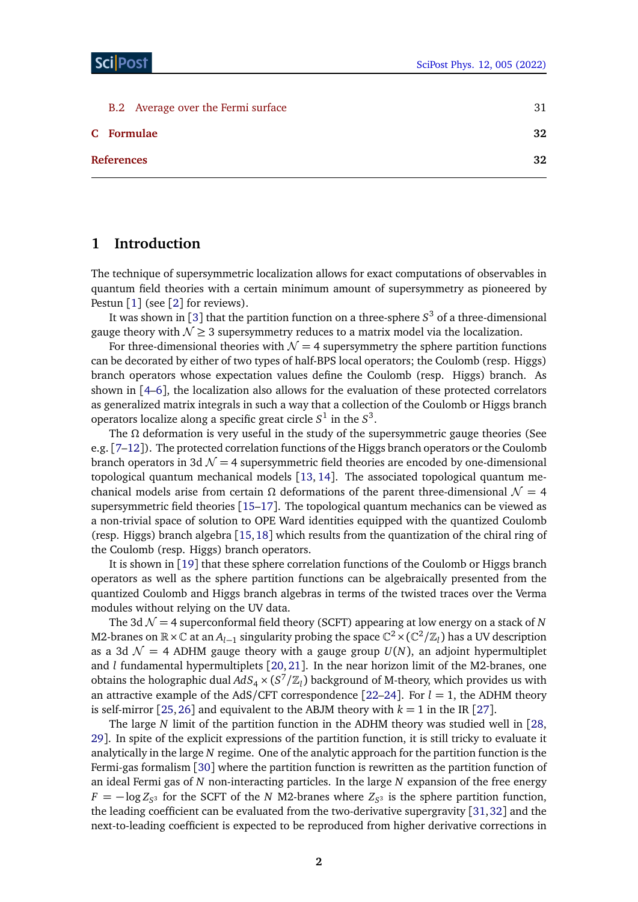| B.2 Average over the Fermi surface | 31 |
|------------------------------------|----|
| C Formulae                         | 32 |
| <b>References</b>                  | 32 |

## <span id="page-1-0"></span>**1 Introduction**

The technique of supersymmetric localization allows for exact computations of observables in quantum field theories with a certain minimum amount of supersymmetry as pioneered by Pestun  $\lceil 1 \rceil$  $\lceil 1 \rceil$  $\lceil 1 \rceil$  (see  $\lceil 2 \rceil$  $\lceil 2 \rceil$  $\lceil 2 \rceil$  for reviews).

It was shown in [[3](#page-31-4)] that the partition function on a three-sphere *S* <sup>3</sup> of a three-dimensional gauge theory with  $\mathcal{N} \geq 3$  supersymmetry reduces to a matrix model via the localization.

For three-dimensional theories with  $\mathcal{N} = 4$  supersymmetry the sphere partition functions can be decorated by either of two types of half-BPS local operators; the Coulomb (resp. Higgs) branch operators whose expectation values define the Coulomb (resp. Higgs) branch. As shown in [[4](#page-32-0)[–6](#page-32-1)], the localization also allows for the evaluation of these protected correlators as generalized matrix integrals in such a way that a collection of the Coulomb or Higgs branch operators localize along a specific great circle  $S^1$  in the  $S^3$ .

The *Ω* deformation is very useful in the study of the supersymmetric gauge theories (See e.g.  $[7-12]$  $[7-12]$  $[7-12]$ . The protected correlation functions of the Higgs branch operators or the Coulomb branch operators in 3d  $\mathcal{N} = 4$  supersymmetric field theories are encoded by one-dimensional topological quantum mechanical models [[13,](#page-32-4) [14](#page-32-5)]. The associated topological quantum mechanical models arise from certain  $\Omega$  deformations of the parent three-dimensional  $\mathcal{N} = 4$ supersymmetric field theories [[15](#page-32-6)[–17](#page-32-7)]. The topological quantum mechanics can be viewed as a non-trivial space of solution to OPE Ward identities equipped with the quantized Coulomb (resp. Higgs) branch algebra [[15,](#page-32-6)[18](#page-32-8)] which results from the quantization of the chiral ring of the Coulomb (resp. Higgs) branch operators.

It is shown in [[19](#page-33-0)] that these sphere correlation functions of the Coulomb or Higgs branch operators as well as the sphere partition functions can be algebraically presented from the quantized Coulomb and Higgs branch algebras in terms of the twisted traces over the Verma modules without relying on the UV data.

The 3d  $\mathcal{N} = 4$  superconformal field theory (SCFT) appearing at low energy on a stack of *N* M2-branes on ℝ×ℂ at an  $A_{l-1}$  singularity probing the space  $\mathbb{C}^2$  × ( $\mathbb{C}^2/\mathbb{Z}_l$ ) has a UV description as a 3d  $\mathcal{N} = 4$  ADHM gauge theory with a gauge group  $U(N)$ , an adjoint hypermultiplet and *l* fundamental hypermultiplets [[20,](#page-33-1) [21](#page-33-2)]. In the near horizon limit of the M2-branes, one obtains the holographic dual  $AdS_4 \times (S^7/\mathbb{Z}_l)$  background of M-theory, which provides us with an attractive example of the AdS/CFT correspondence  $[22-24]$  $[22-24]$  $[22-24]$ . For  $l = 1$ , the ADHM theory is self-mirror [[25,](#page-33-5) [26](#page-33-6)] and equivalent to the ABJM theory with  $k = 1$  in the IR [[27](#page-33-7)].

The large *N* limit of the partition function in the ADHM theory was studied well in [[28,](#page-33-8) [29](#page-33-9)]. In spite of the explicit expressions of the partition function, it is still tricky to evaluate it analytically in the large *N* regime. One of the analytic approach for the partition function is the Fermi-gas formalism [[30](#page-33-10)] where the partition function is rewritten as the partition function of an ideal Fermi gas of *N* non-interacting particles. In the large *N* expansion of the free energy  $F = -\log Z_{S^3}$  for the SCFT of the *N* M2-branes where  $Z_{S^3}$  is the sphere partition function, the leading coefficient can be evaluated from the two-derivative supergravity [[31,](#page-33-11)[32](#page-33-12)] and the next-to-leading coefficient is expected to be reproduced from higher derivative corrections in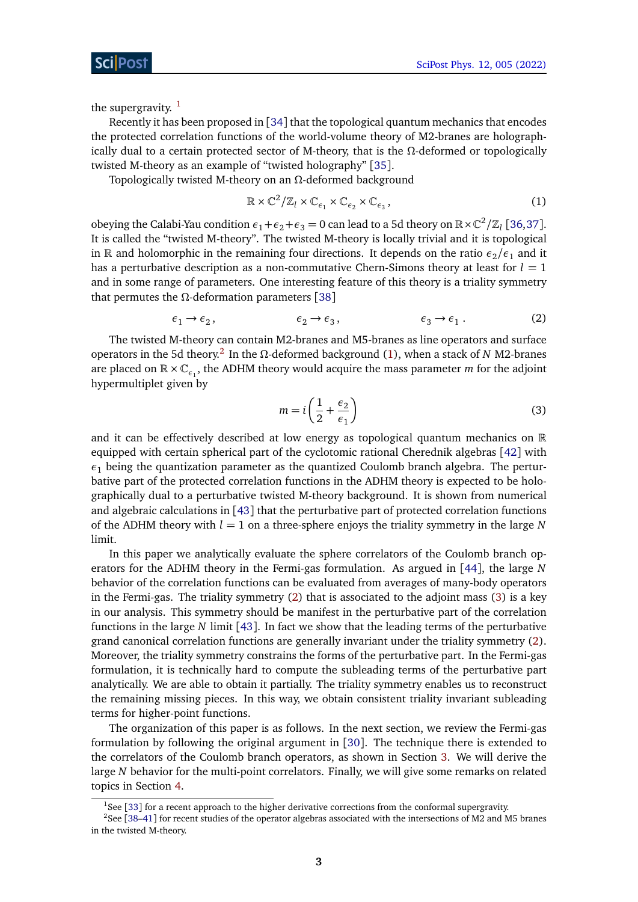the supergravity.  $1$ 

Recently it has been proposed in [[34](#page-33-13)] that the topological quantum mechanics that encodes the protected correlation functions of the world-volume theory of M2-branes are holographically dual to a certain protected sector of M-theory, that is the *Ω*-deformed or topologically twisted M-theory as an example of "twisted holography" [[35](#page-33-14)].

Topologically twisted M-theory on an *Ω*-deformed background

<span id="page-2-2"></span>
$$
\mathbb{R} \times \mathbb{C}^2 / \mathbb{Z}_l \times \mathbb{C}_{\epsilon_1} \times \mathbb{C}_{\epsilon_2} \times \mathbb{C}_{\epsilon_3},\tag{1}
$$

obeying the Calabi-Yau condition  $\epsilon_1+\epsilon_2+\epsilon_3=0$  can lead to a 5d theory on  $\mathbb{R}\times\mathbb{C}^2/\mathbb{Z}_l$  [[36,](#page-33-15)[37](#page-33-16)]. It is called the "twisted M-theory". The twisted M-theory is locally trivial and it is topological in R and holomorphic in the remaining four directions. It depends on the ratio  $\epsilon_2/\epsilon_1$  and it has a perturbative description as a non-commutative Chern-Simons theory at least for  $l = 1$ and in some range of parameters. One interesting feature of this theory is a triality symmetry that permutes the *Ω*-deformation parameters [[38](#page-34-0)]

$$
\epsilon_1 \to \epsilon_2, \qquad \epsilon_2 \to \epsilon_3, \qquad \epsilon_3 \to \epsilon_1. \qquad (2)
$$

The twisted M-theory can contain M2-branes and M5-branes as line operators and surface operators in the 5d theory.[2](#page-2-1) In the *Ω*-deformed background [\(1\)](#page-2-2), when a stack of *N* M2-branes are placed on  $\mathbb{R} \times \mathbb{C}_{\epsilon_1}$ , the ADHM theory would acquire the mass parameter *m* for the adjoint hypermultiplet given by

<span id="page-2-4"></span><span id="page-2-3"></span>
$$
m = i\left(\frac{1}{2} + \frac{\epsilon_2}{\epsilon_1}\right) \tag{3}
$$

and it can be effectively described at low energy as topological quantum mechanics on  $\mathbb R$ equipped with certain spherical part of the cyclotomic rational Cherednik algebras [[42](#page-34-1)] with  $\epsilon_1$  being the quantization parameter as the quantized Coulomb branch algebra. The perturbative part of the protected correlation functions in the ADHM theory is expected to be holographically dual to a perturbative twisted M-theory background. It is shown from numerical and algebraic calculations in [[43](#page-34-2)] that the perturbative part of protected correlation functions of the ADHM theory with  $l = 1$  on a three-sphere enjoys the triality symmetry in the large N limit.

In this paper we analytically evaluate the sphere correlators of the Coulomb branch operators for the ADHM theory in the Fermi-gas formulation. As argued in [[44](#page-34-3)], the large *N* behavior of the correlation functions can be evaluated from averages of many-body operators in the Fermi-gas. The triality symmetry [\(2\)](#page-2-3) that is associated to the adjoint mass [\(3\)](#page-2-4) is a key in our analysis. This symmetry should be manifest in the perturbative part of the correlation functions in the large *N* limit [[43](#page-34-2)]. In fact we show that the leading terms of the perturbative grand canonical correlation functions are generally invariant under the triality symmetry [\(2\)](#page-2-3). Moreover, the triality symmetry constrains the forms of the perturbative part. In the Fermi-gas formulation, it is technically hard to compute the subleading terms of the perturbative part analytically. We are able to obtain it partially. The triality symmetry enables us to reconstruct the remaining missing pieces. In this way, we obtain consistent triality invariant subleading terms for higher-point functions.

The organization of this paper is as follows. In the next section, we review the Fermi-gas formulation by following the original argument in [[30](#page-33-10)]. The technique there is extended to the correlators of the Coulomb branch operators, as shown in Section [3.](#page-9-0) We will derive the large *N* behavior for the multi-point correlators. Finally, we will give some remarks on related topics in Section [4.](#page-26-0)

<span id="page-2-1"></span><span id="page-2-0"></span> $1$ See [[33](#page-33-17)] for a recent approach to the higher derivative corrections from the conformal supergravity.

<sup>2</sup>See [[38](#page-34-0)[–41](#page-34-4)] for recent studies of the operator algebras associated with the intersections of M2 and M5 branes in the twisted M-theory.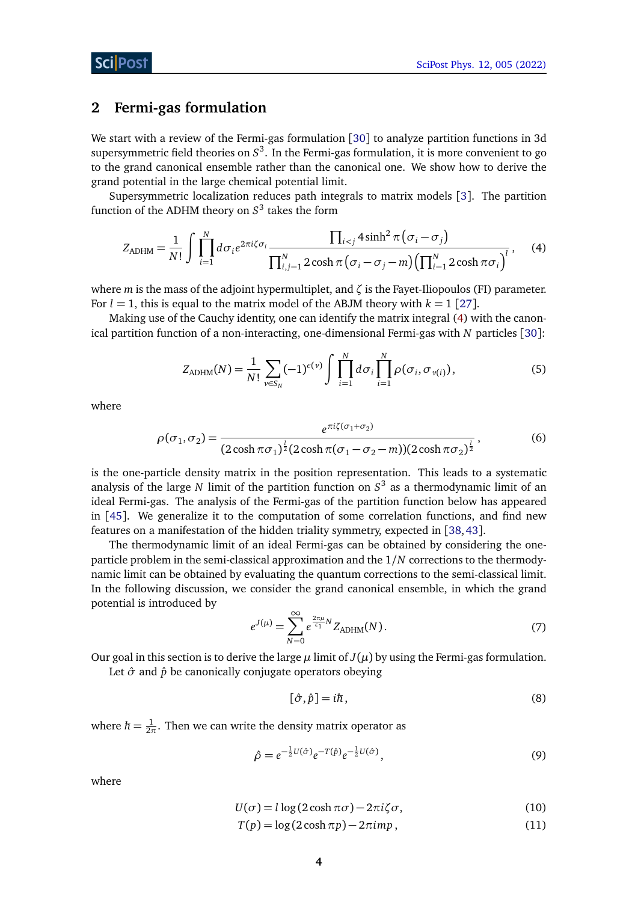## <span id="page-3-0"></span>**2 Fermi-gas formulation**

We start with a review of the Fermi-gas formulation [[30](#page-33-10)] to analyze partition functions in 3d supersymmetric field theories on  $\mathcal{S}^3$ . In the Fermi-gas formulation, it is more convenient to go to the grand canonical ensemble rather than the canonical one. We show how to derive the grand potential in the large chemical potential limit.

Supersymmetric localization reduces path integrals to matrix models [[3](#page-31-4)]. The partition function of the ADHM theory on *S* 3 takes the form

$$
Z_{ADHM} = \frac{1}{N!} \int \prod_{i=1}^{N} d\sigma_i e^{2\pi i \zeta \sigma_i} \frac{\prod_{i < j} 4\sinh^2 \pi (\sigma_i - \sigma_j)}{\prod_{i,j=1}^{N} 2\cosh \pi (\sigma_i - \sigma_j - m) (\prod_{i=1}^{N} 2\cosh \pi \sigma_i)},\tag{4}
$$

where *m* is the mass of the adjoint hypermultiplet, and *ζ* is the Fayet-Iliopoulos (FI) parameter. For  $l = 1$ , this is equal to the matrix model of the ABJM theory with  $k = 1$  [[27](#page-33-7)].

Making use of the Cauchy identity, one can identify the matrix integral [\(4\)](#page-3-1) with the canonical partition function of a non-interacting, one-dimensional Fermi-gas with *N* particles [[30](#page-33-10)]:

<span id="page-3-1"></span>
$$
Z_{ADHM}(N) = \frac{1}{N!} \sum_{\nu \in S_N} (-1)^{\epsilon(\nu)} \int \prod_{i=1}^N d\sigma_i \prod_{i=1}^N \rho(\sigma_i, \sigma_{\nu(i)}), \qquad (5)
$$

where

$$
\rho(\sigma_1, \sigma_2) = \frac{e^{\pi i \zeta(\sigma_1 + \sigma_2)}}{(2 \cosh \pi \sigma_1)^{\frac{1}{2}} (2 \cosh \pi (\sigma_1 - \sigma_2 - m))(2 \cosh \pi \sigma_2)^{\frac{1}{2}}},
$$
(6)

is the one-particle density matrix in the position representation. This leads to a systematic analysis of the large *N* limit of the partition function on *S* 3 as a thermodynamic limit of an ideal Fermi-gas. The analysis of the Fermi-gas of the partition function below has appeared in [[45](#page-34-5)]. We generalize it to the computation of some correlation functions, and find new features on a manifestation of the hidden triality symmetry, expected in [[38,](#page-34-0)[43](#page-34-2)].

The thermodynamic limit of an ideal Fermi-gas can be obtained by considering the oneparticle problem in the semi-classical approximation and the 1*/N* corrections to the thermodynamic limit can be obtained by evaluating the quantum corrections to the semi-classical limit. In the following discussion, we consider the grand canonical ensemble, in which the grand potential is introduced by

<span id="page-3-2"></span>
$$
e^{J(\mu)} = \sum_{N=0}^{\infty} e^{\frac{2\pi\mu}{\epsilon_1}N} Z_{\text{ADHM}}(N). \tag{7}
$$

Our goal in this section is to derive the large  $\mu$  limit of  $J(\mu)$  by using the Fermi-gas formulation.

Let  $\hat{\sigma}$  and  $\hat{p}$  be canonically conjugate operators obeying

<span id="page-3-3"></span>
$$
[\hat{\sigma}, \hat{p}] = i\hbar, \tag{8}
$$

where  $\hbar = \frac{1}{2\pi}$  $\frac{1}{2\pi}$ . Then we can write the density matrix operator as

$$
\hat{\rho} = e^{-\frac{1}{2}U(\hat{\sigma})}e^{-T(\hat{p})}e^{-\frac{1}{2}U(\hat{\sigma})},\tag{9}
$$

where

$$
U(\sigma) = l \log(2 \cosh \pi \sigma) - 2\pi i \zeta \sigma,
$$
\n(10)

 $T(p) = \log(2 \cosh \pi p) - 2\pi i m p$ , (11)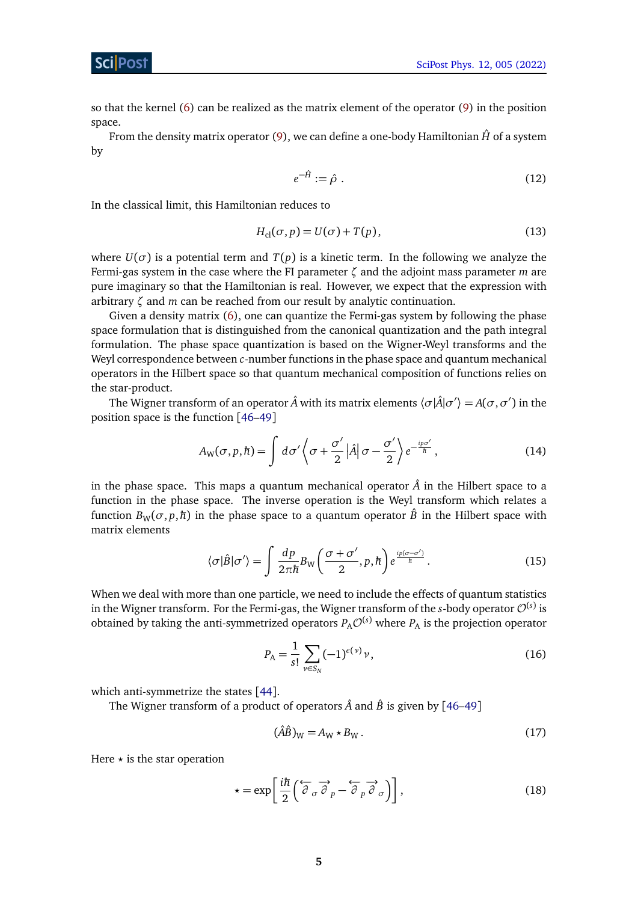## Sci Post

so that the kernel [\(6\)](#page-3-2) can be realized as the matrix element of the operator [\(9\)](#page-3-3) in the position space.

From the density matrix operator [\(9\)](#page-3-3), we can define a one-body Hamiltonian  $\hat{H}$  of a system by

<span id="page-4-0"></span>
$$
e^{-\hat{H}} := \hat{\rho} \tag{12}
$$

In the classical limit, this Hamiltonian reduces to

$$
H_{\rm cl}(\sigma, p) = U(\sigma) + T(p),\tag{13}
$$

where  $U(\sigma)$  is a potential term and  $T(p)$  is a kinetic term. In the following we analyze the Fermi-gas system in the case where the FI parameter *ζ* and the adjoint mass parameter *m* are pure imaginary so that the Hamiltonian is real. However, we expect that the expression with arbitrary *ζ* and *m* can be reached from our result by analytic continuation.

Given a density matrix [\(6\)](#page-3-2), one can quantize the Fermi-gas system by following the phase space formulation that is distinguished from the canonical quantization and the path integral formulation. The phase space quantization is based on the Wigner-Weyl transforms and the Weyl correspondence between *c*-number functions in the phase space and quantum mechanical operators in the Hilbert space so that quantum mechanical composition of functions relies on the star-product.

The Wigner transform of an operator  $\hat{A}$  with its matrix elements  $\langle \sigma |\hat{A}|\sigma'\rangle = A(\sigma,\sigma')$  in the position space is the function [[46–](#page-34-6)[49](#page-34-7)]

<span id="page-4-3"></span>
$$
A_{\rm W}(\sigma, p, \hbar) = \int d\sigma' \left\langle \sigma + \frac{\sigma'}{2} \left| \hat{A} \right| \sigma - \frac{\sigma'}{2} \right\rangle e^{-\frac{ip\sigma'}{\hbar}}, \tag{14}
$$

in the phase space. This maps a quantum mechanical operator  $\hat{A}$  in the Hilbert space to a function in the phase space. The inverse operation is the Weyl transform which relates a function  $B_W(\sigma, p, \hbar)$  in the phase space to a quantum operator  $\hat{B}$  in the Hilbert space with matrix elements

$$
\langle \sigma | \hat{B} | \sigma' \rangle = \int \frac{dp}{2\pi\hbar} B_{\rm W} \bigg( \frac{\sigma + \sigma'}{2}, p, \hbar \bigg) e^{\frac{ip(\sigma - \sigma')}{\hbar}}.
$$
 (15)

When we deal with more than one particle, we need to include the effects of quantum statistics in the Wigner transform. For the Fermi-gas, the Wigner transform of the  $s$ -body operator  $\mathcal{O}^{(s)}$  is obtained by taking the anti-symmetrized operators  $P_A \mathcal{O}^{(s)}$  where  $P_A$  is the projection operator

<span id="page-4-2"></span>
$$
P_{A} = \frac{1}{s!} \sum_{\nu \in S_N} (-1)^{\epsilon(\nu)} \nu,
$$
\n(16)

which anti-symmetrize the states [[44](#page-34-3)].

The Wigner transform of a product of operators  $\hat{A}$  and  $\hat{B}$  is given by [[46–](#page-34-6)[49](#page-34-7)]

<span id="page-4-1"></span>
$$
(\hat{A}\hat{B})_W = A_W \star B_W. \tag{17}
$$

Here  $\star$  is the star operation

$$
\star = \exp\left[\frac{i\hbar}{2}\left(\overleftrightarrow{\partial}_{\sigma}\overrightarrow{\partial}_{p} - \overleftrightarrow{\partial}_{p}\overrightarrow{\partial}_{\sigma}\right)\right],\tag{18}
$$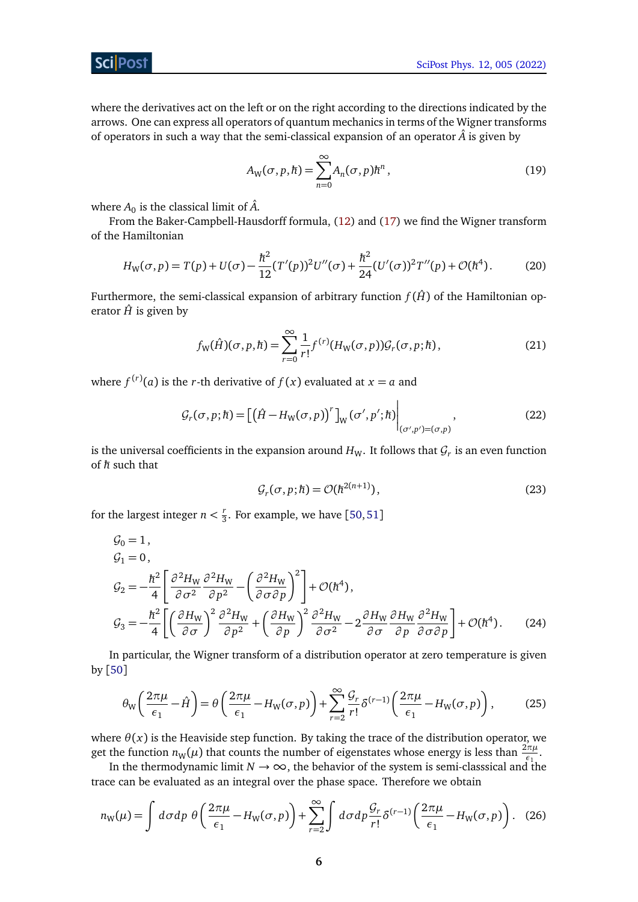ScilPos<sup>.</sup>

where the derivatives act on the left or on the right according to the directions indicated by the arrows. One can express all operators of quantum mechanics in terms of the Wigner transforms of operators in such a way that the semi-classical expansion of an operator  $\hat{A}$  is given by

<span id="page-5-2"></span>
$$
A_{\mathbf{W}}(\sigma, p, \hbar) = \sum_{n=0}^{\infty} A_n(\sigma, p) \hbar^n, \qquad (19)
$$

where  $A_0$  is the classical limit of  $\hat{A}$ .

From the Baker-Campbell-Hausdorff formula, [\(12\)](#page-4-0) and [\(17\)](#page-4-1) we find the Wigner transform of the Hamiltonian

$$
H_{\rm W}(\sigma, p) = T(p) + U(\sigma) - \frac{\hbar^2}{12} (T'(p))^2 U''(\sigma) + \frac{\hbar^2}{24} (U'(\sigma))^2 T''(p) + \mathcal{O}(\hbar^4). \tag{20}
$$

Furthermore, the semi-classical expansion of arbitrary function  $f(\hat{H})$  of the Hamiltonian operator  $\hat{H}$  is given by

$$
f_{\mathbf{W}}(\hat{H})(\sigma, p, \hbar) = \sum_{r=0}^{\infty} \frac{1}{r!} f^{(r)}(H_{\mathbf{W}}(\sigma, p)) \mathcal{G}_r(\sigma, p; \hbar), \qquad (21)
$$

where  $f^{(r)}(a)$  is the *r*-th derivative of  $f(x)$  evaluated at  $x = a$  and

$$
\mathcal{G}_r(\sigma, p; \hbar) = \left[ \left( \hat{H} - H_{\mathcal{W}}(\sigma, p) \right)^r \right]_{\mathcal{W}} (\sigma', p'; \hbar) \Big|_{(\sigma', p') = (\sigma, p)}, \tag{22}
$$

is the universal coefficients in the expansion around  $H_W$ . It follows that  $\mathcal{G}_r$  is an even function of ħ*h* such that

<span id="page-5-1"></span><span id="page-5-0"></span>
$$
\mathcal{G}_r(\sigma, p; \hbar) = \mathcal{O}(\hbar^{2(n+1)}),\tag{23}
$$

for the largest integer  $n < \frac{r}{3}$  $\frac{7}{3}$ . For example, we have [[50,](#page-34-8)[51](#page-34-9)]

$$
G_0 = 1,
$$
  
\n
$$
G_1 = 0,
$$
  
\n
$$
G_2 = -\frac{\hbar^2}{4} \left[ \frac{\partial^2 H_W}{\partial \sigma^2} \frac{\partial^2 H_W}{\partial p^2} - \left( \frac{\partial^2 H_W}{\partial \sigma \partial p} \right)^2 \right] + \mathcal{O}(\hbar^4),
$$
  
\n
$$
G_3 = -\frac{\hbar^2}{4} \left[ \left( \frac{\partial H_W}{\partial \sigma} \right)^2 \frac{\partial^2 H_W}{\partial p^2} + \left( \frac{\partial H_W}{\partial p} \right)^2 \frac{\partial^2 H_W}{\partial \sigma^2} - 2 \frac{\partial H_W}{\partial \sigma} \frac{\partial H_W}{\partial p} \frac{\partial^2 H_W}{\partial \sigma \partial p} \right] + \mathcal{O}(\hbar^4).
$$
\n(24)

In particular, the Wigner transform of a distribution operator at zero temperature is given by [[50](#page-34-8)]

$$
\theta_{\rm W} \left( \frac{2\pi\mu}{\epsilon_1} - \hat{H} \right) = \theta \left( \frac{2\pi\mu}{\epsilon_1} - H_{\rm W}(\sigma, p) \right) + \sum_{r=2}^{\infty} \frac{\mathcal{G}_r}{r!} \delta^{(r-1)} \left( \frac{2\pi\mu}{\epsilon_1} - H_{\rm W}(\sigma, p) \right),\tag{25}
$$

where  $\theta(x)$  is the Heaviside step function. By taking the trace of the distribution operator, we get the function  $n_W(\mu)$  that counts the number of eigenstates whose energy is less than  $\frac{2\pi\mu}{\epsilon_1}$ .

In the thermodynamic limit  $N \to \infty$ , the behavior of the system is semi-classsical and the trace can be evaluated as an integral over the phase space. Therefore we obtain

$$
n_{\mathbf{W}}(\mu) = \int d\sigma dp \; \theta \left( \frac{2\pi\mu}{\epsilon_1} - H_{\mathbf{W}}(\sigma, p) \right) + \sum_{r=2}^{\infty} \int d\sigma dp \frac{\mathcal{G}_r}{r!} \delta^{(r-1)} \left( \frac{2\pi\mu}{\epsilon_1} - H_{\mathbf{W}}(\sigma, p) \right). \tag{26}
$$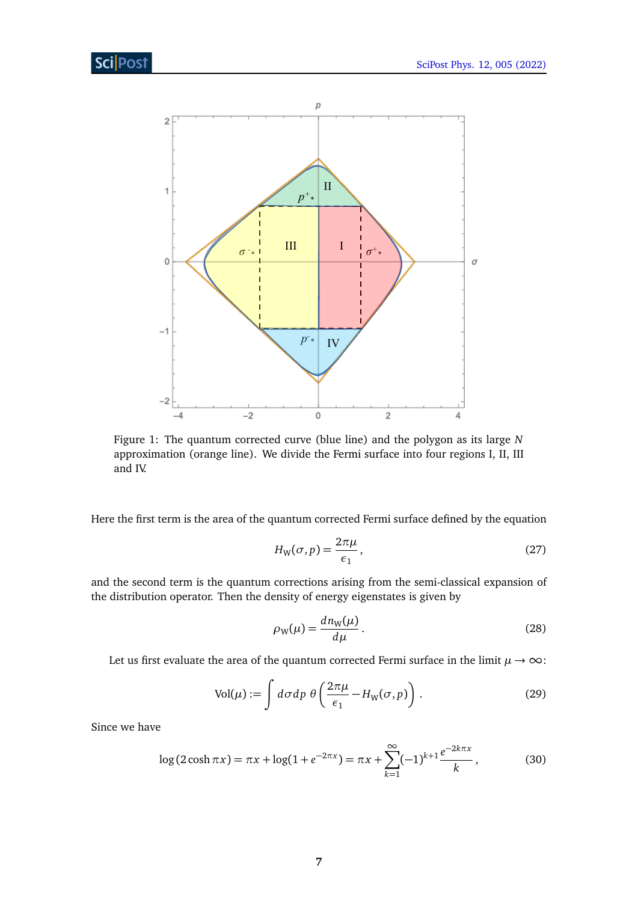<span id="page-6-1"></span>

Figure 1: The quantum corrected curve (blue line) and the polygon as its large *N* approximation (orange line). We divide the Fermi surface into four regions I, II, III and IV.

Here the first term is the area of the quantum corrected Fermi surface defined by the equation

<span id="page-6-0"></span>
$$
H_{\rm W}(\sigma, p) = \frac{2\pi\mu}{\epsilon_1},\tag{27}
$$

and the second term is the quantum corrections arising from the semi-classical expansion of the distribution operator. Then the density of energy eigenstates is given by

<span id="page-6-2"></span>
$$
\rho_{\rm W}(\mu) = \frac{dn_{\rm W}(\mu)}{d\mu}.
$$
\n(28)

Let us first evaluate the area of the quantum corrected Fermi surface in the limit  $\mu \to \infty$ :

$$
Vol(\mu) := \int d\sigma dp \; \theta \left( \frac{2\pi\mu}{\epsilon_1} - H_W(\sigma, p) \right). \tag{29}
$$

Since we have

$$
\log(2\cosh\pi x) = \pi x + \log(1 + e^{-2\pi x}) = \pi x + \sum_{k=1}^{\infty} (-1)^{k+1} \frac{e^{-2k\pi x}}{k},
$$
 (30)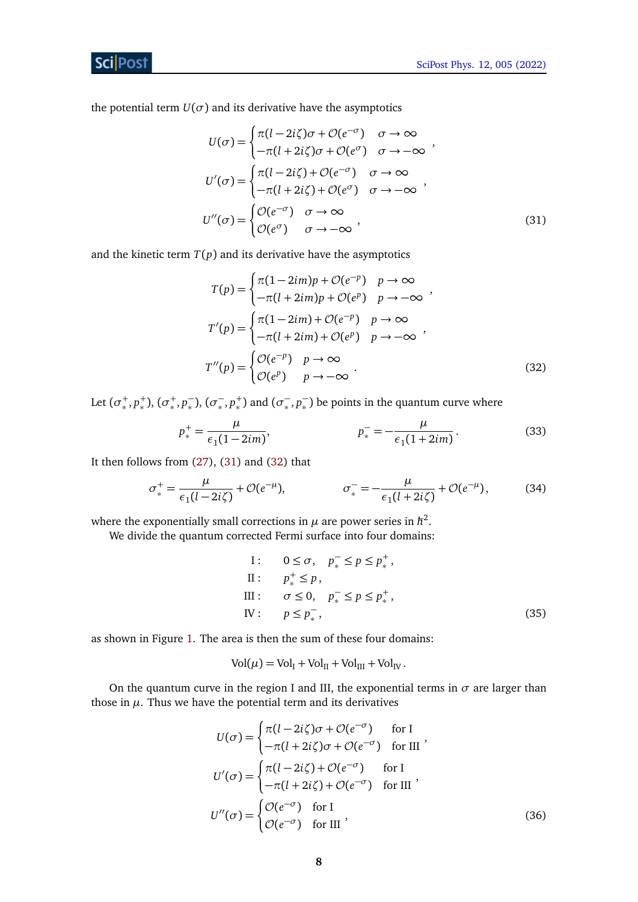the potential term  $U(\sigma)$  and its derivative have the asymptotics

$$
U(\sigma) = \begin{cases} \pi(l - 2i\zeta)\sigma + \mathcal{O}(e^{-\sigma}) & \sigma \to \infty \\ -\pi(l + 2i\zeta)\sigma + \mathcal{O}(e^{\sigma}) & \sigma \to -\infty \end{cases},
$$
  
\n
$$
U'(\sigma) = \begin{cases} \pi(l - 2i\zeta) + \mathcal{O}(e^{-\sigma}) & \sigma \to \infty \\ -\pi(l + 2i\zeta) + \mathcal{O}(e^{\sigma}) & \sigma \to -\infty \end{cases},
$$
  
\n
$$
U''(\sigma) = \begin{cases} \mathcal{O}(e^{-\sigma}) & \sigma \to \infty \\ \mathcal{O}(e^{\sigma}) & \sigma \to -\infty \end{cases},
$$
\n(31)

and the kinetic term  $T(p)$  and its derivative have the asymptotics

<span id="page-7-1"></span><span id="page-7-0"></span>
$$
T(p) = \begin{cases} \pi(1-2im)p + \mathcal{O}(e^{-p}) & p \to \infty \\ -\pi(l+2im)p + \mathcal{O}(e^{p}) & p \to -\infty \end{cases},
$$
  
\n
$$
T'(p) = \begin{cases} \pi(1-2im) + \mathcal{O}(e^{-p}) & p \to \infty \\ -\pi(l+2im) + \mathcal{O}(e^{p}) & p \to -\infty \end{cases},
$$
  
\n
$$
T''(p) = \begin{cases} \mathcal{O}(e^{-p}) & p \to \infty \\ \mathcal{O}(e^{p}) & p \to -\infty \end{cases}.
$$
\n(32)

Let  $(\sigma^+_{*}, p^+_{*}), (\sigma^+_{*}, p^-_{*}), (\sigma^-_{*}, p^+_{*})$  and  $(\sigma^-_{*}, p^-_{*})$  be points in the quantum curve where

$$
p_*^+ = \frac{\mu}{\epsilon_1 (1 - 2im)}, \qquad p_*^- = -\frac{\mu}{\epsilon_1 (1 + 2im)}.
$$
 (33)

It then follows from [\(27\)](#page-6-0), [\(31\)](#page-7-0) and [\(32\)](#page-7-1) that

$$
\sigma_*^+ = \frac{\mu}{\epsilon_1 (l - 2i\zeta)} + \mathcal{O}(e^{-\mu}), \qquad \sigma_*^- = -\frac{\mu}{\epsilon_1 (l + 2i\zeta)} + \mathcal{O}(e^{-\mu}), \qquad (34)
$$

where the exponentially small corrections in  $\mu$  are power series in  $\hbar^2$ .

We divide the quantum corrected Fermi surface into four domains:

I: 
$$
0 \leq \sigma
$$
,  $p_*^- \leq p \leq p_*^+$ ,  
\nII:  $p_*^+ \leq p$ ,  
\nIII:  $\sigma \leq 0$ ,  $p_*^- \leq p \leq p_*^+$ ,  
\nIV:  $p \leq p_*^-$ , (35)

as shown in Figure [1.](#page-6-1) The area is then the sum of these four domains:

$$
Vol(\mu) = Vol_I + Vol_{II} + Vol_{III} + Vol_{IV}.
$$

On the quantum curve in the region I and III, the exponential terms in  $\sigma$  are larger than those in  $\mu$ . Thus we have the potential term and its derivatives

$$
U(\sigma) = \begin{cases} \pi(l - 2i\zeta)\sigma + \mathcal{O}(e^{-\sigma}) & \text{for I} \\ -\pi(l + 2i\zeta)\sigma + \mathcal{O}(e^{-\sigma}) & \text{for III} \end{cases},
$$

$$
U'(\sigma) = \begin{cases} \pi(l - 2i\zeta) + \mathcal{O}(e^{-\sigma}) & \text{for I} \\ -\pi(l + 2i\zeta) + \mathcal{O}(e^{-\sigma}) & \text{for III} \end{cases},
$$

$$
U''(\sigma) = \begin{cases} \mathcal{O}(e^{-\sigma}) & \text{for I} \\ \mathcal{O}(e^{-\sigma}) & \text{for III} \end{cases},
$$
(36)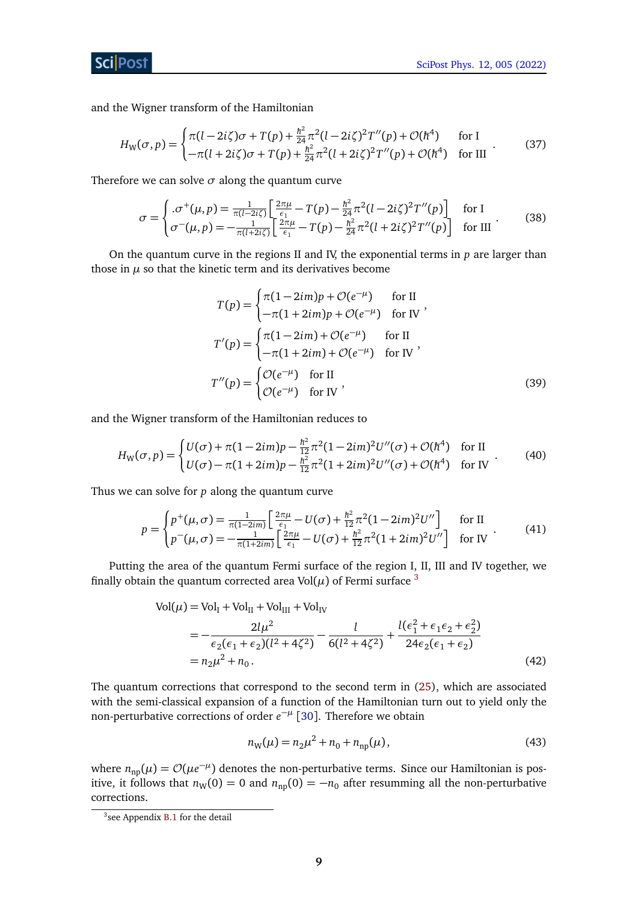and the Wigner transform of the Hamiltonian

$$
H_{\rm W}(\sigma, p) = \begin{cases} \pi(l - 2i\zeta)\sigma + T(p) + \frac{\hbar^2}{24}\pi^2(l - 2i\zeta)^2 T''(p) + \mathcal{O}(\hbar^4) & \text{for I} \\ -\pi(l + 2i\zeta)\sigma + T(p) + \frac{\hbar^2}{24}\pi^2(l + 2i\zeta)^2 T''(p) + \mathcal{O}(\hbar^4) & \text{for III} \end{cases} \tag{37}
$$

Therefore we can solve  $\sigma$  along the quantum curve

$$
\sigma = \begin{cases}\n.\sigma^+(\mu, p) = \frac{1}{\pi(l - 2i\zeta)} \left[ \frac{2\pi\mu}{\epsilon_1} - T(p) - \frac{\hbar^2}{24} \pi^2 (l - 2i\zeta)^2 T''(p) \right] & \text{for } l \\
\sigma^-(\mu, p) = -\frac{1}{\pi(l + 2i\zeta)} \left[ \frac{2\pi\mu}{\epsilon_1} - T(p) - \frac{\hbar^2}{24} \pi^2 (l + 2i\zeta)^2 T''(p) \right] & \text{for III}\n\end{cases} (38)
$$

On the quantum curve in the regions II and IV, the exponential terms in *p* are larger than those in  $\mu$  so that the kinetic term and its derivatives become

<span id="page-8-1"></span>
$$
T(p) = \begin{cases} \pi(1-2im)p + \mathcal{O}(e^{-\mu}) & \text{for II} \\ -\pi(1+2im)p + \mathcal{O}(e^{-\mu}) & \text{for IV} \end{cases}
$$

$$
T'(p) = \begin{cases} \pi(1-2im) + \mathcal{O}(e^{-\mu}) & \text{for II} \\ -\pi(1+2im) + \mathcal{O}(e^{-\mu}) & \text{for IV} \end{cases}
$$

$$
T''(p) = \begin{cases} \mathcal{O}(e^{-\mu}) & \text{for II} \\ \mathcal{O}(e^{-\mu}) & \text{for IV} \end{cases}
$$
(39)

and the Wigner transform of the Hamiltonian reduces to

$$
H_{\rm W}(\sigma, p) = \begin{cases} U(\sigma) + \pi (1 - 2im)p - \frac{\hbar^2}{12} \pi^2 (1 - 2im)^2 U''(\sigma) + \mathcal{O}(\hbar^4) & \text{for II} \\ U(\sigma) - \pi (1 + 2im)p - \frac{\hbar^2}{12} \pi^2 (1 + 2im)^2 U''(\sigma) + \mathcal{O}(\hbar^4) & \text{for IV} \end{cases}
$$
(40)

Thus we can solve for *p* along the quantum curve

$$
p = \begin{cases} p^+(\mu, \sigma) = \frac{1}{\pi(1-2im)} \left[ \frac{2\pi\mu}{\epsilon_1} - U(\sigma) + \frac{\hbar^2}{12} \pi^2 (1-2im)^2 U'' \right] & \text{for II} \\ p^-(\mu, \sigma) = -\frac{1}{\pi(1+2im)} \left[ \frac{2\pi\mu}{\epsilon_1} - U(\sigma) + \frac{\hbar^2}{12} \pi^2 (1+2im)^2 U'' \right] & \text{for IV} \end{cases} \tag{41}
$$

Putting the area of the quantum Fermi surface of the region I, II, III and IV together, we finally obtain the quantum corrected area Vol $(\mu)$  of Fermi surface <sup>[3](#page-8-0)</sup>

$$
Vol(\mu) = Vol_I + Vol_{II} + Vol_{III} + Vol_{IV}
$$
  
= 
$$
-\frac{2l\mu^2}{\epsilon_2(\epsilon_1 + \epsilon_2)(l^2 + 4\zeta^2)} - \frac{l}{6(l^2 + 4\zeta^2)} + \frac{l(\epsilon_1^2 + \epsilon_1\epsilon_2 + \epsilon_2^2)}{24\epsilon_2(\epsilon_1 + \epsilon_2)}
$$
  
= 
$$
n_2\mu^2 + n_0.
$$
 (42)

The quantum corrections that correspond to the second term in [\(25\)](#page-5-0), which are associated with the semi-classical expansion of a function of the Hamiltonian turn out to yield only the non-perturbative corrections of order  $e^{-\mu}$  [[30](#page-33-10)]. Therefore we obtain

<span id="page-8-2"></span>
$$
n_{\rm W}(\mu) = n_2 \mu^2 + n_0 + n_{\rm np}(\mu),\tag{43}
$$

where  $n_{\text{np}}(\mu) = \mathcal{O}(\mu e^{-\mu})$  denotes the non-perturbative terms. Since our Hamiltonian is positive, it follows that  $n_W(0) = 0$  and  $n_{np}(0) = -n_0$  after resumming all the non-perturbative corrections.

<span id="page-8-0"></span><sup>&</sup>lt;sup>3</sup> see Appendix [B.1](#page-29-1) for the detail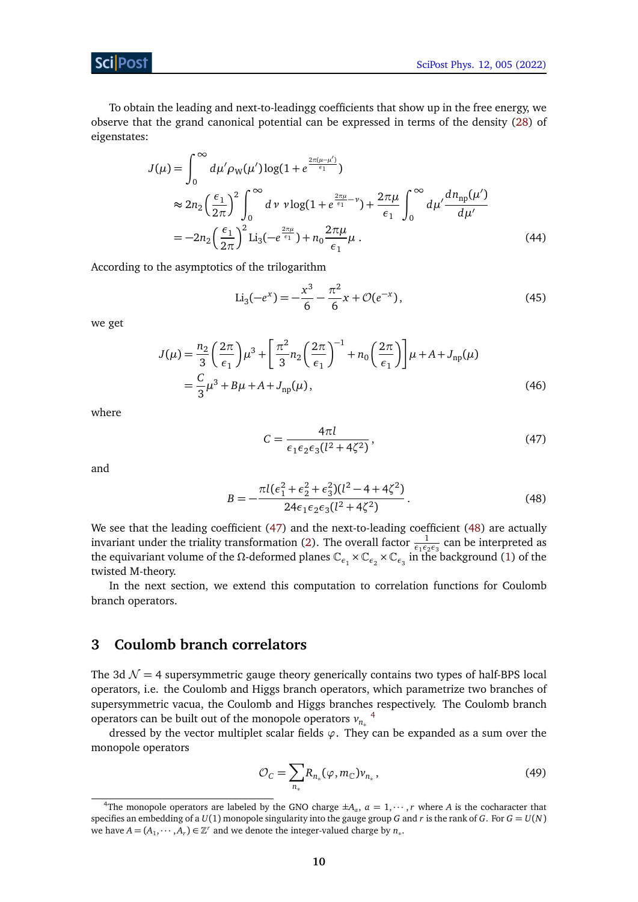

To obtain the leading and next-to-leadingg coefficients that show up in the free energy, we observe that the grand canonical potential can be expressed in terms of the density [\(28\)](#page-6-2) of eigenstates:

$$
J(\mu) = \int_0^{\infty} d\mu' \rho_{W}(\mu') \log(1 + e^{\frac{2\pi(\mu - \mu')}{\epsilon_1}})
$$
  
\n
$$
\approx 2n_2 \left(\frac{\epsilon_1}{2\pi}\right)^2 \int_0^{\infty} d\nu \nu \log(1 + e^{\frac{2\pi\mu}{\epsilon_1} - \nu}) + \frac{2\pi\mu}{\epsilon_1} \int_0^{\infty} d\mu' \frac{dn_{np}(\mu')}{d\mu'}
$$
  
\n
$$
= -2n_2 \left(\frac{\epsilon_1}{2\pi}\right)^2 \text{Li}_3(-e^{\frac{2\pi\mu}{\epsilon_1}}) + n_0 \frac{2\pi\mu}{\epsilon_1} \mu.
$$
 (44)

According to the asymptotics of the trilogarithm

$$
\text{Li}_3(-e^x) = -\frac{x^3}{6} - \frac{\pi^2}{6}x + \mathcal{O}(e^{-x}),\tag{45}
$$

we get

$$
J(\mu) = \frac{n_2}{3} \left(\frac{2\pi}{\epsilon_1}\right) \mu^3 + \left[\frac{\pi^2}{3} n_2 \left(\frac{2\pi}{\epsilon_1}\right)^{-1} + n_0 \left(\frac{2\pi}{\epsilon_1}\right)\right] \mu + A + J_{\rm np}(\mu)
$$
  
=  $\frac{C}{3} \mu^3 + B\mu + A + J_{\rm np}(\mu)$ , (46)

where

<span id="page-9-4"></span><span id="page-9-2"></span><span id="page-9-1"></span>
$$
C = \frac{4\pi l}{\epsilon_1 \epsilon_2 \epsilon_3 (l^2 + 4\zeta^2)},
$$
\n(47)

and

$$
B = -\frac{\pi l(\epsilon_1^2 + \epsilon_2^2 + \epsilon_3^2)(l^2 - 4 + 4\zeta^2)}{24\epsilon_1 \epsilon_2 \epsilon_3 (l^2 + 4\zeta^2)}.
$$
\n(48)

We see that the leading coefficient [\(47\)](#page-9-1) and the next-to-leading coefficient [\(48\)](#page-9-2) are actually invariant under the triality transformation [\(2\)](#page-2-3). The overall factor  $\frac{1}{\epsilon_1\epsilon_2\epsilon_3}$  can be interpreted as the equivariant volume of the *Ω*-deformed planes  $\mathbb{C}_{\epsilon_1} \times \mathbb{C}_{\epsilon_2} \times \mathbb{C}_{\epsilon_3}$  in the background [\(1\)](#page-2-2) of the twisted M-theory.

In the next section, we extend this computation to correlation functions for Coulomb branch operators.

## <span id="page-9-0"></span>**3 Coulomb branch correlators**

The 3d  $\mathcal{N} = 4$  supersymmetric gauge theory generically contains two types of half-BPS local operators, i.e. the Coulomb and Higgs branch operators, which parametrize two branches of supersymmetric vacua, the Coulomb and Higgs branches respectively. The Coulomb branch operators can be built out of the monopole operators  $v_{n_*}$ <sup>[4](#page-9-3)</sup>

dressed by the vector multiplet scalar fields *ϕ*. They can be expanded as a sum over the monopole operators

$$
\mathcal{O}_C = \sum_{n_*} R_{n_*}(\varphi, m_\mathbb{C}) \nu_{n_*},\tag{49}
$$

<span id="page-9-3"></span><sup>&</sup>lt;sup>4</sup>The monopole operators are labeled by the GNO charge  $\pm A_a$ ,  $a = 1, \dots, r$  where *A* is the cocharacter that specifies an embedding of a  $U(1)$  monopole singularity into the gauge group *G* and *r* is the rank of *G*. For  $G = U(N)$ we have  $A = (A_1, \dots, A_r) \in \mathbb{Z}^r$  and we denote the integer-valued charge by  $n_*$ .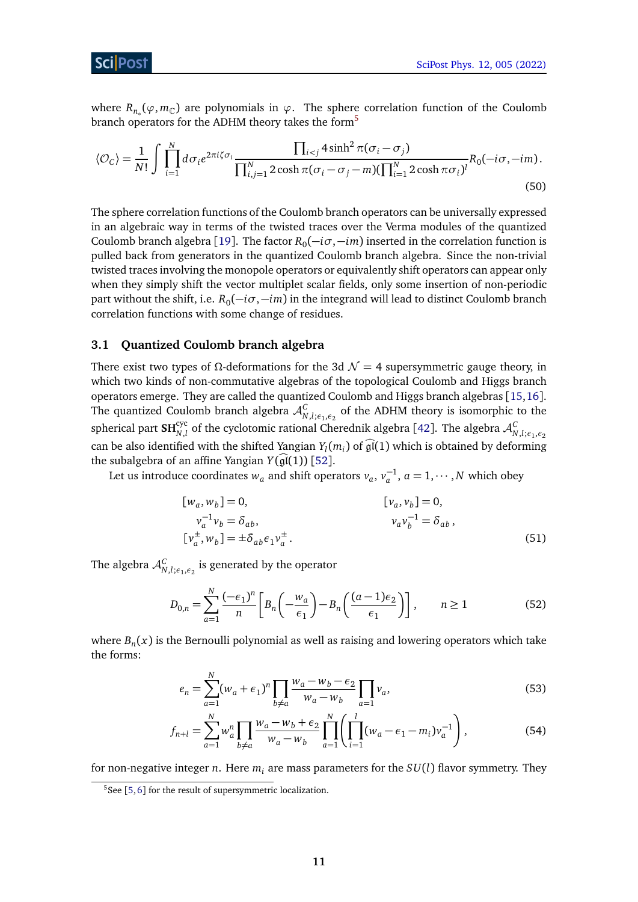ScilPos<sup>.</sup>

where  $R_{n_*}(\varphi,m_\mathbb{C})$  are polynomials in  $\varphi$ . The sphere correlation function of the Coulomb branch operators for the ADHM theory takes the form<sup>[5](#page-10-1)</sup>

<span id="page-10-2"></span>
$$
\langle \mathcal{O}_C \rangle = \frac{1}{N!} \int \prod_{i=1}^N d\sigma_i e^{2\pi i \zeta \sigma_i} \frac{\prod_{i < j} 4\sinh^2 \pi (\sigma_i - \sigma_j)}{\prod_{i,j=1}^N 2\cosh \pi (\sigma_i - \sigma_j - m)(\prod_{i=1}^N 2\cosh \pi \sigma_i)^l} R_0(-i\sigma, -i m). \tag{50}
$$

The sphere correlation functions of the Coulomb branch operators can be universally expressed in an algebraic way in terms of the twisted traces over the Verma modules of the quantized Coulomb branch algebra [[19](#page-33-0)]. The factor  $R_0(-i\sigma, -im)$  inserted in the correlation function is pulled back from generators in the quantized Coulomb branch algebra. Since the non-trivial twisted traces involving the monopole operators or equivalently shift operators can appear only when they simply shift the vector multiplet scalar fields, only some insertion of non-periodic part without the shift, i.e. *R*<sub>0</sub>(−*iσ*,−*im*) in the integrand will lead to distinct Coulomb branch correlation functions with some change of residues.

### <span id="page-10-0"></span>**3.1 Quantized Coulomb branch algebra**

There exist two types of  $\Omega$ -deformations for the 3d  $\mathcal{N} = 4$  supersymmetric gauge theory, in which two kinds of non-commutative algebras of the topological Coulomb and Higgs branch operators emerge. They are called the quantized Coulomb and Higgs branch algebras [[15,](#page-32-6)[16](#page-32-9)]. The quantized Coulomb branch algebra  $\mathcal{A}_{N,l;\epsilon_1,\epsilon_2}^C$  of the ADHM theory is isomorphic to the spherical part  $SH_{N,l}^{cyc}$  of the cyclotomic rational Cherednik algebra [[42](#page-34-1)]. The algebra  $\mathcal{A}_{N,l;\epsilon_1,\epsilon_2}^C$ can be also identified with the shifted Yangian  $Y_l(m_i)$  of  $\mathfrak{gl}(1)$  which is obtained by deforming the subalgebra of an affine Yangian  $Y(\mathfrak{gl}(1))$  [[52](#page-34-10)].

Let us introduce coordinates  $w_a$  and shift operators  $v_a$ ,  $v_a^{-1}$ ,  $a = 1, \dots, N$  which obey

$$
[w_a, w_b] = 0,
$$
  
\n
$$
v_a^{-1}v_b = \delta_{ab},
$$
  
\n
$$
[v_a, v_b] = 0,
$$
  
\n
$$
v_a v_b^{-1} = \delta_{ab},
$$
  
\n
$$
[v_a^+, w_b] = \pm \delta_{ab} \epsilon_1 v_a^{\pm}.
$$
\n(51)

The algebra  $\mathcal{A}_{N,l;\epsilon_1,\epsilon_2}^C$  is generated by the operator

$$
D_{0,n} = \sum_{a=1}^{N} \frac{(-\epsilon_1)^n}{n} \left[ B_n \left( -\frac{w_a}{\epsilon_1} \right) - B_n \left( \frac{(a-1)\epsilon_2}{\epsilon_1} \right) \right], \qquad n \ge 1 \tag{52}
$$

where *B<sup>n</sup>* (*x*) is the Bernoulli polynomial as well as raising and lowering operators which take the forms:

$$
e_n = \sum_{a=1}^{N} (w_a + \epsilon_1)^n \prod_{b \neq a} \frac{w_a - w_b - \epsilon_2}{w_a - w_b} \prod_{a=1} v_a,
$$
\n
$$
(53)
$$

$$
f_{n+l} = \sum_{a=1}^{N} w_a^n \prod_{b \neq a} \frac{w_a - w_b + \epsilon_2}{w_a - w_b} \prod_{a=1}^{N} \left( \prod_{i=1}^{l} (w_a - \epsilon_1 - m_i) v_a^{-1} \right),
$$
 (54)

for non-negative integer *n*. Here *m<sup>i</sup>* are mass parameters for the *SU*(*l*) flavor symmetry. They

<span id="page-10-1"></span> $5$ See [[5,](#page-32-10) [6](#page-32-1)] for the result of supersymmetric localization.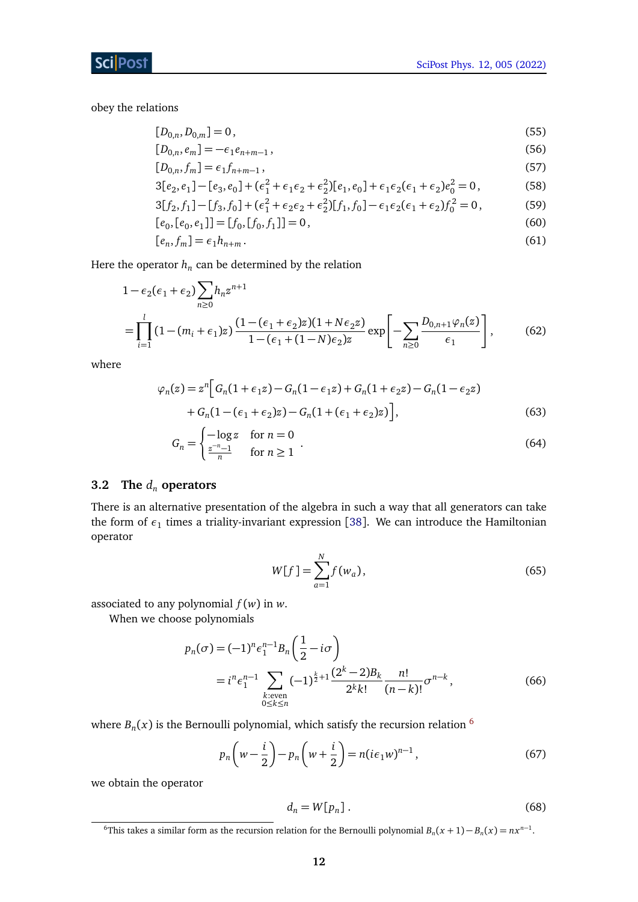obey the relations

$$
[D_{0,n}, D_{0,m}] = 0, \t\t(55)
$$

$$
[D_{0,n}, e_m] = -\epsilon_1 e_{n+m-1},
$$
\n(56)

$$
[D_{0,n}, f_m] = \epsilon_1 f_{n+m-1},\tag{57}
$$

$$
3[e_2, e_1] - [e_3, e_0] + (\epsilon_1^2 + \epsilon_1 \epsilon_2 + \epsilon_2^2)[e_1, e_0] + \epsilon_1 \epsilon_2 (\epsilon_1 + \epsilon_2) e_0^2 = 0,
$$
\n(58)

$$
3[f_2, f_1] - [f_3, f_0] + (\epsilon_1^2 + \epsilon_2 \epsilon_2 + \epsilon_2^2)[f_1, f_0] - \epsilon_1 \epsilon_2 (\epsilon_1 + \epsilon_2) f_0^2 = 0,
$$
\n(59)

$$
[e_0, [e_0, e_1]] = [f_0, [f_0, f_1]] = 0,
$$
\n(60)

$$
[e_n, f_m] = \epsilon_1 h_{n+m}.
$$
\n<sup>(61)</sup>

Here the operator  $h_n$  can be determined by the relation

$$
1 - \epsilon_2(\epsilon_1 + \epsilon_2) \sum_{n\geq 0} h_n z^{n+1}
$$
  
= 
$$
\prod_{i=1}^l (1 - (m_i + \epsilon_1)z) \frac{(1 - (\epsilon_1 + \epsilon_2)z)(1 + N\epsilon_2 z)}{1 - (\epsilon_1 + (1 - N)\epsilon_2)z} \exp\left[-\sum_{n\geq 0} \frac{D_{0,n+1} \varphi_n(z)}{\epsilon_1}\right],
$$
 (62)

where

$$
\varphi_n(z) = z^n \Big[ G_n(1 + \epsilon_1 z) - G_n(1 - \epsilon_1 z) + G_n(1 + \epsilon_2 z) - G_n(1 - \epsilon_2 z)
$$
  
+ 
$$
G_n(1 - (\epsilon_1 + \epsilon_2)z) - G_n(1 + (\epsilon_1 + \epsilon_2)z) \Big],
$$
 (63)

$$
G_n = \begin{cases} -\log z & \text{for } n = 0\\ \frac{z^{-n} - 1}{n} & \text{for } n \ge 1 \end{cases} \tag{64}
$$

#### <span id="page-11-0"></span>**3.2 The** *d<sup>n</sup>* **operators**

There is an alternative presentation of the algebra in such a way that all generators can take the form of  $\epsilon_1$  times a triality-invariant expression [[38](#page-34-0)]. We can introduce the Hamiltonian operator

$$
W[f] = \sum_{a=1}^{N} f(w_a),
$$
\n(65)

associated to any polynomial *f* (*w*) in *w*.

When we choose polynomials

$$
p_n(\sigma) = (-1)^n \epsilon_1^{n-1} B_n \left( \frac{1}{2} - i\sigma \right)
$$
  
=  $i^n \epsilon_1^{n-1} \sum_{\substack{k:\text{even} \\ 0 \le k \le n}} (-1)^{\frac{k}{2}+1} \frac{(2^k - 2)B_k}{2^k k!} \frac{n!}{(n-k)!} \sigma^{n-k},$  (66)

where  $B_n(x)$  is the Bernoulli polynomial, which satisfy the recursion relation  $^6$  $^6$ 

$$
p_n\left(w-\frac{i}{2}\right)-p_n\left(w+\frac{i}{2}\right)=n(i\epsilon_1w)^{n-1},\tag{67}
$$

we obtain the operator

<span id="page-11-3"></span><span id="page-11-2"></span>
$$
d_n = W[p_n]. \tag{68}
$$

<span id="page-11-1"></span><sup>&</sup>lt;sup>6</sup>This takes a similar form as the recursion relation for the Bernoulli polynomial  $B_n(x + 1) - B_n(x) = nx^{n-1}$ .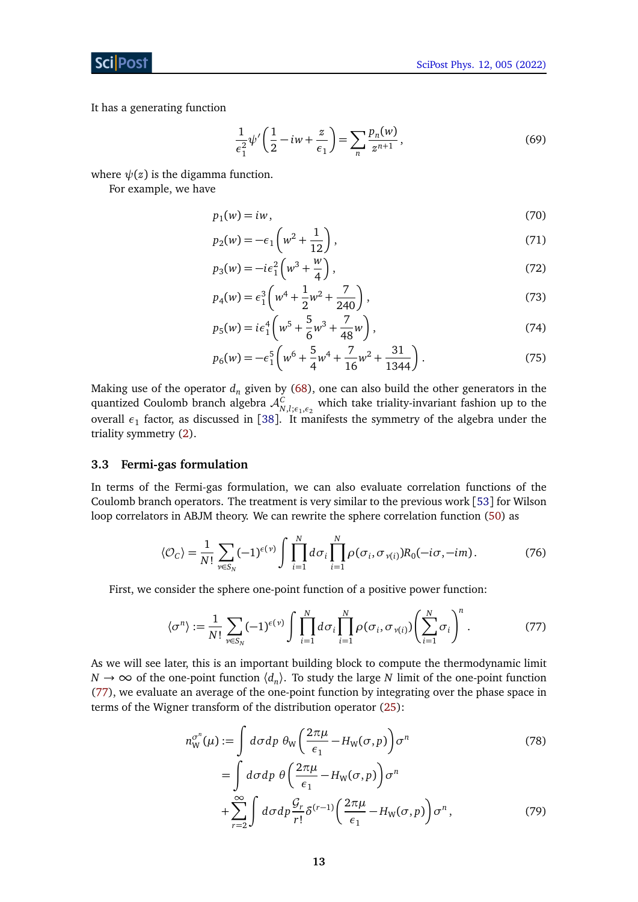ScilPos

It has a generating function

$$
\frac{1}{\epsilon_1^2} \psi' \left( \frac{1}{2} - iw + \frac{z}{\epsilon_1} \right) = \sum_n \frac{p_n(w)}{z^{n+1}},
$$
\n(69)

where  $\psi(z)$  is the digamma function.

For example, we have

$$
p_1(w) = iw,\tag{70}
$$

$$
p_2(w) = -\epsilon_1 \left( w^2 + \frac{1}{12} \right),\tag{71}
$$

$$
p_3(w) = -ie_1^2 \left(w^3 + \frac{w}{4}\right),\tag{72}
$$

$$
p_4(w) = \epsilon_1^3 \left( w^4 + \frac{1}{2} w^2 + \frac{7}{240} \right),\tag{73}
$$

$$
p_5(w) = i\epsilon_1^4 \left( w^5 + \frac{5}{6}w^3 + \frac{7}{48}w \right),\tag{74}
$$

$$
p_6(w) = -\epsilon_1^5 \left( w^6 + \frac{5}{4} w^4 + \frac{7}{16} w^2 + \frac{31}{1344} \right). \tag{75}
$$

Making use of the operator  $d_n$  given by [\(68\)](#page-11-2), one can also build the other generators in the quantized Coulomb branch algebra  $\mathcal{A}_{N,l;\epsilon_1,\epsilon_2}^C$  which take triality-invariant fashion up to the overall  $\epsilon_1$  factor, as discussed in [[38](#page-34-0)]. It manifests the symmetry of the algebra under the triality symmetry [\(2\)](#page-2-3).

#### <span id="page-12-0"></span>**3.3 Fermi-gas formulation**

In terms of the Fermi-gas formulation, we can also evaluate correlation functions of the Coulomb branch operators. The treatment is very similar to the previous work [[53](#page-34-11)] for Wilson loop correlators in ABJM theory. We can rewrite the sphere correlation function [\(50\)](#page-10-2) as

$$
\langle \mathcal{O}_C \rangle = \frac{1}{N!} \sum_{\nu \in S_N} (-1)^{\epsilon(\nu)} \int \prod_{i=1}^N d\sigma_i \prod_{i=1}^N \rho(\sigma_i, \sigma_{\nu(i)}) R_0(-i\sigma, -i\mathfrak{m}). \tag{76}
$$

First, we consider the sphere one-point function of a positive power function:

<span id="page-12-1"></span>
$$
\langle \sigma^n \rangle := \frac{1}{N!} \sum_{\nu \in S_N} (-1)^{\epsilon(\nu)} \int \prod_{i=1}^N d\sigma_i \prod_{i=1}^N \rho(\sigma_i, \sigma_{\nu(i)}) \left( \sum_{i=1}^N \sigma_i \right)^n. \tag{77}
$$

As we will see later, this is an important building block to compute the thermodynamic limit  $N \to \infty$  of the one-point function  $\langle d_n \rangle$ . To study the large *N* limit of the one-point function [\(77\)](#page-12-1), we evaluate an average of the one-point function by integrating over the phase space in terms of the Wigner transform of the distribution operator [\(25\)](#page-5-0):

<span id="page-12-2"></span>
$$
n_{\rm W}^{\sigma^n}(\mu) := \int d\sigma dp \; \theta_{\rm W} \left( \frac{2\pi\mu}{\epsilon_1} - H_{\rm W}(\sigma, p) \right) \sigma^n
$$
\n
$$
= \int d\sigma dp \; \theta \left( \frac{2\pi\mu}{\epsilon_1} - H_{\rm W}(\sigma, p) \right) \sigma^n
$$
\n
$$
+ \sum_{r=2}^{\infty} \int d\sigma dp \frac{\mathcal{G}_r}{r!} \delta^{(r-1)} \left( \frac{2\pi\mu}{\epsilon_1} - H_{\rm W}(\sigma, p) \right) \sigma^n,
$$
\n(79)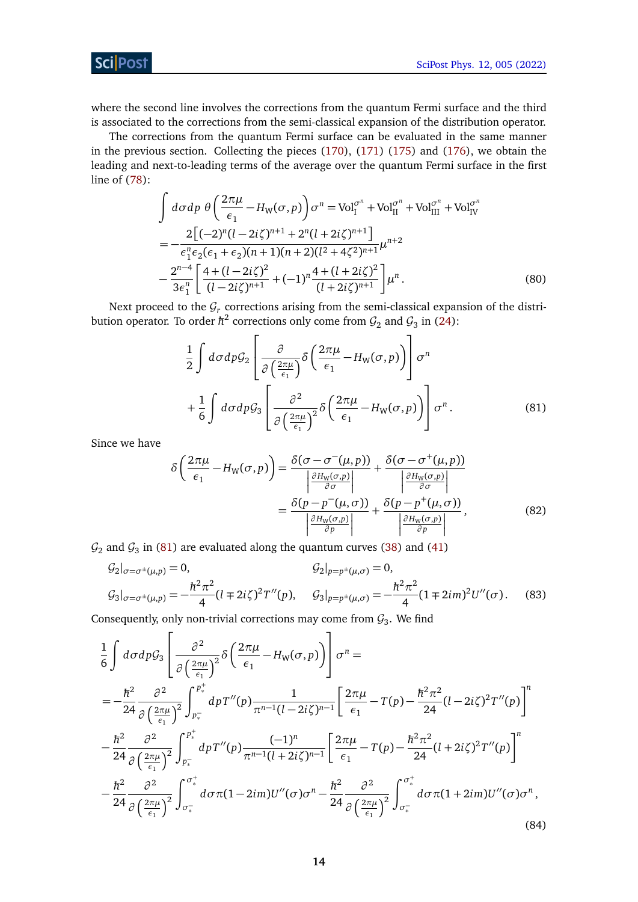[SciPost Phys. 12, 005 \(2022\)](https://scipost.org/SciPostPhys.12.1.005)

## **Sci** Post

where the second line involves the corrections from the quantum Fermi surface and the third is associated to the corrections from the semi-classical expansion of the distribution operator.

The corrections from the quantum Fermi surface can be evaluated in the same manner in the previous section. Collecting the pieces [\(170\)](#page-30-1), [\(171\)](#page-30-2) [\(175\)](#page-31-5) and [\(176\)](#page-31-6), we obtain the leading and next-to-leading terms of the average over the quantum Fermi surface in the first line of [\(78\)](#page-12-2):

$$
\int d\sigma dp \, \theta \left( \frac{2\pi\mu}{\epsilon_1} - H_W(\sigma, p) \right) \sigma^n = \text{Vol}_1^{\sigma^n} + \text{Vol}_{\text{II}}^{\sigma^n} + \text{Vol}_{\text{III}}^{\sigma^n} + \text{Vol}_{\text{IV}}^{\sigma^n}
$$
\n
$$
= -\frac{2\left[ (-2)^n (l - 2i\zeta)^{n+1} + 2^n (l + 2i\zeta)^{n+1} \right]}{\epsilon_1^n \epsilon_2 (\epsilon_1 + \epsilon_2)(n+1)(n+2)(l^2 + 4\zeta^2)^{n+1}} \mu^{n+2}
$$
\n
$$
- \frac{2^{n-4}}{3\epsilon_1^n} \left[ \frac{4 + (l - 2i\zeta)^2}{(l - 2i\zeta)^{n+1}} + (-1)^n \frac{4 + (l + 2i\zeta)^2}{(l + 2i\zeta)^{n+1}} \right] \mu^n. \tag{80}
$$

Next proceed to the  $\mathcal{G}_r$  corrections arising from the semi-classical expansion of the distribution operator. To order  $\hbar^2$  corrections only come from  $\mathcal{G}_2$  and  $\mathcal{G}_3$  in [\(24\)](#page-5-1):

<span id="page-13-0"></span>
$$
\frac{1}{2} \int d\sigma dp \mathcal{G}_2 \left[ \frac{\partial}{\partial \left( \frac{2\pi\mu}{\epsilon_1} \right)} \delta \left( \frac{2\pi\mu}{\epsilon_1} - H_W(\sigma, p) \right) \right] \sigma^n
$$

$$
+ \frac{1}{6} \int d\sigma dp \mathcal{G}_3 \left[ \frac{\partial^2}{\partial \left( \frac{2\pi\mu}{\epsilon_1} \right)^2} \delta \left( \frac{2\pi\mu}{\epsilon_1} - H_W(\sigma, p) \right) \right] \sigma^n. \tag{81}
$$

Since we have

$$
\delta \left( \frac{2\pi\mu}{\epsilon_1} - H_{\mathbf{W}}(\sigma, p) \right) = \frac{\delta(\sigma - \sigma^-(\mu, p))}{\left| \frac{\partial H_{\mathbf{W}}(\sigma, p)}{\partial \sigma} \right|} + \frac{\delta(\sigma - \sigma^+(\mu, p))}{\left| \frac{\partial H_{\mathbf{W}}(\sigma, p)}{\partial \sigma} \right|} \n= \frac{\delta(p - p^-(\mu, \sigma))}{\left| \frac{\partial H_{\mathbf{W}}(\sigma, p)}{\partial p} \right|} + \frac{\delta(p - p^+(\mu, \sigma))}{\left| \frac{\partial H_{\mathbf{W}}(\sigma, p)}{\partial p} \right|},
$$
\n(82)

 $\mathcal{G}_2$  and  $\mathcal{G}_3$  in [\(81\)](#page-13-0) are evaluated along the quantum curves [\(38\)](#page-8-1) and [\(41\)](#page-8-2)

$$
G_2|_{\sigma=\sigma^{\pm}(\mu,p)}=0, \qquad G_2|_{p=p^{\pm}(\mu,\sigma)}=0,
$$
  

$$
G_3|_{\sigma=\sigma^{\pm}(\mu,p)}=-\frac{\hbar^2\pi^2}{4}(l\mp 2i\zeta)^2T''(p), \qquad G_3|_{p=p^{\pm}(\mu,\sigma)}=-\frac{\hbar^2\pi^2}{4}(1\mp 2im)^2U''(\sigma).
$$
 (83)

Consequently, only non-trivial corrections may come from  $\mathcal{G}_3$ . We find

$$
\frac{1}{6} \int d\sigma dp \mathcal{G}_3 \left[ \frac{\partial^2}{\partial \left(\frac{2\pi\mu}{\epsilon_1}\right)^2} \delta \left(\frac{2\pi\mu}{\epsilon_1} - H_W(\sigma, p)\right) \right] \sigma^n =
$$
\n
$$
= -\frac{\hbar^2}{24} \frac{\partial^2}{\partial \left(\frac{2\pi\mu}{\epsilon_1}\right)^2} \int_{p_*^-}^{p_*^+} dp \, T''(p) \frac{1}{\pi^{n-1} (l - 2i\zeta)^{n-1}} \left[ \frac{2\pi\mu}{\epsilon_1} - T(p) - \frac{\hbar^2 \pi^2}{24} (l - 2i\zeta)^2 T''(p) \right]^n
$$
\n
$$
- \frac{\hbar^2}{24} \frac{\partial^2}{\partial \left(\frac{2\pi\mu}{\epsilon_1}\right)^2} \int_{p_*^-}^{p_*^+} dp \, T''(p) \frac{(-1)^n}{\pi^{n-1} (l + 2i\zeta)^{n-1}} \left[ \frac{2\pi\mu}{\epsilon_1} - T(p) - \frac{\hbar^2 \pi^2}{24} (l + 2i\zeta)^2 T''(p) \right]^n
$$
\n
$$
- \frac{\hbar^2}{24} \frac{\partial^2}{\partial \left(\frac{2\pi\mu}{\epsilon_1}\right)^2} \int_{\sigma_*^-}^{\sigma_*^+} d\sigma \pi (1 - 2im) U''(\sigma) \sigma^n - \frac{\hbar^2}{24} \frac{\partial^2}{\partial \left(\frac{2\pi\mu}{\epsilon_1}\right)^2} \int_{\sigma_*^-}^{\sigma_*^+} d\sigma \pi (1 + 2im) U''(\sigma) \sigma^n,
$$
\n(84)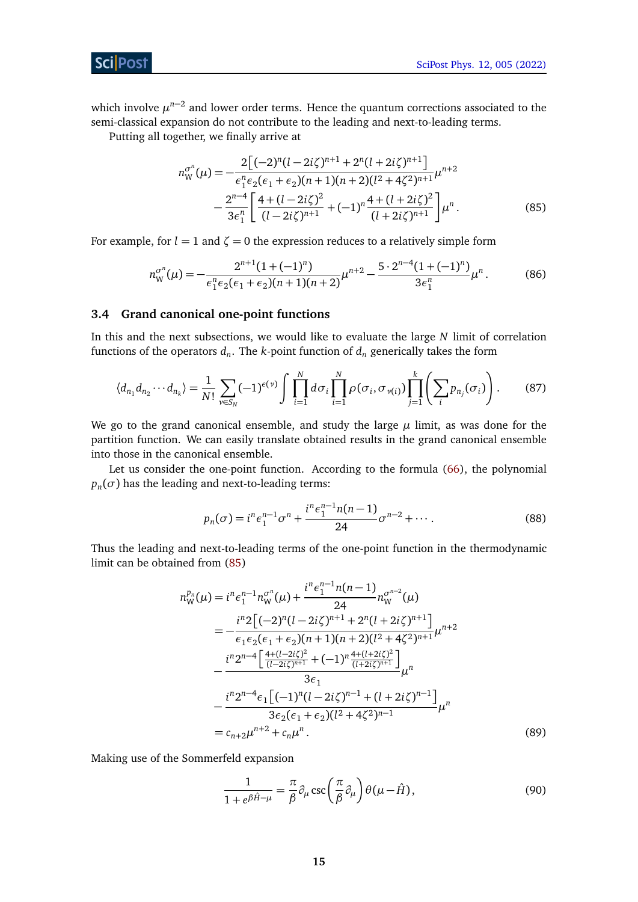<span id="page-14-1"></span>[SciPost Phys. 12, 005 \(2022\)](https://scipost.org/SciPostPhys.12.1.005)

**ScilPost** 

which involve  $\mu^{n-2}$  and lower order terms. Hence the quantum corrections associated to the semi-classical expansion do not contribute to the leading and next-to-leading terms.

Putting all together, we finally arrive at

$$
n_{\rm W}^{\sigma^n}(\mu) = -\frac{2\left[(-2)^n(l-2i\zeta)^{n+1} + 2^n(l+2i\zeta)^{n+1}\right]}{\epsilon_1^n \epsilon_2 (\epsilon_1 + \epsilon_2)(n+1)(n+2)(l^2 + 4\zeta^2)^{n+1}} \mu^{n+2} - \frac{2^{n-4}}{3\epsilon_1^n} \left[ \frac{4 + (l-2i\zeta)^2}{(l-2i\zeta)^{n+1}} + (-1)^n \frac{4 + (l+2i\zeta)^2}{(l+2i\zeta)^{n+1}} \right] \mu^n.
$$
(85)

For example, for  $l = 1$  and  $\zeta = 0$  the expression reduces to a relatively simple form

$$
n_W^{\sigma^n}(\mu) = -\frac{2^{n+1}(1+(-1)^n)}{\epsilon_1^n \epsilon_2 (\epsilon_1 + \epsilon_2)(n+1)(n+2)} \mu^{n+2} - \frac{5 \cdot 2^{n-4}(1+(-1)^n)}{3\epsilon_1^n} \mu^n. \tag{86}
$$

#### <span id="page-14-0"></span>**3.4 Grand canonical one-point functions**

In this and the next subsections, we would like to evaluate the large *N* limit of correlation functions of the operators *d<sup>n</sup>* . The *k*-point function of *d<sup>n</sup>* generically takes the form

$$
\langle d_{n_1} d_{n_2} \cdots d_{n_k} \rangle = \frac{1}{N!} \sum_{\nu \in S_N} (-1)^{\epsilon(\nu)} \int \prod_{i=1}^N d\sigma_i \prod_{i=1}^N \rho(\sigma_i, \sigma_{\nu(i)}) \prod_{j=1}^k \left( \sum_i p_{n_j}(\sigma_i) \right). \tag{87}
$$

We go to the grand canonical ensemble, and study the large  $\mu$  limit, as was done for the partition function. We can easily translate obtained results in the grand canonical ensemble into those in the canonical ensemble.

Let us consider the one-point function. According to the formula [\(66\)](#page-11-3), the polynomial  $p_n(\sigma)$  has the leading and next-to-leading terms:

$$
p_n(\sigma) = i^n \epsilon_1^{n-1} \sigma^n + \frac{i^n \epsilon_1^{n-1} n(n-1)}{24} \sigma^{n-2} + \cdots
$$
 (88)

Thus the leading and next-to-leading terms of the one-point function in the thermodynamic limit can be obtained from [\(85\)](#page-14-1)

$$
n_{\rm W}^{p_n}(\mu) = i^n \epsilon_1^{n-1} n_{\rm W}^{\sigma^n}(\mu) + \frac{i^n \epsilon_1^{n-1} n(n-1)}{24} n_{\rm W}^{\sigma^{n-2}}(\mu)
$$
  
\n
$$
= -\frac{i^n 2 \left[ (-2)^n (l - 2i\zeta)^{n+1} + 2^n (l + 2i\zeta)^{n+1} \right]}{\epsilon_1 \epsilon_2 (\epsilon_1 + \epsilon_2)(n+1)(n+2)(l^2 + 4\zeta^2)^{n+1}} \mu^{n+2}
$$
  
\n
$$
- \frac{i^n 2^{n-4} \left[ \frac{4 + (l - 2i\zeta)^2}{(l - 2i\zeta)^{n+1}} + (-1)^n \frac{4 + (l + 2i\zeta)^2}{(l + 2i\zeta)^{n+1}} \right]}{3\epsilon_1} \mu^n
$$
  
\n
$$
- \frac{i^n 2^{n-4} \epsilon_1 \left[ (-1)^n (l - 2i\zeta)^{n-1} + (l + 2i\zeta)^{n-1} \right]}{3\epsilon_2 (\epsilon_1 + \epsilon_2)(l^2 + 4\zeta^2)^{n-1}} \mu^n
$$
  
\n
$$
= c_{n+2} \mu^{n+2} + c_n \mu^n.
$$
 (89)

Making use of the Sommerfeld expansion

<span id="page-14-2"></span>
$$
\frac{1}{1 + e^{\beta \hat{H} - \mu}} = \frac{\pi}{\beta} \partial_{\mu} \csc\left(\frac{\pi}{\beta} \partial_{\mu}\right) \theta(\mu - \hat{H}),\tag{90}
$$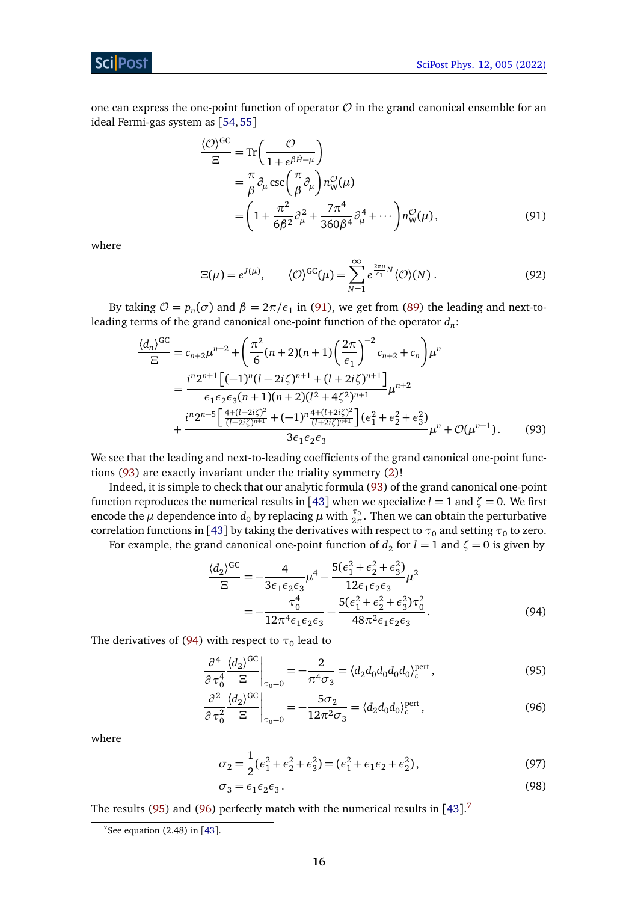## Sci Post

one can express the one-point function of operator  $\mathcal O$  in the grand canonical ensemble for an ideal Fermi-gas system as [[54,](#page-34-12)[55](#page-34-13)]

$$
\frac{\langle \mathcal{O} \rangle^{\text{GC}}}{\Xi} = \text{Tr}\left(\frac{\mathcal{O}}{1 + e^{\beta \hat{H} - \mu}}\right)
$$
  
=  $\frac{\pi}{\beta} \partial_{\mu} \csc\left(\frac{\pi}{\beta} \partial_{\mu}\right) n_{\text{W}}^{\mathcal{O}}(\mu)$   
=  $\left(1 + \frac{\pi^2}{6\beta^2} \partial_{\mu}^2 + \frac{7\pi^4}{360\beta^4} \partial_{\mu}^4 + \cdots\right) n_{\text{W}}^{\mathcal{O}}(\mu),$  (91)

where

<span id="page-15-0"></span>
$$
\Xi(\mu) = e^{J(\mu)}, \qquad \langle \mathcal{O} \rangle^{\text{GC}}(\mu) = \sum_{N=1}^{\infty} e^{\frac{2\pi\mu}{\epsilon_1} N} \langle \mathcal{O} \rangle(N) . \tag{92}
$$

By taking  $O = p_n(\sigma)$  and  $\beta = 2\pi/\epsilon_1$  in [\(91\)](#page-15-0), we get from [\(89\)](#page-14-2) the leading and next-toleading terms of the grand canonical one-point function of the operator *d<sup>n</sup>* :

$$
\frac{\langle d_n \rangle^{GC}}{\Xi} = c_{n+2} \mu^{n+2} + \left( \frac{\pi^2}{6} (n+2)(n+1) \left( \frac{2\pi}{\epsilon_1} \right)^{-2} c_{n+2} + c_n \right) \mu^n \n= \frac{i^n 2^{n+1} \left[ (-1)^n (l-2i\zeta)^{n+1} + (l+2i\zeta)^{n+1} \right]}{\epsilon_1 \epsilon_2 \epsilon_3 (n+1)(n+2)(l^2+4\zeta^2)^{n+1}} \mu^{n+2} \n+ \frac{i^n 2^{n-5} \left[ \frac{4+(l-2i\zeta)^2}{(l-2i\zeta)^{n+1}} + (-1)^n \frac{4+(l+2i\zeta)^2}{(l+2i\zeta)^{n+1}} \right] (\epsilon_1^2 + \epsilon_2^2 + \epsilon_3^2)}{3\epsilon_1 \epsilon_2 \epsilon_3} \mu^n + \mathcal{O}(\mu^{n-1}).
$$
\n(93)

We see that the leading and next-to-leading coefficients of the grand canonical one-point functions [\(93\)](#page-15-1) are exactly invariant under the triality symmetry [\(2\)](#page-2-3)!

Indeed, it is simple to check that our analytic formula [\(93\)](#page-15-1) of the grand canonical one-point function reproduces the numerical results in [[43](#page-34-2)] when we specialize  $l = 1$  and  $\zeta = 0$ . We first encode the  $\mu$  dependence into  $d_0$  by replacing  $\mu$  with  $\frac{\tau_0}{2\pi}$ . Then we can obtain the perturbative correlation functions in [[43](#page-34-2)] by taking the derivatives with respect to  $\tau_0$  and setting  $\tau_0$  to zero.

For example, the grand canonical one-point function of  $d_2$  for  $l = 1$  and  $\zeta = 0$  is given by

 $\overline{2}$ 

$$
\frac{\langle d_2 \rangle^{GC}}{\Xi} = -\frac{4}{3\epsilon_1 \epsilon_2 \epsilon_3} \mu^4 - \frac{5(\epsilon_1^2 + \epsilon_2^2 + \epsilon_3^2)}{12\epsilon_1 \epsilon_2 \epsilon_3} \mu^2
$$

$$
= -\frac{\tau_0^4}{12\pi^4 \epsilon_1 \epsilon_2 \epsilon_3} - \frac{5(\epsilon_1^2 + \epsilon_2^2 + \epsilon_3^2)\tau_0^2}{48\pi^2 \epsilon_1 \epsilon_2 \epsilon_3}.
$$
(94)

<span id="page-15-7"></span><span id="page-15-6"></span><span id="page-15-4"></span><span id="page-15-3"></span><span id="page-15-2"></span><span id="page-15-1"></span> $\sim$ 

The derivatives of [\(94\)](#page-15-2) with respect to  $\tau_{\textrm{0}}$  lead to

$$
\left. \frac{\partial^4}{\partial \tau_0^4} \frac{\langle d_2 \rangle^{GC}}{\Xi} \right|_{\tau_0 = 0} = -\frac{2}{\pi^4 \sigma_3} = \langle d_2 d_0 d_0 d_0 d_0 \rangle_c^{\text{pert}} \,, \tag{95}
$$

$$
\frac{\partial^2}{\partial \tau_0^2} \frac{\langle d_2 \rangle^{GC}}{\Xi} \bigg|_{\tau_0 = 0} = -\frac{5\sigma_2}{12\pi^2 \sigma_3} = \langle d_2 d_0 d_0 \rangle_c^{\text{pert}},\tag{96}
$$

where

$$
\sigma_2 = \frac{1}{2}(\epsilon_1^2 + \epsilon_2^2 + \epsilon_3^2) = (\epsilon_1^2 + \epsilon_1 \epsilon_2 + \epsilon_2^2),\tag{97}
$$

$$
\sigma_3 = \epsilon_1 \epsilon_2 \epsilon_3. \tag{98}
$$

The results [\(95\)](#page-15-3) and [\(96\)](#page-15-4) perfectly match with the numerical results in  $[43]$  $[43]$  $[43]$ .<sup>[7](#page-15-5)</sup>

<span id="page-15-5"></span> $7$ See equation (2.48) in [[43](#page-34-2)].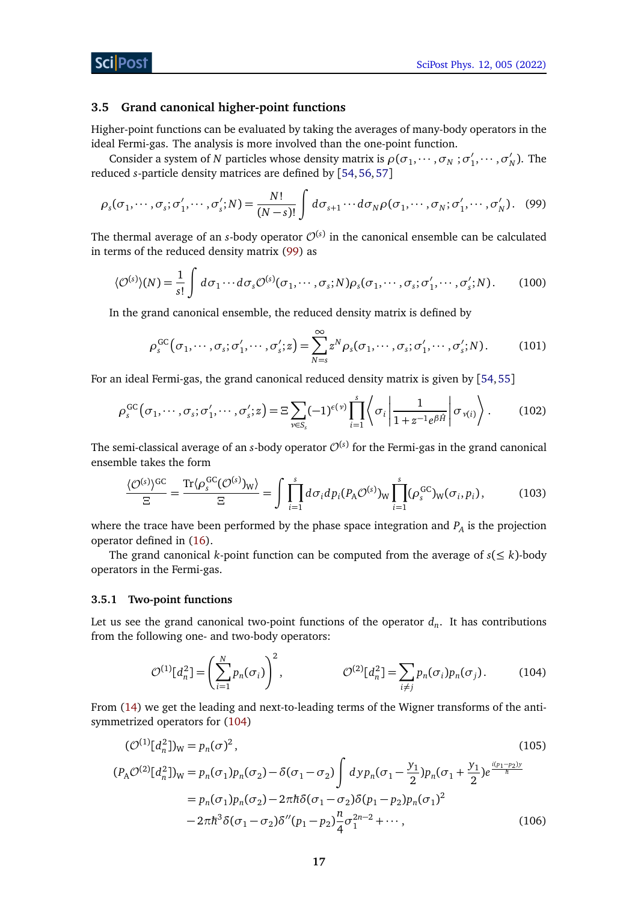#### <span id="page-16-0"></span>**3.5 Grand canonical higher-point functions**

Higher-point functions can be evaluated by taking the averages of many-body operators in the ideal Fermi-gas. The analysis is more involved than the one-point function.

Consider a system of *N* particles whose density matrix is  $\rho(\sigma_1, \dots, \sigma_N; \sigma'_1)$  $\sigma'_1, \cdots, \sigma'_l$  $'_{N}$ ). The reduced *s*-particle density matrices are defined by [[54,](#page-34-12)[56,](#page-34-14)[57](#page-35-0)]

$$
\rho_s(\sigma_1, \cdots, \sigma_s; \sigma'_1, \cdots, \sigma'_s; N) = \frac{N!}{(N-s)!} \int d\sigma_{s+1} \cdots d\sigma_N \rho(\sigma_1, \cdots, \sigma_N; \sigma'_1, \cdots, \sigma'_N). \tag{99}
$$

The thermal average of an *s*-body operator  $\mathcal{O}^{(s)}$  in the canonical ensemble can be calculated in terms of the reduced density matrix [\(99\)](#page-16-2) as

$$
\langle \mathcal{O}^{(s)} \rangle(N) = \frac{1}{s!} \int d\sigma_1 \cdots d\sigma_s \mathcal{O}^{(s)}(\sigma_1, \cdots, \sigma_s; N) \rho_s(\sigma_1, \cdots, \sigma_s; \sigma'_1, \cdots, \sigma'_s; N). \tag{100}
$$

In the grand canonical ensemble, the reduced density matrix is defined by

<span id="page-16-2"></span>
$$
\rho_s^{\rm GC}(\sigma_1,\cdots,\sigma_s;\sigma'_1,\cdots,\sigma'_s;z) = \sum_{N=s}^{\infty} z^N \rho_s(\sigma_1,\cdots,\sigma_s;\sigma'_1,\cdots,\sigma'_s;N). \tag{101}
$$

For an ideal Fermi-gas, the grand canonical reduced density matrix is given by [[54,](#page-34-12)[55](#page-34-13)]

$$
\rho_s^{\rm GC}(\sigma_1,\cdots,\sigma_s;\sigma'_1,\cdots,\sigma'_s;z) = \Xi \sum_{\nu \in S_s} (-1)^{\epsilon(\nu)} \prod_{i=1}^s \left\langle \sigma_i \left| \frac{1}{1+z^{-1}e^{\beta \hat{H}}} \right| \sigma_{\nu(i)} \right\rangle. \tag{102}
$$

The semi-classical average of an *s*-body operator  $\mathcal{O}^{(s)}$  for the Fermi-gas in the grand canonical ensemble takes the form

<span id="page-16-6"></span>
$$
\frac{\langle \mathcal{O}^{(s)} \rangle^{GC}}{\Xi} = \frac{\text{Tr} \langle \rho_s^{GC}(\mathcal{O}^{(s)})_W \rangle}{\Xi} = \int \prod_{i=1}^s d\sigma_i dp_i (P_A \mathcal{O}^{(s)})_W \prod_{i=1}^s (\rho_s^{GC})_W(\sigma_i, p_i), \tag{103}
$$

where the trace have been performed by the phase space integration and *P<sup>A</sup>* is the projection operator defined in [\(16\)](#page-4-2).

The grand canonical *k*-point function can be computed from the average of  $s \leq k$ )-body operators in the Fermi-gas.

#### <span id="page-16-1"></span>**3.5.1 Two-point functions**

Let us see the grand canonical two-point functions of the operator *d<sup>n</sup>* . It has contributions from the following one- and two-body operators:

<span id="page-16-5"></span><span id="page-16-4"></span><span id="page-16-3"></span>
$$
\mathcal{O}^{(1)}[d_n^2] = \left(\sum_{i=1}^N p_n(\sigma_i)\right)^2, \qquad \mathcal{O}^{(2)}[d_n^2] = \sum_{i \neq j} p_n(\sigma_i) p_n(\sigma_j). \qquad (104)
$$

From [\(14\)](#page-4-3) we get the leading and next-to-leading terms of the Wigner transforms of the antisymmetrized operators for [\(104\)](#page-16-3)

$$
(\mathcal{O}^{(1)}[d_n^2]_W = p_n(\sigma)^2, \qquad (105)
$$
  
\n
$$
(P_A \mathcal{O}^{(2)}[d_n^2]_W = p_n(\sigma_1) p_n(\sigma_2) - \delta(\sigma_1 - \sigma_2) \int dy p_n(\sigma_1 - \frac{y_1}{2}) p_n(\sigma_1 + \frac{y_1}{2}) e^{\frac{i(p_1 - p_2)y}{\hbar}}
$$
  
\n
$$
= p_n(\sigma_1) p_n(\sigma_2) - 2\pi \hbar \delta(\sigma_1 - \sigma_2) \delta(p_1 - p_2) p_n(\sigma_1)^2
$$
  
\n
$$
-2\pi \hbar^3 \delta(\sigma_1 - \sigma_2) \delta''(p_1 - p_2) \frac{n}{4} \sigma_1^{2n-2} + \cdots, \qquad (106)
$$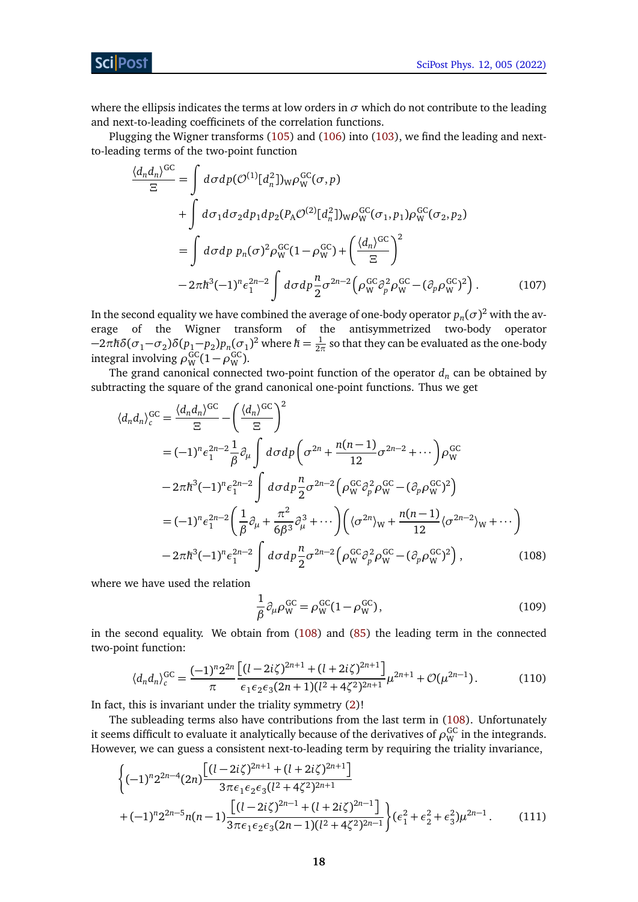[SciPost Phys. 12, 005 \(2022\)](https://scipost.org/SciPostPhys.12.1.005)

where the ellipsis indicates the terms at low orders in  $\sigma$  which do not contribute to the leading and next-to-leading coefficinets of the correlation functions.

Plugging the Wigner transforms [\(105\)](#page-16-4) and [\(106\)](#page-16-5) into [\(103\)](#page-16-6), we find the leading and nextto-leading terms of the two-point function

$$
\frac{\langle d_n d_n \rangle^{GC}}{\Xi} = \int d\sigma dp (\mathcal{O}^{(1)}[d_n^2])_W \rho_W^{GC}(\sigma, p) \n+ \int d\sigma_1 d\sigma_2 dp_1 dp_2 (P_A \mathcal{O}^{(2)}[d_n^2])_W \rho_W^{GC}(\sigma_1, p_1) \rho_W^{GC}(\sigma_2, p_2) \n= \int d\sigma dp \ p_n(\sigma)^2 \rho_W^{GC} (1 - \rho_W^{GC}) + \left(\frac{\langle d_n \rangle^{GC}}{\Xi}\right)^2 \n- 2\pi \hbar^3 (-1)^n \epsilon_1^{2n-2} \int d\sigma dp \frac{n}{2} \sigma^{2n-2} \left(\rho_W^{GC} \partial_p^2 \rho_W^{GC} - (\partial_p \rho_W^{GC})^2\right).
$$
\n(107)

In the second equality we have combined the average of one-body operator  $p_n(\sigma)^2$  with the average of the Wigner transform of the antisymmetrized two-body operator  $-2\pi\hbar\delta(\sigma_1-\sigma_2)\delta(p_1-p_2)p_n(\sigma_1)^2$  where  $\hbar=\frac{1}{2\pi}$  $\frac{1}{2\pi}$  so that they can be evaluated as the one-body integral involving  $\rho_{\rm W}^{\rm GC}(1-\rho_{\rm W}^{\rm GC})$ .

The grand canonical connected two-point function of the operator *d<sup>n</sup>* can be obtained by subtracting the square of the grand canonical one-point functions. Thus we get

$$
\langle d_n d_n \rangle_c^{GC} = \frac{\langle d_n d_n \rangle^{GC}}{\Xi} - \left(\frac{\langle d_n \rangle^{GC}}{\Xi}\right)^2
$$
  
=  $(-1)^n \epsilon_1^{2n-2} \frac{1}{\beta} \partial_\mu \int d\sigma dp \left(\sigma^{2n} + \frac{n(n-1)}{12} \sigma^{2n-2} + \cdots \right) \rho_W^{GC}$   
 $- 2\pi \hbar^3 (-1)^n \epsilon_1^{2n-2} \int d\sigma dp \frac{n}{2} \sigma^{2n-2} \left(\rho_W^{GC} \partial_p^2 \rho_W^{GC} - (\partial_p \rho_W^{GC})^2\right)$   
=  $(-1)^n \epsilon_1^{2n-2} \left(\frac{1}{\beta} \partial_\mu + \frac{\pi^2}{6\beta^3} \partial_\mu^3 + \cdots \right) \left(\langle \sigma^{2n} \rangle_W + \frac{n(n-1)}{12} \langle \sigma^{2n-2} \rangle_W + \cdots \right)$   
 $- 2\pi \hbar^3 (-1)^n \epsilon_1^{2n-2} \int d\sigma dp \frac{n}{2} \sigma^{2n-2} \left(\rho_W^{GC} \partial_p^2 \rho_W^{GC} - (\partial_p \rho_W^{GC})^2\right),$  (108)

where we have used the relation

<span id="page-17-2"></span><span id="page-17-1"></span><span id="page-17-0"></span>
$$
\frac{1}{\beta} \partial_{\mu} \rho_{\mathbf{W}}^{\mathbf{GC}} = \rho_{\mathbf{W}}^{\mathbf{GC}} (1 - \rho_{\mathbf{W}}^{\mathbf{GC}}),\tag{109}
$$

in the second equality. We obtain from [\(108\)](#page-17-0) and [\(85\)](#page-14-1) the leading term in the connected two-point function:

$$
\langle d_n d_n \rangle_c^{GC} = \frac{(-1)^n 2^{2n}}{\pi} \frac{\left[ (l - 2i\zeta)^{2n+1} + (l + 2i\zeta)^{2n+1} \right]}{\epsilon_1 \epsilon_2 \epsilon_3 (2n+1)(l^2 + 4\zeta^2)^{2n+1}} \mu^{2n+1} + \mathcal{O}(\mu^{2n-1}). \tag{110}
$$

In fact, this is invariant under the triality symmetry [\(2\)](#page-2-3)!

The subleading terms also have contributions from the last term in [\(108\)](#page-17-0). Unfortunately it seems difficult to evaluate it analytically because of the derivatives of  $\rho_\mathrm{W}^\mathrm{GC}$  in the integrands. However, we can guess a consistent next-to-leading term by requiring the triality invariance,

$$
\begin{aligned}\n&\left\{(-1)^n 2^{2n-4} (2n) \frac{\left[ (l-2i\zeta)^{2n+1} + (l+2i\zeta)^{2n+1} \right]}{3\pi \epsilon_1 \epsilon_2 \epsilon_3 (l^2+4\zeta^2)^{2n+1}} \right. \\
&\left. + (-1)^n 2^{2n-5} n(n-1) \frac{\left[ (l-2i\zeta)^{2n-1} + (l+2i\zeta)^{2n-1} \right]}{3\pi \epsilon_1 \epsilon_2 \epsilon_3 (2n-1)(l^2+4\zeta^2)^{2n-1}} \right\} (\epsilon_1^2 + \epsilon_2^2 + \epsilon_3^2) \mu^{2n-1}.\n\end{aligned} \tag{111}
$$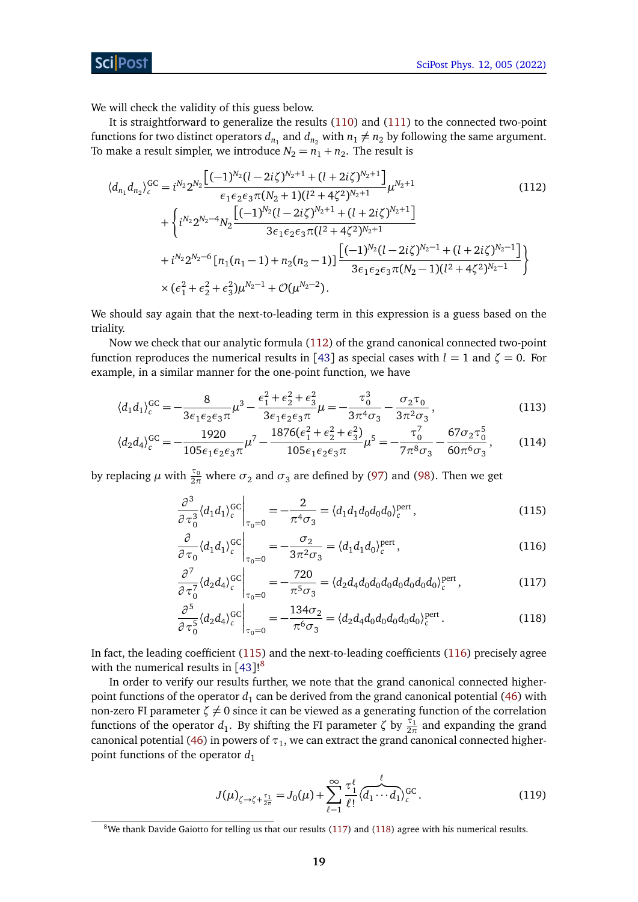We will check the validity of this guess below.

It is straightforward to generalize the results [\(110\)](#page-17-1) and [\(111\)](#page-17-2) to the connected two-point functions for two distinct operators  $d_{n_1}$  and  $d_{n_2}$  with  $n_1 \neq n_2$  by following the same argument. To make a result simpler, we introduce  $N_2 = n_1 + n_2$ . The result is

<span id="page-18-0"></span>
$$
\langle d_{n_1} d_{n_2} \rangle_c^{GC} = i^{N_2} 2^{N_2} \frac{\left[ (-1)^{N_2} (l - 2i\zeta)^{N_2 + 1} + (l + 2i\zeta)^{N_2 + 1} \right]}{\epsilon_1 \epsilon_2 \epsilon_3 \pi (N_2 + 1)(l^2 + 4\zeta^2)^{N_2 + 1}} \mu^{N_2 + 1}
$$
\n
$$
+ \begin{cases} i^{N_2} 2^{N_2 - 4} N_2 \frac{\left[ (-1)^{N_2} (l - 2i\zeta)^{N_2 + 1} + (l + 2i\zeta)^{N_2 + 1} \right]}{3\epsilon_1 \epsilon_2 \epsilon_3 \pi (l^2 + 4\zeta^2)^{N_2 + 1}} \\ + i^{N_2} 2^{N_2 - 6} \left[ n_1 (n_1 - 1) + n_2 (n_2 - 1) \right] \frac{\left[ (-1)^{N_2} (l - 2i\zeta)^{N_2 - 1} + (l + 2i\zeta)^{N_2 - 1} \right]}{3\epsilon_1 \epsilon_2 \epsilon_3 \pi (N_2 - 1)(l^2 + 4\zeta^2)^{N_2 - 1}} \right\} \\ \times \left( \epsilon_1^2 + \epsilon_2^2 + \epsilon_3^2 \right) \mu^{N_2 - 1} + \mathcal{O}(\mu^{N_2 - 2}). \end{cases} (112)
$$

We should say again that the next-to-leading term in this expression is a guess based on the triality.

Now we check that our analytic formula [\(112\)](#page-18-0) of the grand canonical connected two-point function reproduces the numerical results in [[43](#page-34-2)] as special cases with  $l = 1$  and  $\zeta = 0$ . For example, in a similar manner for the one-point function, we have

$$
\langle d_1 d_1 \rangle_c^{GC} = -\frac{8}{3\epsilon_1 \epsilon_2 \epsilon_3 \pi} \mu^3 - \frac{\epsilon_1^2 + \epsilon_2^2 + \epsilon_3^2}{3\epsilon_1 \epsilon_2 \epsilon_3 \pi} \mu = -\frac{\tau_0^3}{3\pi^4 \sigma_3} - \frac{\sigma_2 \tau_0}{3\pi^2 \sigma_3},\tag{113}
$$

$$
\langle d_2 d_4 \rangle_c^{GC} = -\frac{1920}{105\epsilon_1\epsilon_2\epsilon_3\pi} \mu^7 - \frac{1876(\epsilon_1^2 + \epsilon_2^2 + \epsilon_3^2)}{105\epsilon_1\epsilon_2\epsilon_3\pi} \mu^5 = -\frac{\tau_0^7}{7\pi^8\sigma_3} - \frac{67\sigma_2\tau_0^5}{60\pi^6\sigma_3},\tag{114}
$$

by replacing  $\mu$  with  $\frac{\tau_0}{2\pi}$  where  $\sigma_2$  and  $\sigma_3$  are defined by [\(97\)](#page-15-6) and [\(98\)](#page-15-7). Then we get

<span id="page-18-1"></span>
$$
\left. \frac{\partial^3}{\partial \tau_0^3} \langle d_1 d_1 \rangle_c^{GC} \right|_{\tau_0 = 0} = -\frac{2}{\pi^4 \sigma_3} = \langle d_1 d_1 d_0 d_0 d_0 \rangle_c^{pert},\tag{115}
$$

<span id="page-18-2"></span>
$$
\left. \frac{\partial}{\partial \tau_0} \langle d_1 d_1 \rangle_c^{\text{GC}} \right|_{\tau_0 = 0} = -\frac{\sigma_2}{3\pi^2 \sigma_3} = \langle d_1 d_1 d_0 \rangle_c^{\text{pert}} ,\tag{116}
$$

<span id="page-18-4"></span>
$$
\frac{\partial^7}{\partial \tau_0^7} \langle d_2 d_4 \rangle_c^{\text{GC}} \Big|_{\tau_0 = 0} = -\frac{720}{\pi^5 \sigma_3} = \langle d_2 d_4 d_0 d_0 d_0 d_0 d_0 d_0 d_0 \rangle_c^{\text{pert}} ,\tag{117}
$$

<span id="page-18-5"></span>
$$
\frac{\partial^5}{\partial \tau_0^5} \langle d_2 d_4 \rangle_c^{GC} \Big|_{\tau_0 = 0} = -\frac{134\sigma_2}{\pi^6 \sigma_3} = \langle d_2 d_4 d_0 d_0 d_0 d_0 d_0 \rangle_c^{pert}.
$$
\n(118)

In fact, the leading coefficient [\(115\)](#page-18-1) and the next-to-leading coefficients [\(116\)](#page-18-2) precisely agree with the numerical results in [[43](#page-34-2)]!<sup>[8](#page-18-3)</sup>

In order to verify our results further, we note that the grand canonical connected higherpoint functions of the operator  $d_1$  can be derived from the grand canonical potential [\(46\)](#page-9-4) with non-zero FI parameter  $\zeta \neq 0$  since it can be viewed as a generating function of the correlation functions of the operator  $d_1$ . By shifting the FI parameter  $\zeta$  by  $\frac{\tau_1}{2\pi}$  and expanding the grand canonical potential [\(46\)](#page-9-4) in powers of  $\tau_1$ , we can extract the grand canonical connected higherpoint functions of the operator  $d_1$ 

<span id="page-18-6"></span>
$$
J(\mu)_{\zeta \to \zeta + \frac{\tau_1}{2\pi}} = J_0(\mu) + \sum_{\ell=1}^{\infty} \frac{\tau_1^{\ell}}{\ell!} \langle \overline{d_1 \cdots d_1} \rangle_c^{GC}.
$$
 (119)

<span id="page-18-3"></span> $8$ We thank Davide Gaiotto for telling us that our results [\(117\)](#page-18-4) and [\(118\)](#page-18-5) agree with his numerical results.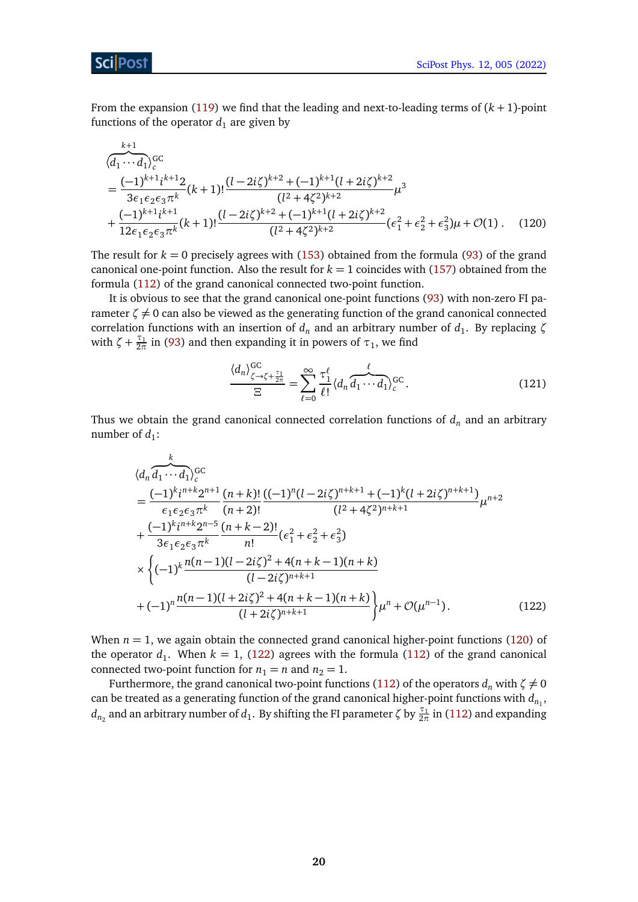From the expansion [\(119\)](#page-18-6) we find that the leading and next-to-leading terms of (*k* + 1)-point functions of the operator  $d_1$  are given by

$$
\sqrt{\frac{k+1}{d_1 \cdots d_1}}_c^{GC}
$$
\n
$$
= \frac{(-1)^{k+1} i^{k+1} 2}{3 \epsilon_1 \epsilon_2 \epsilon_3 \pi^k} (k+1)! \frac{(l-2i\zeta)^{k+2} + (-1)^{k+1} (l+2i\zeta)^{k+2}}{(l^2+4\zeta^2)^{k+2}} \mu^3
$$
\n
$$
+ \frac{(-1)^{k+1} i^{k+1}}{12 \epsilon_1 \epsilon_2 \epsilon_3 \pi^k} (k+1)! \frac{(l-2i\zeta)^{k+2} + (-1)^{k+1} (l+2i\zeta)^{k+2}}{(l^2+4\zeta^2)^{k+2}} (\epsilon_1^2 + \epsilon_2^2 + \epsilon_3^2) \mu + \mathcal{O}(1). \quad (120)
$$

The result for  $k = 0$  precisely agrees with  $(153)$  obtained from the formula [\(93\)](#page-15-1) of the grand canonical one-point function. Also the result for  $k = 1$  coincides with [\(157\)](#page-27-2) obtained from the formula [\(112\)](#page-18-0) of the grand canonical connected two-point function.

It is obvious to see that the grand canonical one-point functions [\(93\)](#page-15-1) with non-zero FI parameter  $\zeta \neq 0$  can also be viewed as the generating function of the grand canonical connected correlation functions with an insertion of  $d_n$  and an arbitrary number of  $d_1$ . By replacing ζ with  $\zeta + \frac{\tau_1}{2\pi}$  in [\(93\)](#page-15-1) and then expanding it in powers of  $\tau_1$ , we find

<span id="page-19-1"></span><span id="page-19-0"></span>
$$
\frac{\langle d_n \rangle_{\zeta \to \zeta + \frac{\tau_1}{2\pi}}^{\text{GC}}}{\Xi} = \sum_{\ell=0}^{\infty} \frac{\tau_1^{\ell}}{\ell!} \langle d_n \overbrace{d_1 \cdots d_1}^{\ell} \rangle_c^{\text{GC}}.
$$
\n(121)

Thus we obtain the grand canonical connected correlation functions of  $d_n$  and an arbitrary number of  $d_1$ :

$$
\langle d_n \overline{d_1 \cdots d_1} \rangle_c^{GC} = \frac{(-1)^k i^{n+k} 2^{n+1}}{\epsilon_1 \epsilon_2 \epsilon_3 \pi^k} \frac{(n+k)!}{(n+2)!} \frac{((-1)^n (l-2i\zeta)^{n+k+1} + (-1)^k (l+2i\zeta)^{n+k+1})}{(l^2+4\zeta^2)^{n+k+1}} \mu^{n+2} + \frac{(-1)^k i^{n+k} 2^{n-5}}{3\epsilon_1 \epsilon_2 \epsilon_3 \pi^k} \frac{(n+k-2)!}{n!} (\epsilon_1^2 + \epsilon_2^2 + \epsilon_3^2) + \left( (-1)^k \frac{n(n-1)(l-2i\zeta)^2 + 4(n+k-1)(n+k)}{(l-2i\zeta)^{n+k+1}} \right) + (-1)^n \frac{n(n-1)(l+2i\zeta)^2 + 4(n+k-1)(n+k)}{(l+2i\zeta)^{n+k+1}} \mu^n + \mathcal{O}(\mu^{n-1}). \tag{122}
$$

When  $n = 1$ , we again obtain the connected grand canonical higher-point functions [\(120\)](#page-19-0) of the operator  $d_1$ . When  $k = 1$ , [\(122\)](#page-19-1) agrees with the formula [\(112\)](#page-18-0) of the grand canonical connected two-point function for  $n_1 = n$  and  $n_2 = 1$ .

Furthermore, the grand canonical two-point functions [\(112\)](#page-18-0) of the operators  $d_n$  with  $\zeta \neq 0$ can be treated as a generating function of the grand canonical higher-point functions with  $d_{n_1}$ ,  $d_{n_2}$  and an arbitrary number of  $d_1$ . By shifting the FI parameter *ζ* by  $\frac{\tau_1}{2\pi}$  in [\(112\)](#page-18-0) and expanding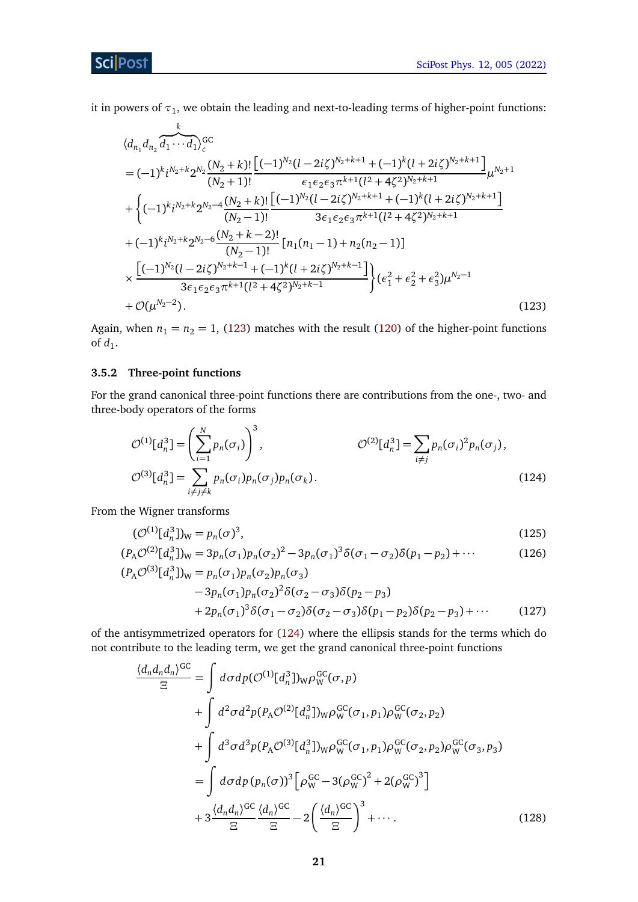it in powers of  $\tau_1$ , we obtain the leading and next-to-leading terms of higher-point functions:

$$
\langle d_{n_1} d_{n_2} \overline{d_1 \cdots d_1} \rangle_c^{\text{GC}} \\
= (-1)^k i^{N_2 + k} 2^{N_2} \frac{(N_2 + k)!}{(N_2 + 1)!} \frac{\left[ (-1)^{N_2} (l - 2i\zeta)^{N_2 + k + 1} + (-1)^k (l + 2i\zeta)^{N_2 + k + 1} \right]}{\epsilon_1 \epsilon_2 \epsilon_3 \pi^{k+1} (l^2 + 4\zeta^2)^{N_2 + k + 1}} \mu^{N_2 + 1} \\
+ \left\{ (-1)^k i^{N_2 + k} 2^{N_2 - 4} \frac{(N_2 + k)!}{(N_2 - 1)!} \frac{\left[ (-1)^{N_2} (l - 2i\zeta)^{N_2 + k + 1} + (-1)^k (l + 2i\zeta)^{N_2 + k + 1} \right]}{3\epsilon_1 \epsilon_2 \epsilon_3 \pi^{k+1} (l^2 + 4\zeta^2)^{N_2 + k + 1}} \right. \\
\left. + (-1)^k i^{N_2 + k} 2^{N_2 - 6} \frac{(N_2 + k - 2)!}{(N_2 - 1)!} \left[ n_1 (n_1 - 1) + n_2 (n_2 - 1) \right] \\
\times \frac{\left[ (-1)^{N_2} (l - 2i\zeta)^{N_2 + k - 1} + (-1)^k (l + 2i\zeta)^{N_2 + k - 1} \right]}{3\epsilon_1 \epsilon_2 \epsilon_3 \pi^{k+1} (l^2 + 4\zeta^2)^{N_2 + k - 1}} \right\} ( \epsilon_1^2 + \epsilon_2^2 + \epsilon_3^2) \mu^{N_2 - 1} \\
+ \mathcal{O}(\mu^{N_2 - 2}). \tag{123}
$$

Again, when  $n_1 = n_2 = 1$ , [\(123\)](#page-20-1) matches with the result [\(120\)](#page-19-0) of the higher-point functions of  $d_1$ .

#### <span id="page-20-0"></span>**3.5.2 Three-point functions**

For the grand canonical three-point functions there are contributions from the one-, two- and three-body operators of the forms

<span id="page-20-2"></span><span id="page-20-1"></span>
$$
\mathcal{O}^{(1)}[d_n^3] = \left(\sum_{i=1}^N p_n(\sigma_i)\right)^3, \qquad \mathcal{O}^{(2)}[d_n^3] = \sum_{i \neq j} p_n(\sigma_i)^2 p_n(\sigma_j),
$$
  

$$
\mathcal{O}^{(3)}[d_n^3] = \sum_{i \neq j \neq k} p_n(\sigma_i) p_n(\sigma_j) p_n(\sigma_k).
$$
 (124)

From the Wigner transforms

<span id="page-20-3"></span>
$$
(\mathcal{O}^{(1)}[d_n^3])_W = p_n(\sigma)^3,\tag{125}
$$

$$
(P_A \mathcal{O}^{(2)}[d_n^3])_W = 3p_n(\sigma_1)p_n(\sigma_2)^2 - 3p_n(\sigma_1)^3 \delta(\sigma_1 - \sigma_2) \delta(p_1 - p_2) + \cdots
$$
 (126)

$$
(P_A \mathcal{O}^{(3)}[d_n^3])_W = p_n(\sigma_1) p_n(\sigma_2) p_n(\sigma_3)
$$
  
- 3p\_n(\sigma\_1) p\_n(\sigma\_2)^2 \delta(\sigma\_2 - \sigma\_3) \delta(p\_2 - p\_3)  
+ 2p\_n(\sigma\_1)^3 \delta(\sigma\_1 - \sigma\_2) \delta(\sigma\_2 - \sigma\_3) \delta(p\_1 - p\_2) \delta(p\_2 - p\_3) + \cdots (127)

of the antisymmetrized operators for [\(124\)](#page-20-2) where the ellipsis stands for the terms which do not contribute to the leading term, we get the grand canonical three-point functions

<span id="page-20-4"></span>
$$
\frac{\langle d_n d_n d_n \rangle^{GC}}{\Xi} = \int d\sigma dp (\mathcal{O}^{(1)}[d_n^3])_W \rho_W^{GC}(\sigma, p) \n+ \int d^2 \sigma d^2 p (P_A \mathcal{O}^{(2)}[d_n^3])_W \rho_W^{GC}(\sigma_1, p_1) \rho_W^{GC}(\sigma_2, p_2) \n+ \int d^3 \sigma d^3 p (P_A \mathcal{O}^{(3)}[d_n^3])_W \rho_W^{GC}(\sigma_1, p_1) \rho_W^{GC}(\sigma_2, p_2) \rho_W^{GC}(\sigma_3, p_3) \n= \int d\sigma dp (p_n(\sigma))^3 \left[ \rho_W^{GC} - 3(\rho_W^{GC})^2 + 2(\rho_W^{GC})^3 \right] \n+ 3 \frac{\langle d_n d_n \rangle^{GC}}{\Xi} \frac{\langle d_n \rangle^{GC}}{\Xi} - 2 \left( \frac{\langle d_n \rangle^{GC}}{\Xi} \right)^3 + \cdots
$$
\n(128)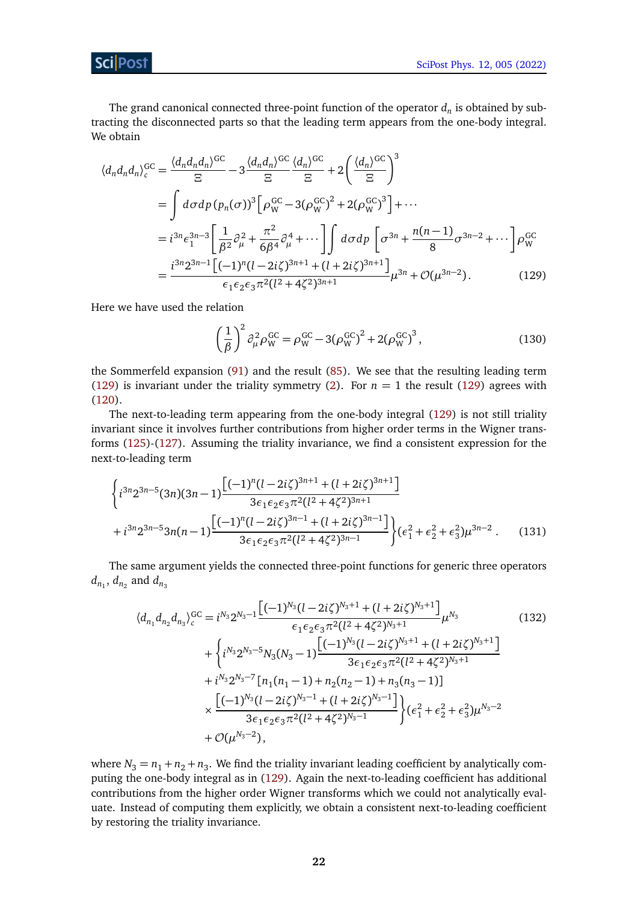The grand canonical connected three-point function of the operator  $d_n$  is obtained by subtracting the disconnected parts so that the leading term appears from the one-body integral. We obtain

$$
\langle d_n d_n d_n \rangle_c^{GC} = \frac{\langle d_n d_n d_n \rangle^{GC}}{\Xi} - 3 \frac{\langle d_n d_n \rangle^{GC}}{\Xi} \frac{\langle d_n \rangle^{GC}}{\Xi} + 2 \left( \frac{\langle d_n \rangle^{GC}}{\Xi} \right)^3
$$
  
= 
$$
\int d\sigma dp \left( p_n(\sigma) \right)^3 \left[ \rho_W^{GC} - 3(\rho_W^{GC})^2 + 2(\rho_W^{GC})^3 \right] + \cdots
$$
  
= 
$$
i^{3n} \epsilon_1^{3n-3} \left[ \frac{1}{\beta^2} \partial_\mu^2 + \frac{\pi^2}{6\beta^4} \partial_\mu^4 + \cdots \right] \int d\sigma dp \left[ \sigma^{3n} + \frac{n(n-1)}{8} \sigma^{3n-2} + \cdots \right] \rho_W^{GC}
$$
  
= 
$$
\frac{i^{3n} 2^{3n-1} \left[ (-1)^n (1 - 2i\zeta)^{3n+1} + (1 + 2i\zeta)^{3n+1} \right]}{\epsilon_1 \epsilon_2 \epsilon_3 \pi^2 (1^2 + 4\zeta^2)^{3n+1}} \mu^{3n} + \mathcal{O}(\mu^{3n-2}). \tag{129}
$$

Here we have used the relation

<span id="page-21-0"></span>
$$
\left(\frac{1}{\beta}\right)^2 \partial_{\mu}^2 \rho_{\rm W}^{\rm GC} = \rho_{\rm W}^{\rm GC} - 3(\rho_{\rm W}^{\rm GC})^2 + 2(\rho_{\rm W}^{\rm GC})^3,\tag{130}
$$

the Sommerfeld expansion [\(91\)](#page-15-0) and the result [\(85\)](#page-14-1). We see that the resulting leading term [\(129\)](#page-21-0) is invariant under the triality symmetry [\(2\)](#page-2-3). For  $n = 1$  the result (129) agrees with [\(120\)](#page-19-0).

The next-to-leading term appearing from the one-body integral [\(129\)](#page-21-0) is not still triality invariant since it involves further contributions from higher order terms in the Wigner transforms [\(125\)](#page-20-3)-[\(127\)](#page-20-4). Assuming the triality invariance, we find a consistent expression for the next-to-leading term

$$
\begin{aligned}\n&\left\{i^{3n}2^{3n-5}(3n)(3n-1)\frac{\left[(-1)^n(l-2i\zeta)^{3n+1}+(l+2i\zeta)^{3n+1}\right]}{3\epsilon_1\epsilon_2\epsilon_3\pi^2(l^2+4\zeta^2)^{3n+1}}\right.\\&\left.+i^{3n}2^{3n-5}3n(n-1)\frac{\left[(-1)^n(l-2i\zeta)^{3n-1}+(l+2i\zeta)^{3n-1}\right]}{3\epsilon_1\epsilon_2\epsilon_3\pi^2(l^2+4\zeta^2)^{3n-1}}\right\}(\epsilon_1^2+\epsilon_2^2+\epsilon_3^2)\mu^{3n-2}.\n\end{aligned} \tag{131}
$$

The same argument yields the connected three-point functions for generic three operators  $d_{n_1}$ ,  $d_{n_2}$  and  $d_{n_3}$ 

<span id="page-21-1"></span>
$$
\langle d_{n_1} d_{n_2} d_{n_3} \rangle_c^{GC} = i^{N_3} 2^{N_3 - 1} \frac{\left[ (-1)^{N_3} (l - 2i\zeta)^{N_3 + 1} + (l + 2i\zeta)^{N_3 + 1} \right]}{\epsilon_1 \epsilon_2 \epsilon_3 \pi^2 (l^2 + 4\zeta^2)^{N_3 + 1}} \mu^{N_3}
$$
(132)  
+ 
$$
\left\{ i^{N_3} 2^{N_3 - 5} N_3 (N_3 - 1) \frac{\left[ (-1)^{N_3} (l - 2i\zeta)^{N_3 + 1} + (l + 2i\zeta)^{N_3 + 1} \right]}{3\epsilon_1 \epsilon_2 \epsilon_3 \pi^2 (l^2 + 4\zeta^2)^{N_3 + 1}} \right\}
$$

$$
+ i^{N_3} 2^{N_3 - 7} \left[ n_1 (n_1 - 1) + n_2 (n_2 - 1) + n_3 (n_3 - 1) \right]
$$

$$
\times \frac{\left[ (-1)^{N_3} (l - 2i\zeta)^{N_3 - 1} + (l + 2i\zeta)^{N_3 - 1} \right]}{3\epsilon_1 \epsilon_2 \epsilon_3 \pi^2 (l^2 + 4\zeta^2)^{N_3 - 1}} \right\} (e_1^2 + e_2^2 + e_3^2) \mu^{N_3 - 2}
$$

$$
+ \mathcal{O}(\mu^{N_3 - 2}),
$$
(132)

where  $N_3 = n_1 + n_2 + n_3$ . We find the triality invariant leading coefficient by analytically computing the one-body integral as in [\(129\)](#page-21-0). Again the next-to-leading coefficient has additional contributions from the higher order Wigner transforms which we could not analytically evaluate. Instead of computing them explicitly, we obtain a consistent next-to-leading coefficient by restoring the triality invariance.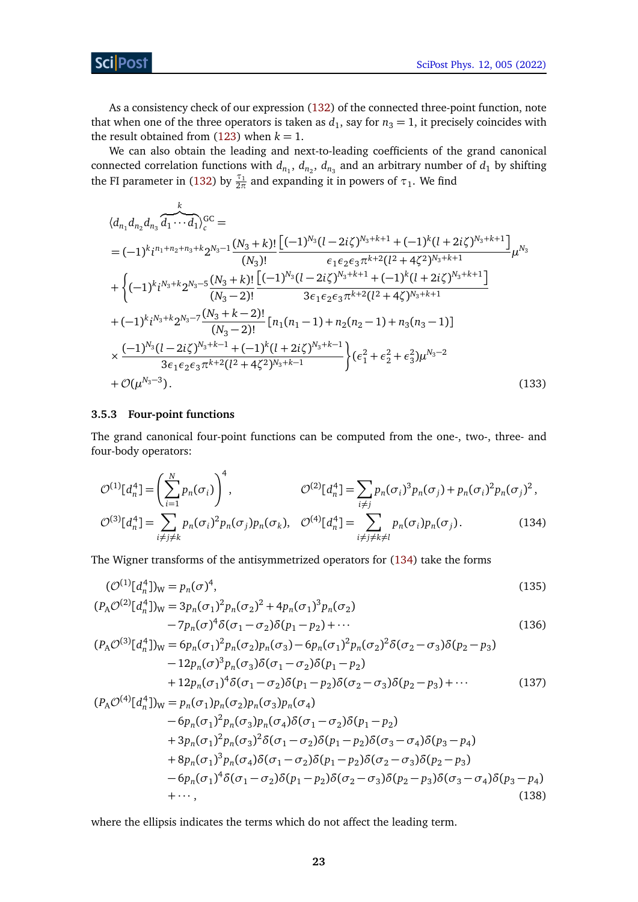Sci Post

As a consistency check of our expression [\(132\)](#page-21-1) of the connected three-point function, note that when one of the three operators is taken as  $d_1$ , say for  $n_3 = 1$ , it precisely coincides with the result obtained from  $(123)$  when  $k = 1$ .

We can also obtain the leading and next-to-leading coefficients of the grand canonical connected correlation functions with  $d_{n_1}$ ,  $d_{n_2}$ ,  $d_{n_3}$  and an arbitrary number of  $d_1$  by shifting the FI parameter in [\(132\)](#page-21-1) by  $\frac{\tau_1}{2\pi}$  and expanding it in powers of  $\tau_1$ . We find

$$
\langle d_{n_1} d_{n_2} d_{n_3} \overline{d_1 \cdots d_1} \rangle_c^{GC} =
$$
\n
$$
= (-1)^k i^{n_1 + n_2 + n_3 + k} 2^{N_3 - 1} \frac{(N_3 + k)!}{(N_3)!} \frac{\left[ (-1)^{N_3} (l - 2i\zeta)^{N_3 + k + 1} + (-1)^k (l + 2i\zeta)^{N_3 + k + 1} \right]}{(N_3)!} \mu^{N_3} + \left\{ (-1)^k i^{N_3 + k} 2^{N_3 - 5} \frac{(N_3 + k)!}{(N_3 - 2)!} \frac{\left[ (-1)^{N_3} (l - 2i\zeta)^{N_3 + k + 1} + (-1)^k (l + 2i\zeta)^{N_3 + k + 1} \right]}{3\epsilon_1 \epsilon_2 \epsilon_3 \pi^{k + 2} (l^2 + 4\zeta)^{N_3 + k + 1}} \right. \\
\left. + (-1)^k i^{N_3 + k} 2^{N_3 - 7} \frac{(N_3 + k - 2)!}{(N_3 - 2)!} \left[ n_1 (n_1 - 1) + n_2 (n_2 - 1) + n_3 (n_3 - 1) \right] \right. \\
\times \frac{(-1)^{N_3} (l - 2i\zeta)^{N_3 + k - 1} + (-1)^k (l + 2i\zeta)^{N_3 + k - 1}}{3\epsilon_1 \epsilon_2 \epsilon_3 \pi^{k + 2} (l^2 + 4\zeta^2)^{N_3 + k - 1}} \right\} (e_1^2 + e_2^2 + e_3^2) \mu^{N_3 - 2} + \mathcal{O}(\mu^{N_3 - 3}). \tag{133}
$$

#### <span id="page-22-0"></span>**3.5.3 Four-point functions**

<span id="page-22-4"></span><span id="page-22-3"></span><span id="page-22-2"></span><span id="page-22-1"></span>4

The grand canonical four-point functions can be computed from the one-, two-, three- and four-body operators:

$$
\mathcal{O}^{(1)}[d_n^4] = \left(\sum_{i=1}^N p_n(\sigma_i)\right)^4, \qquad \mathcal{O}^{(2)}[d_n^4] = \sum_{i \neq j} p_n(\sigma_i)^3 p_n(\sigma_j) + p_n(\sigma_i)^2 p_n(\sigma_j)^2,
$$
  

$$
\mathcal{O}^{(3)}[d_n^4] = \sum_{i \neq j \neq k} p_n(\sigma_i)^2 p_n(\sigma_j) p_n(\sigma_k), \quad \mathcal{O}^{(4)}[d_n^4] = \sum_{i \neq j \neq k \neq l} p_n(\sigma_i) p_n(\sigma_j).
$$
 (134)

The Wigner transforms of the antisymmetrized operators for [\(134\)](#page-22-1) take the forms

$$
(\mathcal{O}^{(1)}[d_n^4])_W = p_n(\sigma)^4,
$$
  
\n
$$
(P_A \mathcal{O}^{(2)}[d_n^4])_W = 3p_n(\sigma_1)^2 p_n(\sigma_2)^2 + 4p_n(\sigma_1)^3 p_n(\sigma_2)
$$
  
\n
$$
-7p_n(\sigma)^4 \delta(\sigma_1 - \sigma_2) \delta(p_1 - p_2) + \cdots
$$
\n(136)

$$
(P_A \mathcal{O}^{(3)}[d_n^4])_W = 6p_n(\sigma_1)^2 p_n(\sigma_2) p_n(\sigma_3) - 6p_n(\sigma_1)^2 p_n(\sigma_2)^2 \delta(\sigma_2 - \sigma_3) \delta(p_2 - p_3) - 12p_n(\sigma)^3 p_n(\sigma_3) \delta(\sigma_1 - \sigma_2) \delta(p_1 - p_2) + 12p_n(\sigma_1)^4 \delta(\sigma_1 - \sigma_2) \delta(p_1 - p_2) \delta(\sigma_2 - \sigma_3) \delta(p_2 - p_3) + \cdots
$$
(137)

$$
(P_A \mathcal{O}^{(4)}[d_n^4])_W = p_n(\sigma_1) p_n(\sigma_2) p_n(\sigma_3) p_n(\sigma_4)
$$
  
\n
$$
-6p_n(\sigma_1)^2 p_n(\sigma_3) p_n(\sigma_4) \delta(\sigma_1 - \sigma_2) \delta(p_1 - p_2)
$$
  
\n
$$
+3p_n(\sigma_1)^2 p_n(\sigma_3)^2 \delta(\sigma_1 - \sigma_2) \delta(p_1 - p_2) \delta(\sigma_3 - \sigma_4) \delta(p_3 - p_4)
$$
  
\n
$$
+8p_n(\sigma_1)^3 p_n(\sigma_4) \delta(\sigma_1 - \sigma_2) \delta(p_1 - p_2) \delta(\sigma_2 - \sigma_3) \delta(p_2 - p_3)
$$
  
\n
$$
-6p_n(\sigma_1)^4 \delta(\sigma_1 - \sigma_2) \delta(p_1 - p_2) \delta(\sigma_2 - \sigma_3) \delta(p_2 - p_3) \delta(\sigma_3 - \sigma_4) \delta(p_3 - p_4)
$$
  
\n
$$
+ \cdots,
$$
\n(138)

where the ellipsis indicates the terms which do not affect the leading term.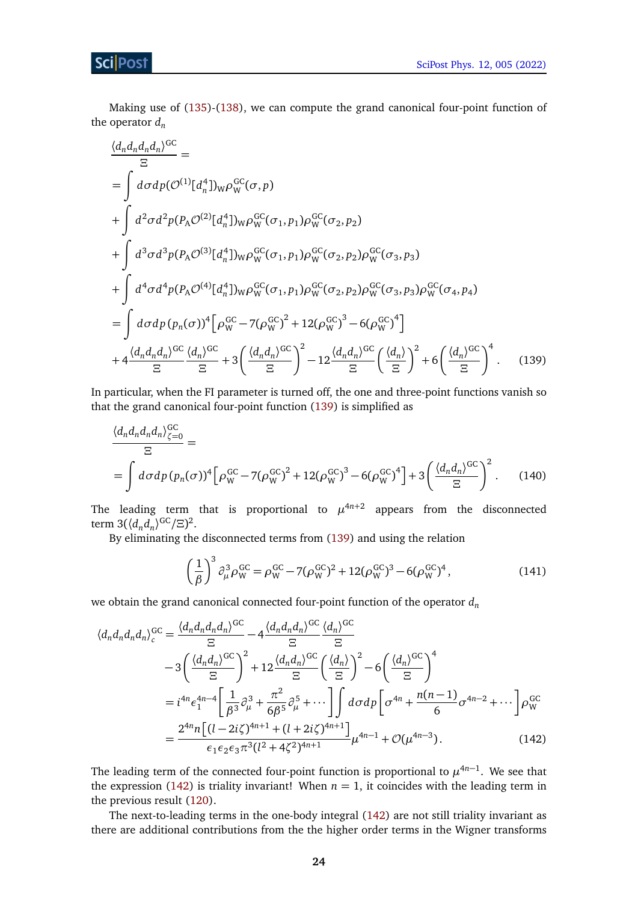Making use of [\(135\)](#page-22-2)-[\(138\)](#page-22-3), we can compute the grand canonical four-point function of the operator *d<sup>n</sup>*

$$
\frac{\langle d_n d_n d_n d_n \rangle^{GC}}{\Xi} = \int d\sigma dp (\mathcal{O}^{(1)}[d_n^4] )_W \rho_W^{GC}(\sigma, p) \n+ \int d^2 \sigma d^2 p (P_A \mathcal{O}^{(2)}[d_n^4] )_W \rho_W^{GC}(\sigma_1, p_1) \rho_W^{GC}(\sigma_2, p_2) \n+ \int d^3 \sigma d^3 p (P_A \mathcal{O}^{(3)}[d_n^4] )_W \rho_W^{GC}(\sigma_1, p_1) \rho_W^{GC}(\sigma_2, p_2) \rho_W^{GC}(\sigma_3, p_3) \n+ \int d^4 \sigma d^4 p (P_A \mathcal{O}^{(4)}[d_n^4] )_W \rho_W^{GC}(\sigma_1, p_1) \rho_W^{GC}(\sigma_2, p_2) \rho_W^{GC}(\sigma_3, p_3) \rho_W^{GC}(\sigma_4, p_4) \n= \int d\sigma dp (p_n(\sigma))^4 \Big[ \rho_W^{GC} - 7(\rho_W^{GC})^2 + 12(\rho_W^{GC})^3 - 6(\rho_W^{GC})^4 \Big] \n+ 4 \frac{\langle d_n d_n d_n \rangle^{GC}}{\Xi} \frac{\langle d_n \rangle^{GC}}{\Xi} + 3 \Big( \frac{\langle d_n d_n \rangle^{GC}}{\Xi} \Big)^2 - 12 \frac{\langle d_n d_n \rangle^{GC}}{\Xi} \Big( \frac{\langle d_n \rangle}{\Xi} \Big)^2 + 6 \Big( \frac{\langle d_n \rangle^{GC}}{\Xi} \Big)^4. \tag{139}
$$

In particular, when the FI parameter is turned off, the one and three-point functions vanish so that the grand canonical four-point function [\(139\)](#page-23-0) is simplified as

$$
\frac{\langle d_n d_n d_n d_n \rangle_{\zeta=0}^{GC}}{\Xi} = \int d\sigma dp \, (p_n(\sigma))^4 \Big[ \rho_{\rm W}^{GC} - 7(\rho_{\rm W}^{GC})^2 + 12(\rho_{\rm W}^{GC})^3 - 6(\rho_{\rm W}^{GC})^4 \Big] + 3 \Big( \frac{\langle d_n d_n \rangle^{GC}}{\Xi} \Big)^2 \,. \tag{140}
$$

The leading term that is proportional to  $\mu^{4n+2}$  appears from the disconnected term  $3(\langle d_n d_n \rangle^{\text{GC}}/\Xi)^2$ .

By eliminating the disconnected terms from [\(139\)](#page-23-0) and using the relation

<span id="page-23-1"></span><span id="page-23-0"></span>
$$
\left(\frac{1}{\beta}\right)^3 \partial_{\mu}^3 \rho_{\mathbf{W}}^{\mathbf{GC}} = \rho_{\mathbf{W}}^{\mathbf{GC}} - 7(\rho_{\mathbf{W}}^{\mathbf{GC}})^2 + 12(\rho_{\mathbf{W}}^{\mathbf{GC}})^3 - 6(\rho_{\mathbf{W}}^{\mathbf{GC}})^4,\tag{141}
$$

we obtain the grand canonical connected four-point function of the operator *d<sup>n</sup>*

$$
\langle d_n d_n d_n d_n \rangle_c^{GC} = \frac{\langle d_n d_n d_n d_n \rangle^{GC}}{\Xi} - 4 \frac{\langle d_n d_n d_n \rangle^{GC}}{\Xi} \frac{\langle d_n \rangle^{GC}}{\Xi}
$$
  
\n
$$
- 3 \left( \frac{\langle d_n d_n \rangle^{GC}}{\Xi} \right)^2 + 12 \frac{\langle d_n d_n \rangle^{GC}}{\Xi} \left( \frac{\langle d_n \rangle}{\Xi} \right)^2 - 6 \left( \frac{\langle d_n \rangle^{GC}}{\Xi} \right)^4
$$
  
\n
$$
= i^{4n} \epsilon_1^{4n-4} \left[ \frac{1}{\beta^3} \partial_\mu^3 + \frac{\pi^2}{6\beta^5} \partial_\mu^5 + \cdots \right] \int d\sigma d\rho \left[ \sigma^{4n} + \frac{n(n-1)}{6} \sigma^{4n-2} + \cdots \right] \rho_w^{GC}
$$
  
\n
$$
= \frac{2^{4n} n \left[ (l - 2i\zeta)^{4n+1} + (l + 2i\zeta)^{4n+1} \right]}{\epsilon_1 \epsilon_2 \epsilon_3 \pi^3 (l^2 + 4\zeta^2)^{4n+1}} \mu^{4n-1} + \mathcal{O}(\mu^{4n-3}). \tag{142}
$$

The leading term of the connected four-point function is proportional to  $\mu^{4n-1}$ . We see that the expression [\(142\)](#page-23-1) is triality invariant! When  $n = 1$ , it coincides with the leading term in the previous result [\(120\)](#page-19-0).

The next-to-leading terms in the one-body integral [\(142\)](#page-23-1) are not still triality invariant as there are additional contributions from the the higher order terms in the Wigner transforms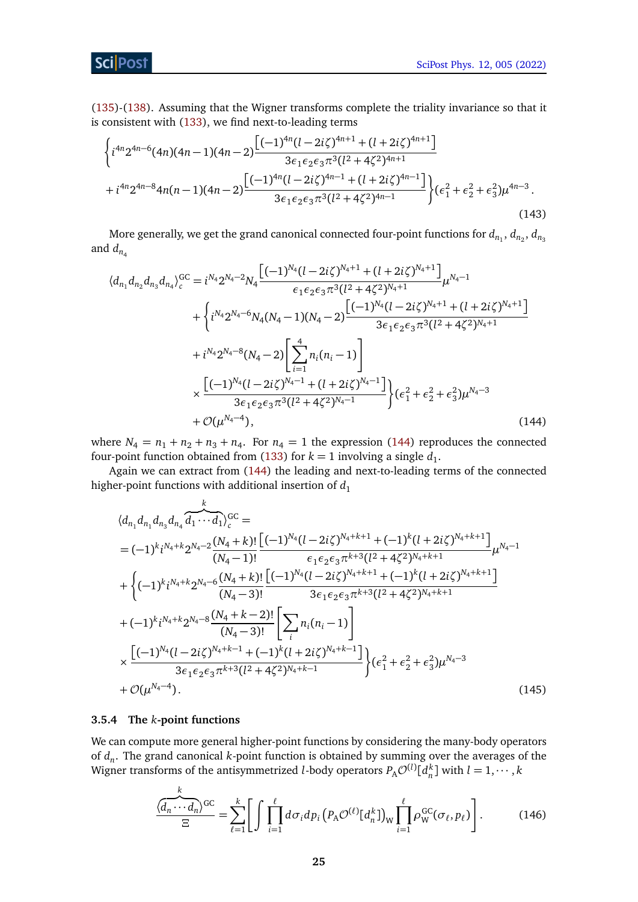### Sci Post

[\(135\)](#page-22-2)-[\(138\)](#page-22-3). Assuming that the Wigner transforms complete the triality invariance so that it is consistent with [\(133\)](#page-22-4), we find next-to-leading terms

$$
\begin{aligned}\n&\left\{i^{4n}2^{4n-6}(4n)(4n-1)(4n-2)\frac{\left[(-1)^{4n}(l-2i\zeta)^{4n+1}+(l+2i\zeta)^{4n+1}\right]}{3\epsilon_1\epsilon_2\epsilon_3\pi^3(l^2+4\zeta^2)^{4n+1}}\right.\\&\left.+i^{4n}2^{4n-8}4n(n-1)(4n-2)\frac{\left[(-1)^{4n}(l-2i\zeta)^{4n-1}+(l+2i\zeta)^{4n-1}\right]}{3\epsilon_1\epsilon_2\epsilon_3\pi^3(l^2+4\zeta^2)^{4n-1}}\right\}\left(\epsilon_1^2+\epsilon_2^2+\epsilon_3^2\right)\mu^{4n-3}.\n\end{aligned} \tag{143}
$$

More generally, we get the grand canonical connected four-point functions for  $d_{n_1},$   $d_{n_2},$   $d_{n_3}$ and  $d_{n_4}$ 

$$
\langle d_{n_1} d_{n_2} d_{n_3} d_{n_4} \rangle_c^{GC} = i^{N_4} 2^{N_4 - 2} N_4 \frac{\left[ (-1)^{N_4} (l - 2i\zeta)^{N_4 + 1} + (l + 2i\zeta)^{N_4 + 1} \right]}{\epsilon_1 \epsilon_2 \epsilon_3 \pi^3 (l^2 + 4\zeta^2)^{N_4 + 1}} \mu^{N_4 - 1} + \left\{ i^{N_4} 2^{N_4 - 6} N_4 (N_4 - 1)(N_4 - 2) \frac{\left[ (-1)^{N_4} (l - 2i\zeta)^{N_4 + 1} + (l + 2i\zeta)^{N_4 + 1} \right]}{3\epsilon_1 \epsilon_2 \epsilon_3 \pi^3 (l^2 + 4\zeta^2)^{N_4 + 1}} \right. + i^{N_4} 2^{N_4 - 8} (N_4 - 2) \left[ \sum_{i=1}^4 n_i (n_i - 1) \right] \times \frac{\left[ (-1)^{N_4} (l - 2i\zeta)^{N_4 - 1} + (l + 2i\zeta)^{N_4 - 1} \right]}{3\epsilon_1 \epsilon_2 \epsilon_3 \pi^3 (l^2 + 4\zeta^2)^{N_4 - 1}} \right\} \left( \epsilon_1^2 + \epsilon_2^2 + \epsilon_3^2 \right) \mu^{N_4 - 3} + \mathcal{O}(\mu^{N_4 - 4}),
$$
 (144)

where  $N_4 = n_1 + n_2 + n_3 + n_4$ . For  $n_4 = 1$  the expression [\(144\)](#page-24-1) reproduces the connected four-point function obtained from [\(133\)](#page-22-4) for  $k = 1$  involving a single  $d_1$ .

Again we can extract from [\(144\)](#page-24-1) the leading and next-to-leading terms of the connected higher-point functions with additional insertion of  $d_1$ 

<span id="page-24-1"></span>
$$
\langle d_{n_1} d_{n_1} d_{n_3} d_{n_4} \overbrace{d_1 \cdots d_1}^{k} \rangle_c^{\text{GC}} =
$$
\n
$$
= (-1)^k i^{N_4+k} 2^{N_4-2} \frac{(N_4+k)!}{(N_4-1)!} \frac{\left[ (-1)^{N_4} (l-2i\zeta)^{N_4+k+1} + (-1)^k (l+2i\zeta)^{N_4+k+1} \right]}{\epsilon_1 \epsilon_2 \epsilon_3 \pi^{k+3} (l^2+4\zeta^2)^{N_4+k+1}} \mu^{N_4-1}
$$
\n
$$
+ \left\{ (-1)^k i^{N_4+k} 2^{N_4-6} \frac{(N_4+k)!}{(N_4-3)!} \frac{\left[ (-1)^{N_4} (l-2i\zeta)^{N_4+k+1} + (-1)^k (l+2i\zeta)^{N_4+k+1} \right]}{3\epsilon_1 \epsilon_2 \epsilon_3 \pi^{k+3} (l^2+4\zeta^2)^{N_4+k+1}} \right. \\ \left. + (-1)^k i^{N_4+k} 2^{N_4-8} \frac{(N_4+k-2)!}{(N_4-3)!} \left[ \sum_i n_i (n_i-1) \right] \right. \\ \times \frac{\left[ (-1)^{N_4} (l-2i\zeta)^{N_4+k-1} + (-1)^k (l+2i\zeta)^{N_4+k-1} \right]}{3\epsilon_1 \epsilon_2 \epsilon_3 \pi^{k+3} (l^2+4\zeta^2)^{N_4+k-1}} \right\} ( \epsilon_1^2 + \epsilon_2^2 + \epsilon_3^2) \mu^{N_4-3}
$$
\n
$$
+ \mathcal{O}(\mu^{N_4-4}). \tag{145}
$$

#### <span id="page-24-0"></span>**3.5.4 The** *k***-point functions**

We can compute more general higher-point functions by considering the many-body operators of *d<sup>n</sup>* . The grand canonical *k*-point function is obtained by summing over the averages of the Wigner transforms of the antisymmetrized *l*-body operators  $P_{\rm A}\mathcal{O}^{(l)}[\,d_n^k]$  with  $l=1,\cdots,k$ 

<span id="page-24-2"></span>
$$
\frac{\langle d_n \cdots d_n \rangle^{GC}}{\Xi} = \sum_{\ell=1}^k \Biggl[ \int \prod_{i=1}^{\ell} d\sigma_i dp_i \bigl( P_A \mathcal{O}^{(\ell)}[d_n^k] \bigr)_{\mathcal{W}} \prod_{i=1}^{\ell} \rho_{\mathcal{W}}^{GC}(\sigma_{\ell}, p_{\ell}) \Biggr]. \tag{146}
$$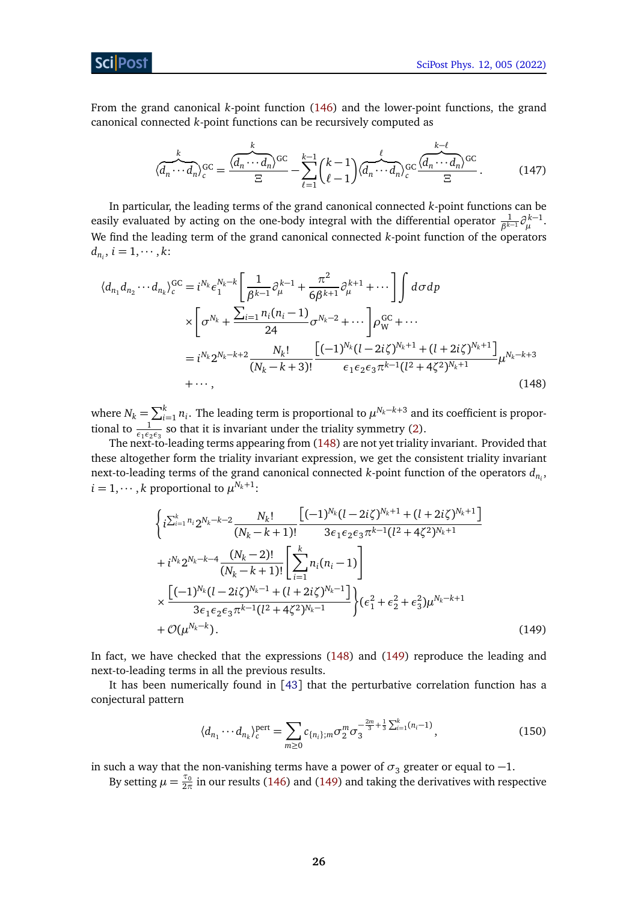From the grand canonical *k*-point function [\(146\)](#page-24-2) and the lower-point functions, the grand canonical connected *k*-point functions can be recursively computed as

$$
\langle \overrightarrow{d_n \cdots d_n} \rangle_c^{GC} = \frac{\langle \overrightarrow{d_n \cdots d_n} \rangle^{GC}}{\Xi} - \sum_{\ell=1}^{k-1} {k-1 \choose \ell-1} \langle \overrightarrow{d_n \cdots d_n} \rangle_c^{GC} \frac{\langle \overrightarrow{d_n \cdots d_n} \rangle^{GC}}{\Xi}.
$$
 (147)

In particular, the leading terms of the grand canonical connected *k*-point functions can be easily evaluated by acting on the one-body integral with the differential operator  $\frac{1}{\beta^{k-1}} \partial_{\mu}^{k-1}$ . We find the leading term of the grand canonical connected *k*-point function of the operators  $d_{n_i}$ ,  $i = 1, \cdots, k$ :

$$
\langle d_{n_1} d_{n_2} \cdots d_{n_k} \rangle_c^{GC} = i^{N_k} \epsilon_1^{N_k - k} \left[ \frac{1}{\beta^{k-1}} \partial_{\mu}^{k-1} + \frac{\pi^2}{6\beta^{k+1}} \partial_{\mu}^{k+1} + \cdots \right] \int d\sigma dp
$$
  
\n
$$
\times \left[ \sigma^{N_k} + \frac{\sum_{i=1}^n n_i (n_i - 1)}{24} \sigma^{N_k - 2} + \cdots \right] \rho_W^{GC} + \cdots
$$
  
\n
$$
= i^{N_k} 2^{N_k - k + 2} \frac{N_k!}{(N_k - k + 3)!} \frac{\left[ (-1)^{N_k} (l - 2i\zeta)^{N_k + 1} + (l + 2i\zeta)^{N_k + 1} \right]}{\epsilon_1 \epsilon_2 \epsilon_3 \pi^{k-1} (l^2 + 4\zeta^2)^{N_k + 1}} \mu^{N_k - k + 3}
$$
  
\n
$$
+ \cdots, \qquad (148)
$$

where  $N_k = \sum_{i=1}^k n_i$ . The leading term is proportional to  $\mu^{N_k-k+3}$  and its coefficient is proportional to  $\frac{1}{\epsilon_1 \epsilon_2 \epsilon_3}$  so that it is invariant under the triality symmetry [\(2\)](#page-2-3).

The next-to-leading terms appearing from [\(148\)](#page-25-0) are not yet triality invariant. Provided that these altogether form the triality invariant expression, we get the consistent triality invariant next-to-leading terms of the grand canonical connected *k*-point function of the operators *dn<sup>i</sup>* ,  $i = 1, \cdots, k$  proportional to  $\mu^{N_k+1}$ :

<span id="page-25-0"></span>
$$
\left\{i^{\sum_{i=1}^{k} n_i} 2^{N_k - k - 2} \frac{N_k!}{(N_k - k + 1)!} \frac{\left[(-1)^{N_k} (l - 2i\zeta)^{N_k + 1} + (l + 2i\zeta)^{N_k + 1}\right]}{3\epsilon_1 \epsilon_2 \epsilon_3 \pi^{k - 1} (l^2 + 4\zeta^2)^{N_k + 1}} + i^{N_k} 2^{N_k - k - 4} \frac{(N_k - 2)!}{(N_k - k + 1)!} \left[\sum_{i=1}^{k} n_i (n_i - 1)\right] \times \frac{\left[(-1)^{N_k} (l - 2i\zeta)^{N_k - 1} + (l + 2i\zeta)^{N_k - 1}\right]}{3\epsilon_1 \epsilon_2 \epsilon_3 \pi^{k - 1} (l^2 + 4\zeta^2)^{N_k - 1}}\right\} (e_1^2 + e_2^2 + e_3^2) \mu^{N_k - k + 1} + \mathcal{O}(\mu^{N_k - k}).
$$
\n(149)

In fact, we have checked that the expressions [\(148\)](#page-25-0) and [\(149\)](#page-25-1) reproduce the leading and next-to-leading terms in all the previous results.

It has been numerically found in [[43](#page-34-2)] that the perturbative correlation function has a conjectural pattern

<span id="page-25-2"></span><span id="page-25-1"></span>
$$
\langle d_{n_1} \cdots d_{n_k} \rangle_c^{\text{pert}} = \sum_{m \ge 0} c_{\{n_i\};m} \sigma_2^m \sigma_3^{-\frac{2m}{3} + \frac{1}{3} \sum_{i=1}^k (n_i - 1)},\tag{150}
$$

in such a way that the non-vanishing terms have a power of  $\sigma_3$  greater or equal to  $-1$ .

By setting  $\mu = \frac{\tau_0}{2\pi}$  in our results [\(146\)](#page-24-2) and [\(149\)](#page-25-1) and taking the derivatives with respective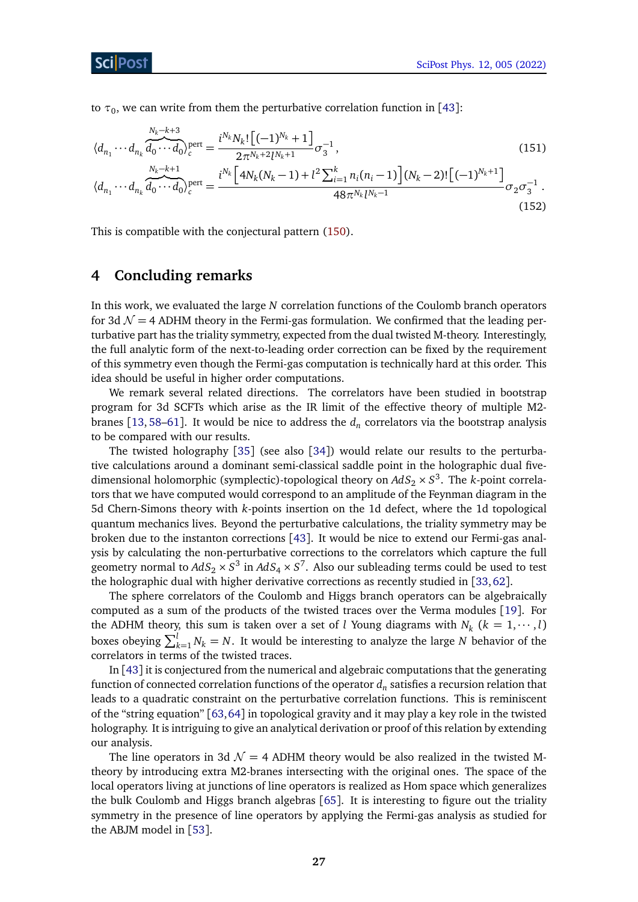to  $\tau_0$ , we can write from them the perturbative correlation function in [[43](#page-34-2)]:

$$
\langle d_{n_1} \cdots d_{n_k} \overbrace{d_0 \cdots d_0}^{N_k - k + 3} \rangle_c^{\text{pert}} = \frac{i^{N_k} N_k! \left[ (-1)^{N_k} + 1 \right]}{2 \pi^{N_k + 2} l^{N_k + 1}} \sigma_3^{-1},
$$
\n
$$
\langle d_{n_1} \cdots d_{n_k} \overbrace{d_0 \cdots d_0}^{N_k - k + 1} \rangle_c^{\text{pert}} = \frac{i^{N_k} \left[ 4N_k (N_k - 1) + l^2 \sum_{i=1}^k n_i (n_i - 1) \right] (N_k - 2)! \left[ (-1)^{N_k + 1} \right]}{48 \pi^{N_k} l^{N_k - 1}} \sigma_2 \sigma_3^{-1}.
$$
\n(152)

This is compatible with the conjectural pattern [\(150\)](#page-25-2).

# <span id="page-26-0"></span>**4 Concluding remarks**

*Nk*−*k*+3

In this work, we evaluated the large *N* correlation functions of the Coulomb branch operators for 3d  $\mathcal{N} = 4$  ADHM theory in the Fermi-gas formulation. We confirmed that the leading perturbative part has the triality symmetry, expected from the dual twisted M-theory. Interestingly, the full analytic form of the next-to-leading order correction can be fixed by the requirement of this symmetry even though the Fermi-gas computation is technically hard at this order. This idea should be useful in higher order computations.

We remark several related directions. The correlators have been studied in bootstrap program for 3d SCFTs which arise as the IR limit of the effective theory of multiple M2- branes [[13,](#page-32-4) [58–](#page-35-1)[61](#page-35-2)]. It would be nice to address the  $d_n$  correlators via the bootstrap analysis to be compared with our results.

The twisted holography [[35](#page-33-14)] (see also [[34](#page-33-13)]) would relate our results to the perturbative calculations around a dominant semi-classical saddle point in the holographic dual fivedimensional holomorphic (symplectic)-topological theory on  $AdS_2 \times S^3$ . The *k*-point correlators that we have computed would correspond to an amplitude of the Feynman diagram in the 5d Chern-Simons theory with *k*-points insertion on the 1d defect, where the 1d topological quantum mechanics lives. Beyond the perturbative calculations, the triality symmetry may be broken due to the instanton corrections [[43](#page-34-2)]. It would be nice to extend our Fermi-gas analysis by calculating the non-perturbative corrections to the correlators which capture the full geometry normal to  $AdS_2\times S^3$  in  $AdS_4\times S^7.$  Also our subleading terms could be used to test the holographic dual with higher derivative corrections as recently studied in [[33,](#page-33-17)[62](#page-35-3)].

The sphere correlators of the Coulomb and Higgs branch operators can be algebraically computed as a sum of the products of the twisted traces over the Verma modules [[19](#page-33-0)]. For the ADHM theory, this sum is taken over a set of *l* Young diagrams with  $N_k$  ( $k = 1, \dots, l$ ) boxes obeying  $\sum_{k=1}^{l} N_k = N$ . It would be interesting to analyze the large *N* behavior of the correlators in terms of the twisted traces.

In [[43](#page-34-2)] it is conjectured from the numerical and algebraic computations that the generating function of connected correlation functions of the operator  $d_n$  satisfies a recursion relation that leads to a quadratic constraint on the perturbative correlation functions. This is reminiscent of the "string equation" [[63,](#page-35-4)[64](#page-35-5)] in topological gravity and it may play a key role in the twisted holography. It is intriguing to give an analytical derivation or proof of this relation by extending our analysis.

The line operators in 3d  $\mathcal{N} = 4$  ADHM theory would be also realized in the twisted Mtheory by introducing extra M2-branes intersecting with the original ones. The space of the local operators living at junctions of line operators is realized as Hom space which generalizes the bulk Coulomb and Higgs branch algebras [[65](#page-35-6)]. It is interesting to figure out the triality symmetry in the presence of line operators by applying the Fermi-gas analysis as studied for the ABJM model in [[53](#page-34-11)].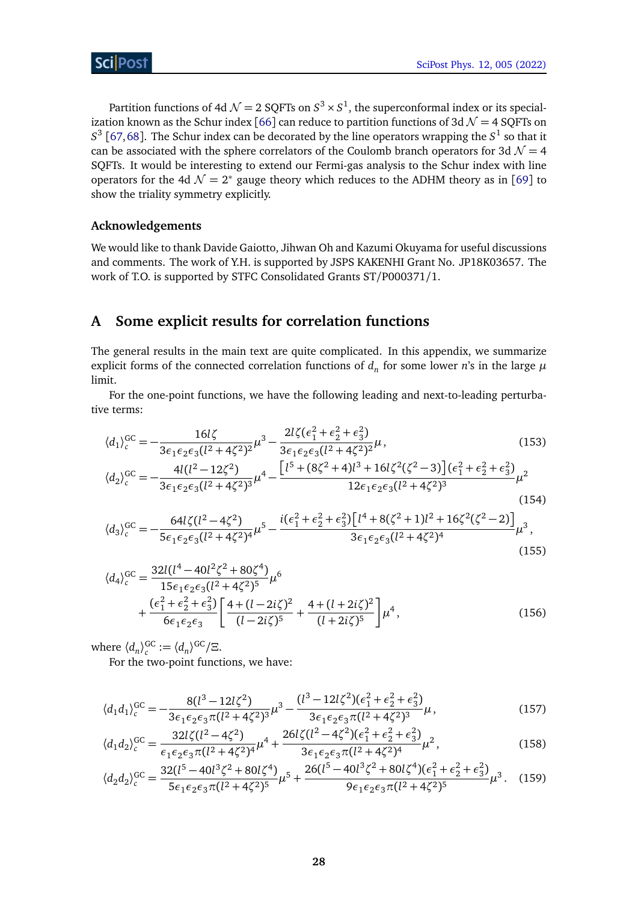Partition functions of 4d  $\mathcal{N} = 2$  SQFTs on  $S^3 \times S^1$ , the superconformal index or its special-ization known as the Schur index [[66](#page-35-7)] can reduce to partition functions of 3d  $\mathcal{N} = 4$  SQFTs on  $S^3$  [[67,](#page-35-8)[68](#page-35-9)]. The Schur index can be decorated by the line operators wrapping the  $S^1$  so that it can be associated with the sphere correlators of the Coulomb branch operators for 3d  $\mathcal{N} = 4$ SQFTs. It would be interesting to extend our Fermi-gas analysis to the Schur index with line operators for the 4d  $\mathcal{N} = 2^*$  gauge theory which reduces to the ADHM theory as in [[69](#page-35-10)] to show the triality symmetry explicitly.

#### **Acknowledgements**

We would like to thank Davide Gaiotto, Jihwan Oh and Kazumi Okuyama for useful discussions and comments. The work of Y.H. is supported by JSPS KAKENHI Grant No. JP18K03657. The work of T.O. is supported by STFC Consolidated Grants ST/P000371/1.

# <span id="page-27-0"></span>**A Some explicit results for correlation functions**

The general results in the main text are quite complicated. In this appendix, we summarize explicit forms of the connected correlation functions of  $d_n$  for some lower  $n$ 's in the large  $\mu$ limit.

For the one-point functions, we have the following leading and next-to-leading perturbative terms:

<span id="page-27-1"></span>
$$
\langle d_1 \rangle_c^{GC} = -\frac{16l\zeta}{3\epsilon_1\epsilon_2\epsilon_3(l^2 + 4\zeta^2)^2} \mu^3 - \frac{2l\zeta(\epsilon_1^2 + \epsilon_2^2 + \epsilon_3^2)}{3\epsilon_1\epsilon_2\epsilon_3(l^2 + 4\zeta^2)^2} \mu, \tag{153}
$$
\n
$$
\langle d_2 \rangle_c^{GC} = -\frac{4l(l^2 - 12\zeta^2)}{3\epsilon_1\epsilon_2\epsilon_3(l^2 + 4\zeta^2)^3} \mu^4 - \frac{\left[l^5 + (8\zeta^2 + 4)l^3 + 16l\zeta^2(\zeta^2 - 3)\right](\epsilon_1^2 + \epsilon_2^2 + \epsilon_3^2)}{12\epsilon_1\epsilon_2\epsilon_3(l^2 + 4\zeta^2)^3} \mu^2 \tag{154}
$$

$$
\langle d_3 \rangle_c^{GC} = -\frac{64l\zeta(l^2 - 4\zeta^2)}{5\epsilon_1\epsilon_2\epsilon_3(l^2 + 4\zeta^2)^4} \mu^5 - \frac{i(\epsilon_1^2 + \epsilon_2^2 + \epsilon_3^2)\left[l^4 + 8(\zeta^2 + 1)l^2 + 16\zeta^2(\zeta^2 - 2)\right]}{3\epsilon_1\epsilon_2\epsilon_3(l^2 + 4\zeta^2)^4} \mu^3,
$$
\n(155)

$$
\langle d_4 \rangle_c^{GC} = \frac{32l(l^4 - 40l^2\zeta^2 + 80\zeta^4)}{15\epsilon_1\epsilon_2\epsilon_3(l^2 + 4\zeta^2)^5} \mu^6 + \frac{(\epsilon_1^2 + \epsilon_2^2 + \epsilon_3^2)}{6\epsilon_1\epsilon_2\epsilon_3} \left[ \frac{4 + (l - 2i\zeta)^2}{(l - 2i\zeta)^5} + \frac{4 + (l + 2i\zeta)^2}{(l + 2i\zeta)^5} \right] \mu^4, \tag{156}
$$

where  $\langle d_n \rangle_c^{\text{GC}} := \langle d_n \rangle^{\text{GC}} / \Xi$ .

<span id="page-27-2"></span>For the two-point functions, we have:

$$
\langle d_1 d_1 \rangle_c^{GC} = -\frac{8(l^3 - 12l\zeta^2)}{3\epsilon_1 \epsilon_2 \epsilon_3 \pi (l^2 + 4\zeta^2)^3} \mu^3 - \frac{(l^3 - 12l\zeta^2)(\epsilon_1^2 + \epsilon_2^2 + \epsilon_3^2)}{3\epsilon_1 \epsilon_2 \epsilon_3 \pi (l^2 + 4\zeta^2)^3} \mu, \tag{157}
$$

$$
\langle d_1 d_2 \rangle_c^{GC} = \frac{32l\zeta(l^2 - 4\zeta^2)}{\epsilon_1 \epsilon_2 \epsilon_3 \pi (l^2 + 4\zeta^2)^4} \mu^4 + \frac{26l\zeta(l^2 - 4\zeta^2)(\epsilon_1^2 + \epsilon_2^2 + \epsilon_3^2)}{3\epsilon_1 \epsilon_2 \epsilon_3 \pi (l^2 + 4\zeta^2)^4} \mu^2, \tag{158}
$$

$$
\langle d_2 d_2 \rangle_c^{GC} = \frac{32(l^5 - 40l^3 \zeta^2 + 80l \zeta^4)}{5\epsilon_1 \epsilon_2 \epsilon_3 \pi (l^2 + 4\zeta^2)^5} \mu^5 + \frac{26(l^5 - 40l^3 \zeta^2 + 80l \zeta^4)(\epsilon_1^2 + \epsilon_2^2 + \epsilon_3^2)}{9\epsilon_1 \epsilon_2 \epsilon_3 \pi (l^2 + 4\zeta^2)^5} \mu^3. \tag{159}
$$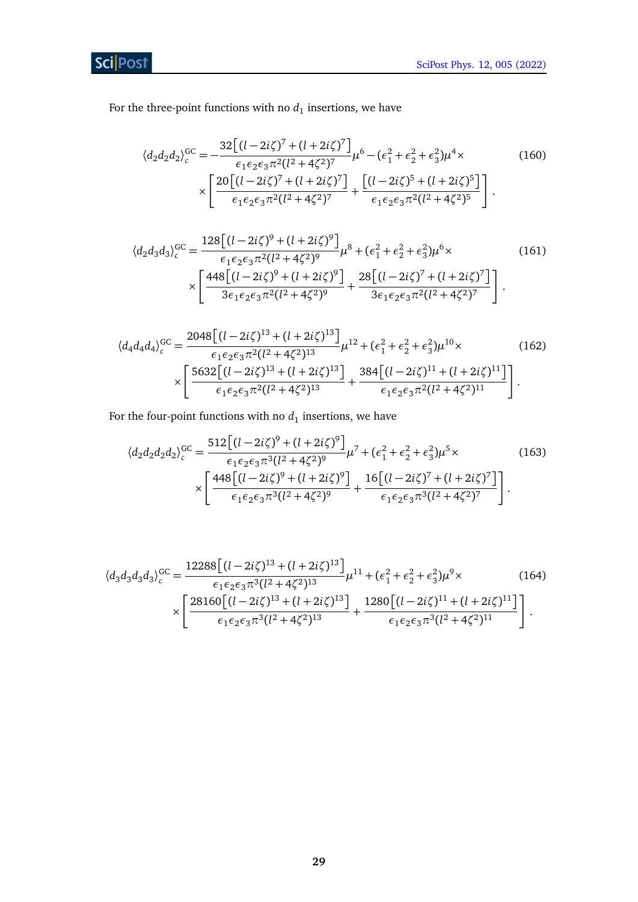**Sci** Post

For the three-point functions with no  $d_1$  insertions, we have

$$
\langle d_2 d_2 d_2 \rangle_c^{GC} = -\frac{32 \left[ (l - 2i\zeta)^7 + (l + 2i\zeta)^7 \right]}{\epsilon_1 \epsilon_2 \epsilon_3 \pi^2 (l^2 + 4\zeta^2)^7} \mu^6 - (\epsilon_1^2 + \epsilon_2^2 + \epsilon_3^2) \mu^4 \times \times \left[ \frac{20 \left[ (l - 2i\zeta)^7 + (l + 2i\zeta)^7 \right]}{\epsilon_1 \epsilon_2 \epsilon_3 \pi^2 (l^2 + 4\zeta^2)^7} + \frac{\left[ (l - 2i\zeta)^5 + (l + 2i\zeta)^5 \right]}{\epsilon_1 \epsilon_2 \epsilon_3 \pi^2 (l^2 + 4\zeta^2)^5} \right].
$$
\n(160)

$$
\langle d_2 d_3 d_3 \rangle_c^{GC} = \frac{128 \left[ (l - 2i\zeta)^9 + (l + 2i\zeta)^9 \right]}{\epsilon_1 \epsilon_2 \epsilon_3 \pi^2 (l^2 + 4\zeta^2)^9} \mu^8 + (\epsilon_1^2 + \epsilon_2^2 + \epsilon_3^2) \mu^6 \times \left[ \frac{448 \left[ (l - 2i\zeta)^9 + (l + 2i\zeta)^9 \right]}{3\epsilon_1 \epsilon_2 \epsilon_3 \pi^2 (l^2 + 4\zeta^2)^9} + \frac{28 \left[ (l - 2i\zeta)^7 + (l + 2i\zeta)^7 \right]}{3\epsilon_1 \epsilon_2 \epsilon_3 \pi^2 (l^2 + 4\zeta^2)^7} \right].
$$
\n(161)

$$
\langle d_4 d_4 d_4 \rangle_c^{GC} = \frac{2048 \left[ (l - 2i\zeta)^{13} + (l + 2i\zeta)^{13} \right]}{\epsilon_1 \epsilon_2 \epsilon_3 \pi^2 (l^2 + 4\zeta^2)^{13}} \mu^{12} + (\epsilon_1^2 + \epsilon_2^2 + \epsilon_3^2) \mu^{10} \times
$$
\n
$$
\times \left[ \frac{5632 \left[ (l - 2i\zeta)^{13} + (l + 2i\zeta)^{13} \right]}{\epsilon_1 \epsilon_2 \epsilon_3 \pi^2 (l^2 + 4\zeta^2)^{13}} + \frac{384 \left[ (l - 2i\zeta)^{11} + (l + 2i\zeta)^{11} \right]}{\epsilon_1 \epsilon_2 \epsilon_3 \pi^2 (l^2 + 4\zeta^2)^{11}} \right].
$$
\n(162)

For the four-point functions with no  $d_1$  insertions, we have

$$
\langle d_2 d_2 d_2 d_2 \rangle_c^{GC} = \frac{512 \left[ (l - 2i\zeta)^9 + (l + 2i\zeta)^9 \right]}{\epsilon_1 \epsilon_2 \epsilon_3 \pi^3 (l^2 + 4\zeta^2)^9} \mu^7 + (\epsilon_1^2 + \epsilon_2^2 + \epsilon_3^2) \mu^5 \times \left[ \frac{448 \left[ (l - 2i\zeta)^9 + (l + 2i\zeta)^9 \right]}{\epsilon_1 \epsilon_2 \epsilon_3 \pi^3 (l^2 + 4\zeta^2)^9} + \frac{16 \left[ (l - 2i\zeta)^7 + (l + 2i\zeta)^7 \right]}{\epsilon_1 \epsilon_2 \epsilon_3 \pi^3 (l^2 + 4\zeta^2)^7} \right].
$$
\n(163)

$$
\langle d_3 d_3 d_3 d_3 \rangle_c^{GC} = \frac{12288 \left[ (l - 2i\zeta)^{13} + (l + 2i\zeta)^{13} \right]}{\epsilon_1 \epsilon_2 \epsilon_3 \pi^3 (l^2 + 4\zeta^2)^{13}} \mu^{11} + (\epsilon_1^2 + \epsilon_2^2 + \epsilon_3^2) \mu^9 \times \left[ \frac{28160 \left[ (l - 2i\zeta)^{13} + (l + 2i\zeta)^{13} \right]}{\epsilon_1 \epsilon_2 \epsilon_3 \pi^3 (l^2 + 4\zeta^2)^{13}} + \frac{1280 \left[ (l - 2i\zeta)^{11} + (l + 2i\zeta)^{11} \right]}{\epsilon_1 \epsilon_2 \epsilon_3 \pi^3 (l^2 + 4\zeta^2)^{11}} \right].
$$
\n(164)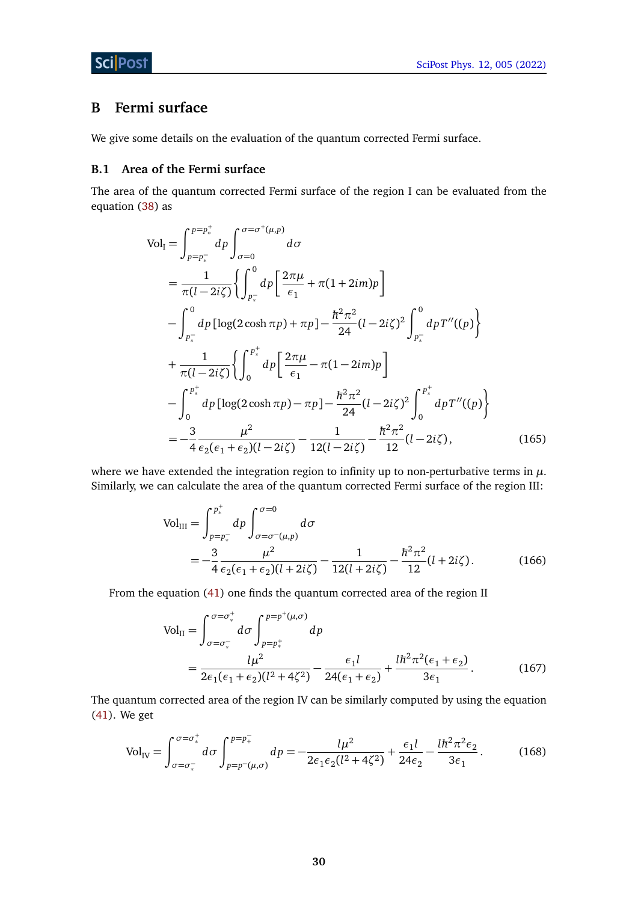# <span id="page-29-0"></span>**B Fermi surface**

We give some details on the evaluation of the quantum corrected Fermi surface.

### <span id="page-29-1"></span>**B.1 Area of the Fermi surface**

The area of the quantum corrected Fermi surface of the region I can be evaluated from the equation [\(38\)](#page-8-1) as

$$
Vol_{I} = \int_{p=p_{*}^{-}}^{p=p_{*}^{+}} dp \int_{\sigma=0}^{\sigma=\sigma^{+}(\mu,p)} d\sigma
$$
  
\n
$$
= \frac{1}{\pi(l-2i\zeta)} \Biggl\{ \int_{p_{*}^{-}}^{0} dp \Biggl[ \frac{2\pi\mu}{\epsilon_{1}} + \pi(1+2im)p \Biggr]
$$
  
\n
$$
- \int_{p_{*}^{-}}^{0} dp \Biggl[ \log(2 \cosh \pi p) + \pi p \Biggr] - \frac{\hbar^{2} \pi^{2}}{24} (l-2i\zeta)^{2} \int_{p_{*}^{-}}^{0} dp T''(\Gamma p) \Biggr\}
$$
  
\n
$$
+ \frac{1}{\pi(l-2i\zeta)} \Biggl\{ \int_{0}^{p_{*}^{+}} dp \Biggl[ \frac{2\pi\mu}{\epsilon_{1}} - \pi(1-2im)p \Biggr]
$$
  
\n
$$
- \int_{0}^{p_{*}^{+}} dp \Biggl[ \log(2 \cosh \pi p) - \pi p \Biggr] - \frac{\hbar^{2} \pi^{2}}{24} (l-2i\zeta)^{2} \int_{0}^{p_{*}^{+}} dp T''(\Gamma p) \Biggr\}
$$
  
\n
$$
= -\frac{3}{4} \frac{\mu^{2}}{\epsilon_{2}(\epsilon_{1} + \epsilon_{2})(l-2i\zeta)} - \frac{1}{12(l-2i\zeta)} - \frac{\hbar^{2} \pi^{2}}{12} (l-2i\zeta), \qquad (165)
$$

where we have extended the integration region to infinity up to non-perturbative terms in *µ*. Similarly, we can calculate the area of the quantum corrected Fermi surface of the region III:

$$
Vol_{III} = \int_{p=p_{\ast}^{-}}^{p_{\ast}^{+}} dp \int_{\sigma=\sigma^{+}(\mu,p)}^{\sigma=0} d\sigma
$$
  
= 
$$
-\frac{3}{4} \frac{\mu^{2}}{\epsilon_{2}(\epsilon_{1} + \epsilon_{2})(l+2i\zeta)} - \frac{1}{12(l+2i\zeta)} - \frac{\hbar^{2}\pi^{2}}{12}(l+2i\zeta).
$$
 (166)

From the equation [\(41\)](#page-8-2) one finds the quantum corrected area of the region II

$$
Vol_{II} = \int_{\sigma = \sigma_*^-}^{\sigma = \sigma_*^+} d\sigma \int_{p=p_*^+}^{p=p^+ (\mu, \sigma)} dp
$$
  
= 
$$
\frac{l\mu^2}{2\epsilon_1(\epsilon_1 + \epsilon_2)(l^2 + 4\zeta^2)} - \frac{\epsilon_1 l}{24(\epsilon_1 + \epsilon_2)} + \frac{l\hbar^2 \pi^2(\epsilon_1 + \epsilon_2)}{3\epsilon_1}.
$$
 (167)

The quantum corrected area of the region IV can be similarly computed by using the equation [\(41\)](#page-8-2). We get

$$
\text{Vol}_{\text{IV}} = \int_{\sigma = \sigma_*^-}^{\sigma = \sigma_*^+} d\sigma \int_{p = p^-(\mu,\sigma)}^{p = p_+^-} dp = -\frac{l\mu^2}{2\epsilon_1 \epsilon_2 (l^2 + 4\zeta^2)} + \frac{\epsilon_1 l}{24\epsilon_2} - \frac{l\hbar^2 \pi^2 \epsilon_2}{3\epsilon_1}.
$$
 (168)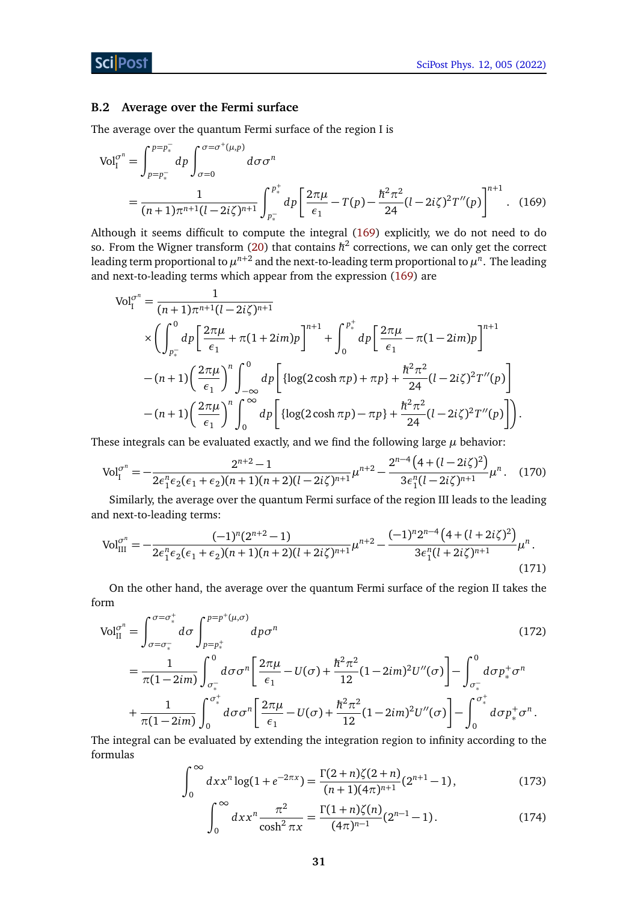#### <span id="page-30-0"></span>**B.2 Average over the Fermi surface**

The average over the quantum Fermi surface of the region I is

$$
\text{Vol}_{I}^{\sigma^{n}} = \int_{p=p_{*}^{-}}^{p=p_{*}^{-}} dp \int_{\sigma=0}^{\sigma=\sigma^{+}(\mu,p)} d\sigma \sigma^{n}
$$
  
= 
$$
\frac{1}{(n+1)\pi^{n+1}(l-2i\zeta)^{n+1}} \int_{p_{*}^{-}}^{p_{*}^{+}} dp \left[ \frac{2\pi\mu}{\epsilon_{1}} - T(p) - \frac{\hbar^{2}\pi^{2}}{24} (l-2i\zeta)^{2} T''(p) \right]^{n+1}.
$$
 (169)

Although it seems difficult to compute the integral [\(169\)](#page-30-3) explicitly, we do not need to do so. From the Wigner transform [\(20\)](#page-5-2) that contains  $\hbar^2$  corrections, we can only get the correct leading term proportional to  $\mu^{n+2}$  and the next-to-leading term proportional to  $\mu^n.$  The leading and next-to-leading terms which appear from the expression [\(169\)](#page-30-3) are

<span id="page-30-3"></span>
$$
\begin{split} \text{Vol}_{\mathcal{I}}^{\sigma^{n}} &= \frac{1}{(n+1)\pi^{n+1}(l-2i\zeta)^{n+1}} \\ &\times \left(\int_{p_{\ast}^{-}}^{0} dp \left[\frac{2\pi\mu}{\epsilon_{1}} + \pi(1+2im)p\right]^{n+1} + \int_{0}^{p_{\ast}^{+}} dp \left[\frac{2\pi\mu}{\epsilon_{1}} - \pi(1-2im)p\right]^{n+1} \right. \\ &\left. - (n+1)\left(\frac{2\pi\mu}{\epsilon_{1}}\right)^{n} \int_{-\infty}^{0} dp \left[\left\{\log(2\cosh\pi p) + \pi p\right\} + \frac{\hbar^{2}\pi^{2}}{24} (l-2i\zeta)^{2} T''(p)\right\} \right. \\ &\left. - (n+1)\left(\frac{2\pi\mu}{\epsilon_{1}}\right)^{n} \int_{0}^{\infty} dp \left[\left\{\log(2\cosh\pi p) - \pi p\right\} + \frac{\hbar^{2}\pi^{2}}{24} (l-2i\zeta)^{2} T''(p)\right]\right). \end{split}
$$

These integrals can be evaluated exactly, and we find the following large  $\mu$  behavior:

<span id="page-30-1"></span>
$$
\text{Vol}_{\text{I}}^{\sigma^n} = -\frac{2^{n+2} - 1}{2\epsilon_1^n \epsilon_2(\epsilon_1 + \epsilon_2)(n+1)(n+2)(l-2i\zeta)^{n+1}} \mu^{n+2} - \frac{2^{n-4}\left(4 + (l-2i\zeta)^2\right)}{3\epsilon_1^n (l-2i\zeta)^{n+1}} \mu^n. \tag{170}
$$

Similarly, the average over the quantum Fermi surface of the region III leads to the leading and next-to-leading terms:

$$
\text{Vol}_{\text{III}}^{\sigma^n} = -\frac{(-1)^n (2^{n+2} - 1)}{2\epsilon_1^n \epsilon_2 (\epsilon_1 + \epsilon_2)(n+1)(n+2)(l+2i\zeta)^{n+1}} \mu^{n+2} - \frac{(-1)^n 2^{n-4} \left(4 + (l+2i\zeta)^2\right)}{3\epsilon_1^n (l+2i\zeta)^{n+1}} \mu^n. \tag{171}
$$

On the other hand, the average over the quantum Fermi surface of the region II takes the form

$$
\text{Vol}_{\text{II}}^{\sigma^n} = \int_{\sigma = \sigma_*^-}^{\sigma = \sigma_*^+} d\sigma \int_{p=p_*^+}^{p=p^+ (\mu, \sigma)} dp \sigma^n \qquad (172)
$$
\n
$$
= \frac{1}{\pi (1 - 2im)} \int_{\sigma_*^-}^0 d\sigma \sigma^n \left[ \frac{2\pi \mu}{\epsilon_1} - U(\sigma) + \frac{\hbar^2 \pi^2}{12} (1 - 2im)^2 U''(\sigma) \right] - \int_{\sigma_*^-}^0 d\sigma p_*^+ \sigma^n \qquad (172)
$$
\n
$$
+ \frac{1}{\pi (1 - 2im)} \int_0^{\sigma_*^+} d\sigma \sigma^n \left[ \frac{2\pi \mu}{\epsilon_1} - U(\sigma) + \frac{\hbar^2 \pi^2}{12} (1 - 2im)^2 U''(\sigma) \right] - \int_0^{\sigma_*^+} d\sigma p_*^+ \sigma^n \, .
$$

The integral can be evaluated by extending the integration region to infinity according to the formulas

<span id="page-30-2"></span>
$$
\int_0^\infty dx x^n \log(1 + e^{-2\pi x}) = \frac{\Gamma(2+n)\zeta(2+n)}{(n+1)(4\pi)^{n+1}} (2^{n+1} - 1),\tag{173}
$$

$$
\int_0^\infty dx x^n \frac{\pi^2}{\cosh^2 \pi x} = \frac{\Gamma(1+n)\zeta(n)}{(4\pi)^{n-1}} (2^{n-1} - 1).
$$
 (174)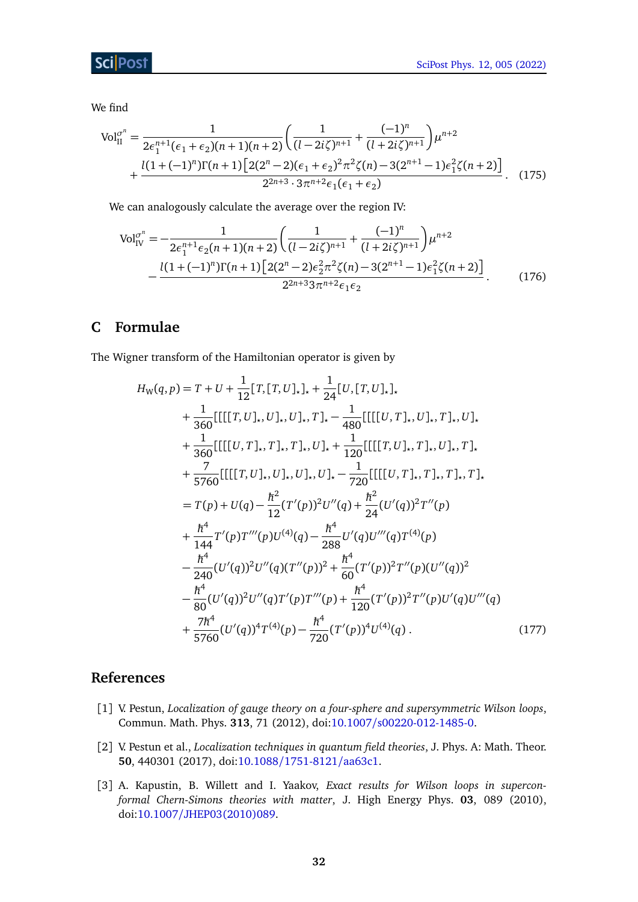## **ScilPost**

We find

$$
\text{Vol}_{II}^{\sigma^n} = \frac{1}{2\epsilon_1^{n+1}(\epsilon_1 + \epsilon_2)(n+1)(n+2)} \left( \frac{1}{(l-2i\zeta)^{n+1}} + \frac{(-1)^n}{(l+2i\zeta)^{n+1}} \right) \mu^{n+2} + \frac{l(1+(-1)^n)\Gamma(n+1)\left[2(2^n-2)(\epsilon_1 + \epsilon_2)^2 \pi^2 \zeta(n) - 3(2^{n+1}-1)\epsilon_1^2 \zeta(n+2)\right]}{2^{2n+3} \cdot 3\pi^{n+2} \epsilon_1(\epsilon_1 + \epsilon_2)}.
$$
 (175)

We can analogously calculate the average over the region IV:

<span id="page-31-5"></span>
$$
\text{Vol}_{\text{IV}}^{\sigma^n} = -\frac{1}{2\epsilon_1^{n+1}\epsilon_2(n+1)(n+2)} \left( \frac{1}{(l-2i\zeta)^{n+1}} + \frac{(-1)^n}{(l+2i\zeta)^{n+1}} \right) \mu^{n+2} - \frac{l(1+(-1)^n)\Gamma(n+1)\left[2(2^n-2)\epsilon_2^2\pi^2\zeta(n)-3(2^{n+1}-1)\epsilon_1^2\zeta(n+2)\right]}{2^{2n+3}3\pi^{n+2}\epsilon_1\epsilon_2}.
$$
 (176)

# <span id="page-31-0"></span>**C Formulae**

The Wigner transform of the Hamiltonian operator is given by

<span id="page-31-6"></span>
$$
H_{W}(q, p) = T + U + \frac{1}{12} [T, [T, U]_{\star}]_{\star} + \frac{1}{24} [U, [T, U]_{\star}]_{\star}
$$
  
+  $\frac{1}{360} [[[[[T, U]_{\star}, U]_{\star}, U]_{\star}, T]_{\star} - \frac{1}{480} [[[[U, T]_{\star}, U]_{\star}, T]_{\star}, U]_{\star}$   
+  $\frac{1}{360} [[[[U, T]_{\star}, T]_{\star}, T]_{\star}, U]_{\star} + \frac{1}{120} [[[[T, U]_{\star}, T]_{\star}, U]_{\star}, T]_{\star}$   
+  $\frac{7}{5760} [[[[[T, U]_{\star}, U]_{\star}, U]_{\star}, U]_{\star} - \frac{1}{720} [[[[U, T]_{\star}, T]_{\star}, T]_{\star}, T]_{\star}$   
=  $T(p) + U(q) - \frac{\hbar^2}{12} (T'(p))^2 U''(q) + \frac{\hbar^2}{24} (U'(q))^2 T''(p)$   
+  $\frac{\hbar^4}{144} T'(p) T'''(p) U^{(4)}(q) - \frac{\hbar^4}{288} U'(q) U'''(q) T^{(4)}(p)$   
-  $\frac{\hbar^4}{240} (U'(q))^2 U''(q) (T''(p))^2 + \frac{\hbar^4}{60} (T'(p))^2 T''(p) (U''(q))^2$   
-  $\frac{\hbar^4}{80} (U'(q))^2 U''(q) T'(p) T'''(p) + \frac{\hbar^4}{120} (T'(p))^2 T''(p) U'(q) U'''(q)$   
+  $\frac{7\hbar^4}{5760} (U'(q))^4 T^{(4)}(p) - \frac{\hbar^4}{720} (T'(p))^4 U^{(4)}(q)$ . (177)

## **References**

- <span id="page-31-2"></span><span id="page-31-1"></span>[1] V. Pestun, *Localization of gauge theory on a four-sphere and supersymmetric Wilson loops*, Commun. Math. Phys. **313**, 71 (2012), doi:10.1007/[s00220-012-1485-0.](https://doi.org/10.1007/s00220-012-1485-0)
- <span id="page-31-3"></span>[2] V. Pestun et al., *Localization techniques in quantum field theories*, J. Phys. A: Math. Theor. **50**, 440301 (2017), doi:10.1088/[1751-8121](https://doi.org/10.1088/1751-8121/aa63c1)/aa63c1.
- <span id="page-31-4"></span>[3] A. Kapustin, B. Willett and I. Yaakov, *Exact results for Wilson loops in superconformal Chern-Simons theories with matter*, J. High Energy Phys. **03**, 089 (2010), doi:10.1007/[JHEP03\(2010\)089.](https://doi.org/10.1007/JHEP03(2010)089)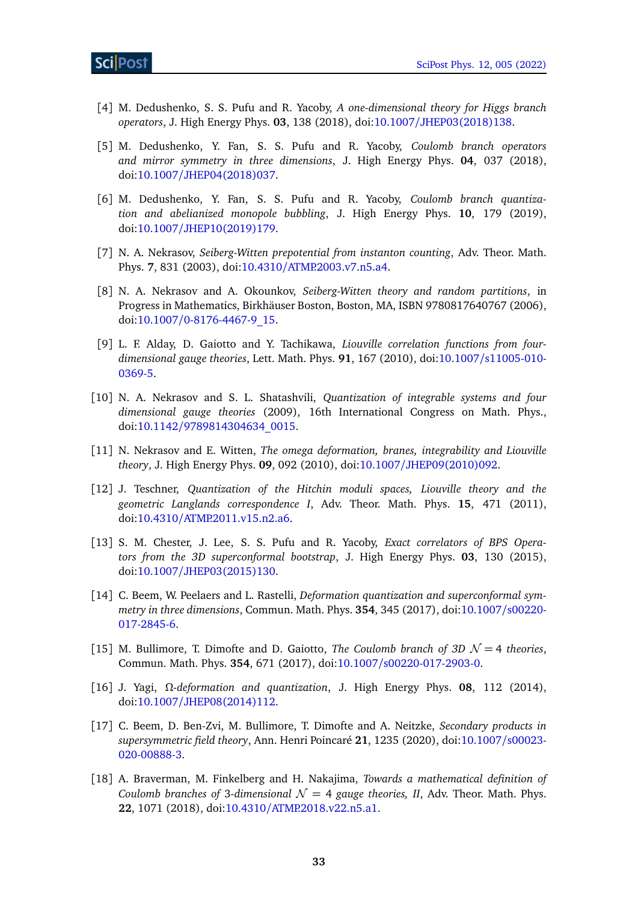- <span id="page-32-0"></span>[4] M. Dedushenko, S. S. Pufu and R. Yacoby, *A one-dimensional theory for Higgs branch operators*, J. High Energy Phys. **03**, 138 (2018), doi:10.1007/[JHEP03\(2018\)138.](https://doi.org/10.1007/JHEP03(2018)138)
- <span id="page-32-10"></span>[5] M. Dedushenko, Y. Fan, S. S. Pufu and R. Yacoby, *Coulomb branch operators and mirror symmetry in three dimensions*, J. High Energy Phys. **04**, 037 (2018), doi:10.1007/[JHEP04\(2018\)037.](https://doi.org/10.1007/JHEP04(2018)037)
- <span id="page-32-1"></span>[6] M. Dedushenko, Y. Fan, S. S. Pufu and R. Yacoby, *Coulomb branch quantization and abelianized monopole bubbling*, J. High Energy Phys. **10**, 179 (2019), doi:10.1007/[JHEP10\(2019\)179.](https://doi.org/10.1007/JHEP10(2019)179)
- <span id="page-32-2"></span>[7] N. A. Nekrasov, *Seiberg-Witten prepotential from instanton counting*, Adv. Theor. Math. Phys. **7**, 831 (2003), doi:10.4310/[ATMP.2003.v7.n5.a4.](https://doi.org/10.4310/ATMP.2003.v7.n5.a4)
- [8] N. A. Nekrasov and A. Okounkov, *Seiberg-Witten theory and random partitions*, in Progress in Mathematics, Birkhäuser Boston, Boston, MA, ISBN 9780817640767 (2006), doi:10.1007/[0-8176-4467-9\\_15.](https://doi.org/10.1007/0-8176-4467-9_15)
- [9] L. F. Alday, D. Gaiotto and Y. Tachikawa, *Liouville correlation functions from fourdimensional gauge theories*, Lett. Math. Phys. **91**, 167 (2010), doi:10.1007/[s11005-010-](https://doi.org/10.1007/s11005-010-0369-5) [0369-5.](https://doi.org/10.1007/s11005-010-0369-5)
- [10] N. A. Nekrasov and S. L. Shatashvili, *Quantization of integrable systems and four dimensional gauge theories* (2009), 16th International Congress on Math. Phys., doi:10.1142/[9789814304634\\_0015.](https://doi.org/10.1142/9789814304634_0015)
- [11] N. Nekrasov and E. Witten, *The omega deformation, branes, integrability and Liouville theory*, J. High Energy Phys. **09**, 092 (2010), doi:10.1007/[JHEP09\(2010\)092.](https://doi.org/10.1007/JHEP09(2010)092)
- <span id="page-32-3"></span>[12] J. Teschner, *Quantization of the Hitchin moduli spaces, Liouville theory and the geometric Langlands correspondence I*, Adv. Theor. Math. Phys. **15**, 471 (2011), doi:10.4310/[ATMP.2011.v15.n2.a6.](https://doi.org/10.4310/ATMP.2011.v15.n2.a6)
- <span id="page-32-4"></span>[13] S. M. Chester, J. Lee, S. S. Pufu and R. Yacoby, *Exact correlators of BPS Operators from the 3D superconformal bootstrap*, J. High Energy Phys. **03**, 130 (2015), doi:10.1007/[JHEP03\(2015\)130.](https://doi.org/10.1007/JHEP03(2015)130)
- <span id="page-32-5"></span>[14] C. Beem, W. Peelaers and L. Rastelli, *Deformation quantization and superconformal symmetry in three dimensions*, Commun. Math. Phys. **354**, 345 (2017), doi[:10.1007](https://doi.org/10.1007/s00220-017-2845-6)/s00220- [017-2845-6.](https://doi.org/10.1007/s00220-017-2845-6)
- <span id="page-32-6"></span>[15] M. Bullimore, T. Dimofte and D. Gaiotto, *The Coulomb branch of 3D*  $\mathcal{N} = 4$  *theories*, Commun. Math. Phys. **354**, 671 (2017), doi:10.1007/[s00220-017-2903-0.](https://doi.org/10.1007/s00220-017-2903-0)
- <span id="page-32-9"></span>[16] J. Yagi, *Ω-deformation and quantization*, J. High Energy Phys. **08**, 112 (2014), doi:10.1007/[JHEP08\(2014\)112.](https://doi.org/10.1007/JHEP08(2014)112)
- <span id="page-32-7"></span>[17] C. Beem, D. Ben-Zvi, M. Bullimore, T. Dimofte and A. Neitzke, *Secondary products in supersymmetric field theory*, Ann. Henri Poincaré **21**, 1235 (2020), doi[:10.1007](https://doi.org/10.1007/s00023-020-00888-3)/s00023- [020-00888-3.](https://doi.org/10.1007/s00023-020-00888-3)
- <span id="page-32-8"></span>[18] A. Braverman, M. Finkelberg and H. Nakajima, *Towards a mathematical definition of Coulomb branches of* 3-dimensional  $\mathcal{N} = 4$  *gauge theories, II, Adv. Theor. Math. Phys.* **22**, 1071 (2018), doi:10.4310/[ATMP.2018.v22.n5.a1.](https://doi.org/10.4310/ATMP.2018.v22.n5.a1)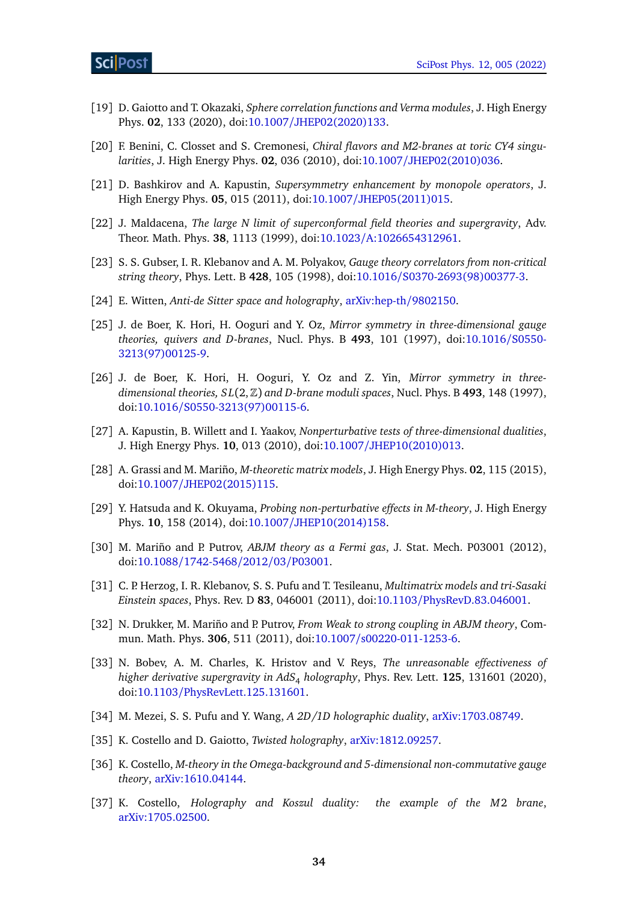- <span id="page-33-0"></span>[19] D. Gaiotto and T. Okazaki, *Sphere correlation functions and Verma modules*, J. High Energy Phys. **02**, 133 (2020), doi:10.1007/[JHEP02\(2020\)133.](https://doi.org/10.1007/JHEP02(2020)133)
- <span id="page-33-1"></span>[20] F. Benini, C. Closset and S. Cremonesi, *Chiral flavors and M2-branes at toric CY4 singularities*, J. High Energy Phys. **02**, 036 (2010), doi:10.1007/[JHEP02\(2010\)036.](https://doi.org/10.1007/JHEP02(2010)036)
- <span id="page-33-2"></span>[21] D. Bashkirov and A. Kapustin, *Supersymmetry enhancement by monopole operators*, J. High Energy Phys. **05**, 015 (2011), doi:10.1007/[JHEP05\(2011\)015.](https://doi.org/10.1007/JHEP05(2011)015)
- <span id="page-33-3"></span>[22] J. Maldacena, *The large N limit of superconformal field theories and supergravity*, Adv. Theor. Math. Phys. **38**, 1113 (1999), doi:10.1023/[A:1026654312961.](https://doi.org/10.1023/A:1026654312961)
- [23] S. S. Gubser, I. R. Klebanov and A. M. Polyakov, *Gauge theory correlators from non-critical string theory*, Phys. Lett. B **428**, 105 (1998), doi:10.1016/[S0370-2693\(98\)00377-3.](https://doi.org/10.1016/S0370-2693(98)00377-3)
- <span id="page-33-4"></span>[24] E. Witten, *Anti-de Sitter space and holography*, [arXiv:hep-th](https://arxiv.org/abs/hep-th/9802150)/9802150.
- <span id="page-33-5"></span>[25] J. de Boer, K. Hori, H. Ooguri and Y. Oz, *Mirror symmetry in three-dimensional gauge theories, quivers and D-branes*, Nucl. Phys. B **493**, 101 (1997), doi[:10.1016](https://doi.org/10.1016/S0550-3213(97)00125-9)/S0550- [3213\(97\)00125-9.](https://doi.org/10.1016/S0550-3213(97)00125-9)
- <span id="page-33-6"></span>[26] J. de Boer, K. Hori, H. Ooguri, Y. Oz and Z. Yin, *Mirror symmetry in threedimensional theories, S L*(2,Z) *and D-brane moduli spaces*, Nucl. Phys. B **493**, 148 (1997), doi:10.1016/[S0550-3213\(97\)00115-6.](https://doi.org/10.1016/S0550-3213(97)00115-6)
- <span id="page-33-7"></span>[27] A. Kapustin, B. Willett and I. Yaakov, *Nonperturbative tests of three-dimensional dualities*, J. High Energy Phys. **10**, 013 (2010), doi:10.1007/[JHEP10\(2010\)013.](https://doi.org/10.1007/JHEP10(2010)013)
- <span id="page-33-8"></span>[28] A. Grassi and M. Mariño, *M-theoretic matrix models*, J. High Energy Phys. **02**, 115 (2015), doi:10.1007/[JHEP02\(2015\)115.](https://doi.org/10.1007/JHEP02(2015)115)
- <span id="page-33-9"></span>[29] Y. Hatsuda and K. Okuyama, *Probing non-perturbative effects in M-theory*, J. High Energy Phys. **10**, 158 (2014), doi:10.1007/[JHEP10\(2014\)158.](https://doi.org/10.1007/JHEP10(2014)158)
- <span id="page-33-10"></span>[30] M. Mariño and P. Putrov, *ABJM theory as a Fermi gas*, J. Stat. Mech. P03001 (2012), doi:10.1088/[1742-5468](https://doi.org/10.1088/1742-5468/2012/03/P03001)/2012/03/P03001.
- <span id="page-33-11"></span>[31] C. P. Herzog, I. R. Klebanov, S. S. Pufu and T. Tesileanu, *Multimatrix models and tri-Sasaki Einstein spaces*, Phys. Rev. D **83**, 046001 (2011), doi:10.1103/[PhysRevD.83.046001.](https://doi.org/10.1103/PhysRevD.83.046001)
- <span id="page-33-12"></span>[32] N. Drukker, M. Mariño and P. Putrov, *From Weak to strong coupling in ABJM theory*, Commun. Math. Phys. **306**, 511 (2011), doi:10.1007/[s00220-011-1253-6.](https://doi.org/10.1007/s00220-011-1253-6)
- <span id="page-33-17"></span>[33] N. Bobev, A. M. Charles, K. Hristov and V. Reys, *The unreasonable effectiveness of higher derivative supergravity in AdS*<sup>4</sup> *holography*, Phys. Rev. Lett. **125**, 131601 (2020), doi:10.1103/[PhysRevLett.125.131601.](https://doi.org/10.1103/PhysRevLett.125.131601)
- <span id="page-33-13"></span>[34] M. Mezei, S. S. Pufu and Y. Wang, *A 2D/1D holographic duality*, [arXiv:1703.08749.](https://arxiv.org/abs/1703.08749)
- <span id="page-33-14"></span>[35] K. Costello and D. Gaiotto, *Twisted holography*, [arXiv:1812.09257.](https://arxiv.org/abs/1812.09257)
- <span id="page-33-15"></span>[36] K. Costello, *M-theory in the Omega-background and 5-dimensional non-commutative gauge theory*, [arXiv:1610.04144.](https://arxiv.org/abs/1610.04144)
- <span id="page-33-16"></span>[37] K. Costello, *Holography and Koszul duality: the example of the M*2 *brane*, [arXiv:1705.02500.](https://arxiv.org/abs/1705.02500)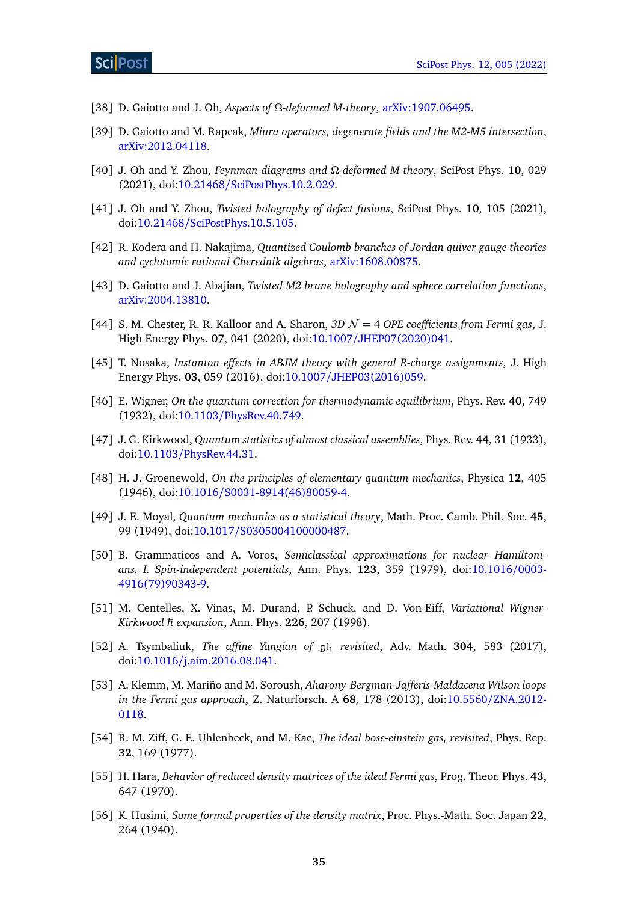- <span id="page-34-0"></span>[38] D. Gaiotto and J. Oh, *Aspects of Ω-deformed M-theory*, [arXiv:1907.06495.](https://arxiv.org/abs/1907.06495)
- [39] D. Gaiotto and M. Rapcak, *Miura operators, degenerate fields and the M2-M5 intersection*, [arXiv:2012.04118.](https://arxiv.org/abs/2012.04118)
- [40] J. Oh and Y. Zhou, *Feynman diagrams and Ω-deformed M-theory*, SciPost Phys. **10**, 029 (2021), doi:10.21468/[SciPostPhys.10.2.029.](https://doi.org/10.21468/SciPostPhys.10.2.029)
- <span id="page-34-4"></span>[41] J. Oh and Y. Zhou, *Twisted holography of defect fusions*, SciPost Phys. **10**, 105 (2021), doi:10.21468/[SciPostPhys.10.5.105.](https://doi.org/10.21468/SciPostPhys.10.5.105)
- <span id="page-34-1"></span>[42] R. Kodera and H. Nakajima, *Quantized Coulomb branches of Jordan quiver gauge theories and cyclotomic rational Cherednik algebras*, [arXiv:1608.00875.](https://arxiv.org/abs/1608.00875)
- <span id="page-34-2"></span>[43] D. Gaiotto and J. Abajian, *Twisted M2 brane holography and sphere correlation functions*, [arXiv:2004.13810.](https://arxiv.org/abs/2004.13810)
- <span id="page-34-3"></span>[44] S. M. Chester, R. R. Kalloor and A. Sharon,  $3D\mathcal{N}=4$  *OPE coefficients from Fermi gas, J.* High Energy Phys. **07**, 041 (2020), doi:10.1007/[JHEP07\(2020\)041.](https://doi.org/10.1007/JHEP07(2020)041)
- <span id="page-34-5"></span>[45] T. Nosaka, *Instanton effects in ABJM theory with general R-charge assignments*, J. High Energy Phys. **03**, 059 (2016), doi:10.1007/[JHEP03\(2016\)059.](https://doi.org/10.1007/JHEP03(2016)059)
- <span id="page-34-6"></span>[46] E. Wigner, *On the quantum correction for thermodynamic equilibrium*, Phys. Rev. **40**, 749 (1932), doi:10.1103/[PhysRev.40.749.](https://doi.org/10.1103/PhysRev.40.749)
- [47] J. G. Kirkwood, *Quantum statistics of almost classical assemblies*, Phys. Rev. **44**, 31 (1933), doi:10.1103/[PhysRev.44.31.](https://doi.org/10.1103/PhysRev.44.31)
- [48] H. J. Groenewold, *On the principles of elementary quantum mechanics*, Physica **12**, 405 (1946), doi:10.1016/[S0031-8914\(46\)80059-4.](https://doi.org/10.1016/S0031-8914(46)80059-4)
- <span id="page-34-7"></span>[49] J. E. Moyal, *Quantum mechanics as a statistical theory*, Math. Proc. Camb. Phil. Soc. **45**, 99 (1949), doi:10.1017/[S0305004100000487.](https://doi.org/10.1017/S0305004100000487)
- <span id="page-34-8"></span>[50] B. Grammaticos and A. Voros, *Semiclassical approximations for nuclear Hamiltonians. I. Spin-independent potentials*, Ann. Phys. **123**, 359 (1979), doi[:10.1016](https://doi.org/10.1016/0003-4916(79)90343-9)/0003- [4916\(79\)90343-9.](https://doi.org/10.1016/0003-4916(79)90343-9)
- <span id="page-34-9"></span>[51] M. Centelles, X. Vinas, M. Durand, P. Schuck, and D. Von-Eiff, *Variational Wigner-Kirkwood* ħ*h expansion*, Ann. Phys. **226**, 207 (1998).
- <span id="page-34-10"></span>[52] A. Tsymbaliuk, *The affine Yangian of*  $\mathfrak{gl}_1$  *revisited*, Adv. Math. **304**, 583 (2017), doi:10.1016/[j.aim.2016.08.041.](https://doi.org/10.1016/j.aim.2016.08.041)
- <span id="page-34-11"></span>[53] A. Klemm, M. Mariño and M. Soroush, *Aharony-Bergman-Jafferis-Maldacena Wilson loops in the Fermi gas approach*, Z. Naturforsch. A **68**, 178 (2013), doi:10.5560/[ZNA.2012-](https://doi.org/10.5560/ZNA.2012-0118) [0118.](https://doi.org/10.5560/ZNA.2012-0118)
- <span id="page-34-12"></span>[54] R. M. Ziff, G. E. Uhlenbeck, and M. Kac, *The ideal bose-einstein gas, revisited*, Phys. Rep. **32**, 169 (1977).
- <span id="page-34-13"></span>[55] H. Hara, *Behavior of reduced density matrices of the ideal Fermi gas*, Prog. Theor. Phys. **43**, 647 (1970).
- <span id="page-34-14"></span>[56] K. Husimi, *Some formal properties of the density matrix*, Proc. Phys.-Math. Soc. Japan **22**, 264 (1940).